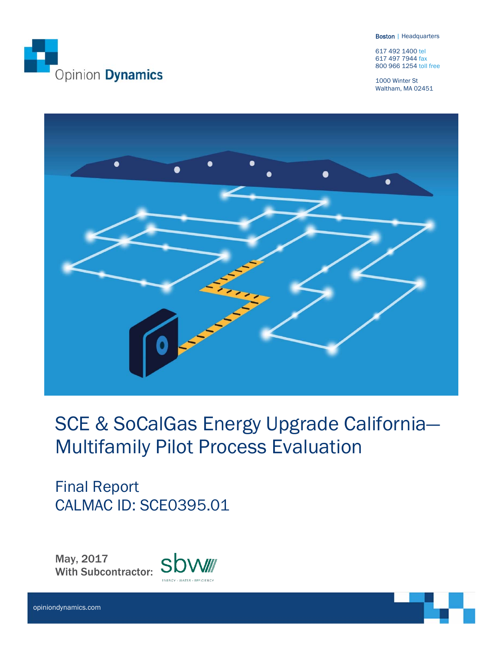

Boston | Headquarters

617 492 1400 tel 617 497 7944 fax 800 966 1254 toll free

1000 Winter St Waltham, MA 02451



# SCE & SoCalGas Energy Upgrade California— Multifamily Pilot Process Evaluation

Final Report CALMAC ID: SCE0395.01

May, 2017 sbw With Subcontractor:

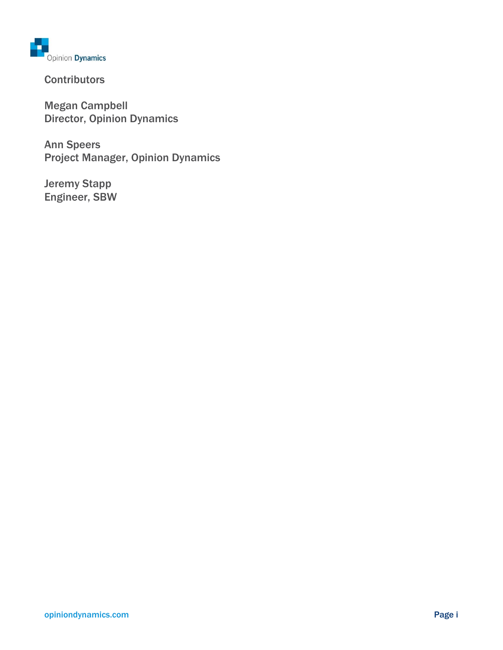

**Contributors** 

Megan Campbell Director, Opinion Dynamics

Ann Speers Project Manager, Opinion Dynamics

Jeremy Stapp Engineer, SBW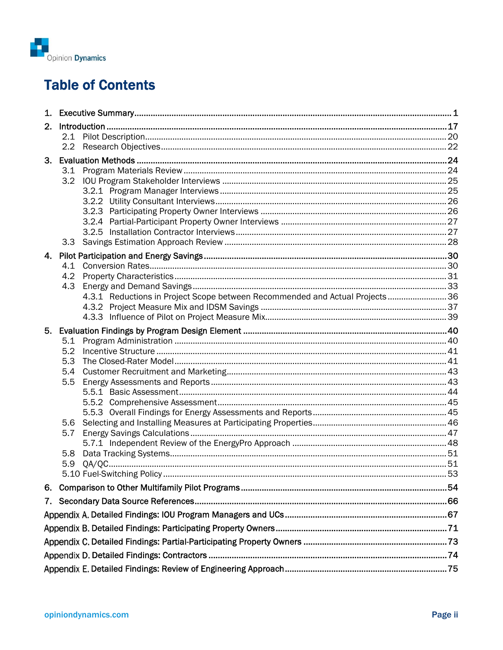

# **Table of Contents**

| 3. |                                                                              |  |
|----|------------------------------------------------------------------------------|--|
|    | 3.1                                                                          |  |
|    |                                                                              |  |
|    |                                                                              |  |
|    |                                                                              |  |
|    |                                                                              |  |
|    |                                                                              |  |
|    |                                                                              |  |
|    |                                                                              |  |
|    |                                                                              |  |
|    |                                                                              |  |
|    |                                                                              |  |
|    | 4.3.1 Reductions in Project Scope between Recommended and Actual Projects 36 |  |
|    |                                                                              |  |
|    |                                                                              |  |
| 5. |                                                                              |  |
|    | 5.1<br>5.2                                                                   |  |
|    | 5.3                                                                          |  |
|    | 5.4                                                                          |  |
|    | 5.5                                                                          |  |
|    |                                                                              |  |
|    |                                                                              |  |
|    |                                                                              |  |
|    | 5.6<br>5.7                                                                   |  |
|    |                                                                              |  |
|    | 5.8                                                                          |  |
|    | 5.9                                                                          |  |
|    |                                                                              |  |
| 6. |                                                                              |  |
|    |                                                                              |  |
|    |                                                                              |  |
|    |                                                                              |  |
|    |                                                                              |  |
|    |                                                                              |  |
|    |                                                                              |  |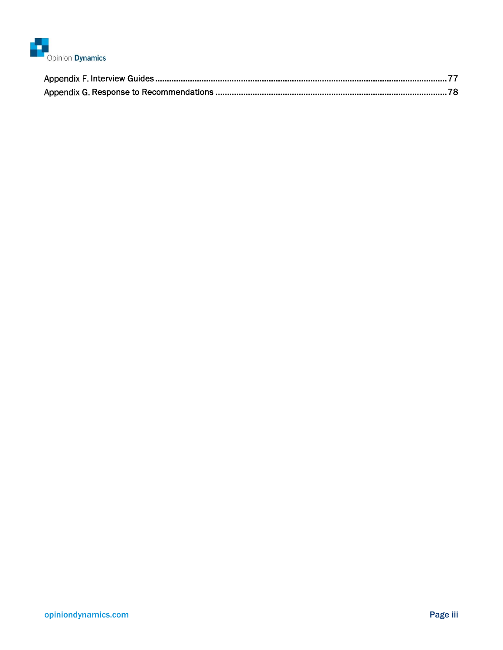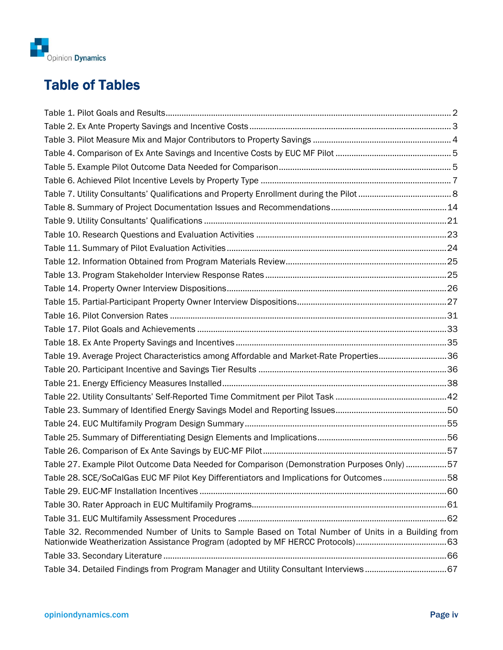

# Table of Tables

| Table 19. Average Project Characteristics among Affordable and Market-Rate Properties36           |  |
|---------------------------------------------------------------------------------------------------|--|
|                                                                                                   |  |
|                                                                                                   |  |
|                                                                                                   |  |
|                                                                                                   |  |
|                                                                                                   |  |
|                                                                                                   |  |
|                                                                                                   |  |
| Table 27. Example Pilot Outcome Data Needed for Comparison (Demonstration Purposes Only) 57       |  |
| Table 28. SCE/SoCalGas EUC MF Pilot Key Differentiators and Implications for Outcomes58           |  |
|                                                                                                   |  |
|                                                                                                   |  |
|                                                                                                   |  |
| Table 32. Recommended Number of Units to Sample Based on Total Number of Units in a Building from |  |
|                                                                                                   |  |
|                                                                                                   |  |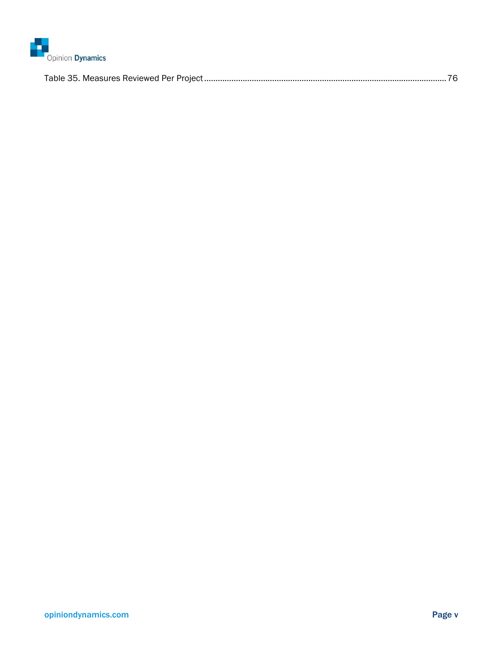

|--|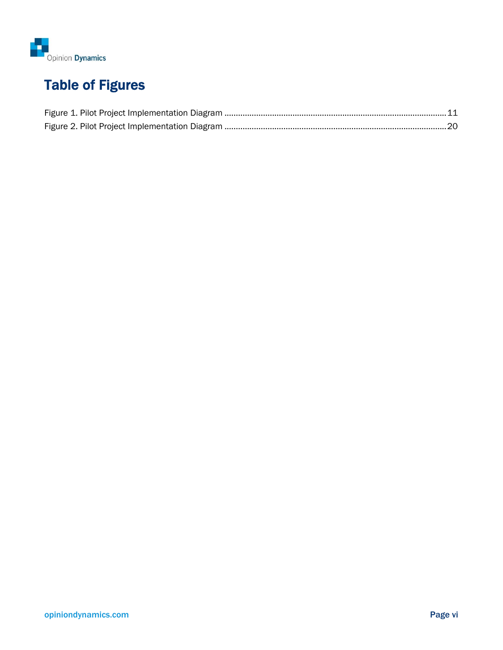

# Table of Figures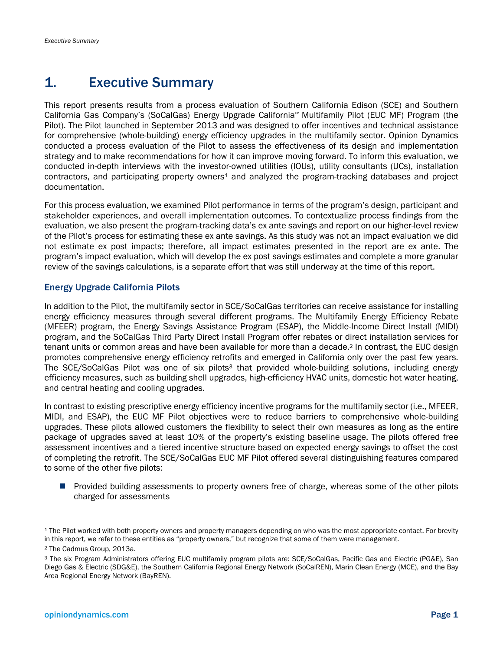# 1. Executive Summary

This report presents results from a process evaluation of Southern California Edison (SCE) and Southern California Gas Company's (SoCalGas) Energy Upgrade California™ Multifamily Pilot (EUC MF) Program (the Pilot). The Pilot launched in September 2013 and was designed to offer incentives and technical assistance for comprehensive (whole-building) energy efficiency upgrades in the multifamily sector. Opinion Dynamics conducted a process evaluation of the Pilot to assess the effectiveness of its design and implementation strategy and to make recommendations for how it can improve moving forward. To inform this evaluation, we conducted in-depth interviews with the investor-owned utilities (IOUs), utility consultants (UCs), installation contractors, and participating property owners<sup>1</sup> and analyzed the program-tracking databases and project documentation.

For this process evaluation, we examined Pilot performance in terms of the program's design, participant and stakeholder experiences, and overall implementation outcomes. To contextualize process findings from the evaluation, we also present the program-tracking data's ex ante savings and report on our higher-level review of the Pilot's process for estimating these ex ante savings. As this study was not an impact evaluation we did not estimate ex post impacts; therefore, all impact estimates presented in the report are ex ante. The program's impact evaluation, which will develop the ex post savings estimates and complete a more granular review of the savings calculations, is a separate effort that was still underway at the time of this report.

#### Energy Upgrade California Pilots

In addition to the Pilot, the multifamily sector in SCE/SoCalGas territories can receive assistance for installing energy efficiency measures through several different programs. The Multifamily Energy Efficiency Rebate (MFEER) program, the Energy Savings Assistance Program (ESAP), the Middle-Income Direct Install (MIDI) program, and the SoCalGas Third Party Direct Install Program offer rebates or direct installation services for tenant units or common areas and have been available for more than a decade.2 In contrast, the EUC design promotes comprehensive energy efficiency retrofits and emerged in California only over the past few years. The SCE/SoCalGas Pilot was one of six pilots<sup>3</sup> that provided whole-building solutions, including energy efficiency measures, such as building shell upgrades, high-efficiency HVAC units, domestic hot water heating, and central heating and cooling upgrades.

In contrast to existing prescriptive energy efficiency incentive programs for the multifamily sector (i.e., MFEER, MIDI, and ESAP), the EUC MF Pilot objectives were to reduce barriers to comprehensive whole-building upgrades. These pilots allowed customers the flexibility to select their own measures as long as the entire package of upgrades saved at least 10% of the property's existing baseline usage. The pilots offered free assessment incentives and a tiered incentive structure based on expected energy savings to offset the cost of completing the retrofit. The SCE/SoCalGas EUC MF Pilot offered several distinguishing features compared to some of the other five pilots:

**Provided building assessments to property owners free of charge, whereas some of the other pilots** charged for assessments

1

<sup>1</sup> The Pilot worked with both property owners and property managers depending on who was the most appropriate contact. For brevity in this report, we refer to these entities as "property owners," but recognize that some of them were management.

<sup>2</sup> The Cadmus Group, 2013a.

<sup>3</sup> The six Program Administrators offering EUC multifamily program pilots are: SCE/SoCalGas, Pacific Gas and Electric (PG&E), San Diego Gas & Electric (SDG&E), the Southern California Regional Energy Network (SoCalREN), Marin Clean Energy (MCE), and the Bay Area Regional Energy Network (BayREN).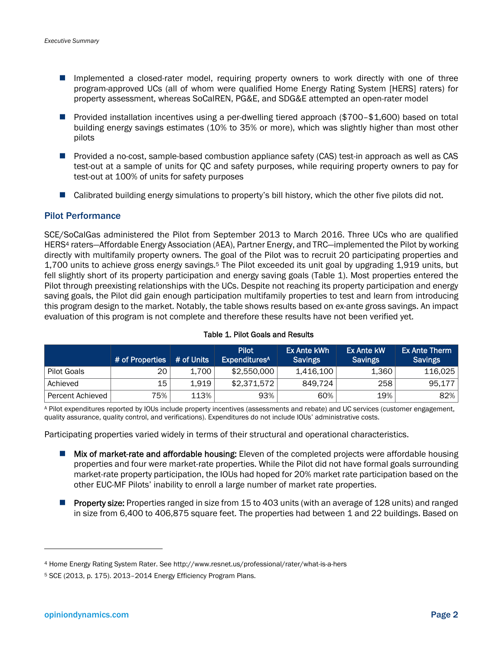- Implemented a closed-rater model, requiring property owners to work directly with one of three program-approved UCs (all of whom were qualified Home Energy Rating System [HERS] raters) for property assessment, whereas SoCalREN, PG&E, and SDG&E attempted an open-rater model
- Provided installation incentives using a per-dwelling tiered approach (\$700–\$1,600) based on total building energy savings estimates (10% to 35% or more), which was slightly higher than most other pilots
- Provided a no-cost, sample-based combustion appliance safety (CAS) test-in approach as well as CAS test-out at a sample of units for QC and safety purposes, while requiring property owners to pay for test-out at 100% of units for safety purposes
- Calibrated building energy simulations to property's bill history, which the other five pilots did not.

#### Pilot Performance

SCE/SoCalGas administered the Pilot from September 2013 to March 2016. Three UCs who are qualified HERS4 raters—Affordable Energy Association (AEA), Partner Energy, and TRC—implemented the Pilot by working directly with multifamily property owners. The goal of the Pilot was to recruit 20 participating properties and 1,700 units to achieve gross energy savings.5 The Pilot exceeded its unit goal by upgrading 1,919 units, but fell slightly short of its property participation and energy saving goals (Table 1). Most properties entered the Pilot through preexisting relationships with the UCs. Despite not reaching its property participation and energy saving goals, the Pilot did gain enough participation multifamily properties to test and learn from introducing this program design to the market. Notably, the table shows results based on ex-ante gross savings. An impact evaluation of this program is not complete and therefore these results have not been verified yet.

|                  | # of Properties | # of Units | <b>Pilot</b><br><b>Expenditures</b> <sup>A</sup> | Ex Ante kWh<br><b>Savings</b> | Ex Ante kW<br><b>Savings</b> | <b>Ex Ante Therm</b><br><b>Savings</b> |
|------------------|-----------------|------------|--------------------------------------------------|-------------------------------|------------------------------|----------------------------------------|
| Pilot Goals      | 20              | 1.700      | \$2,550,000                                      | 1,416,100                     | 1,360                        | 116,025                                |
| Achieved         | 15              | 1.919      | \$2.371.572                                      | 849.724                       | 258                          | 95,177                                 |
| Percent Achieved | 75%             | 113%       | 93%                                              | 60%                           | 19%                          | 82%                                    |

#### Table 1. Pilot Goals and Results

A Pilot expenditures reported by IOUs include property incentives (assessments and rebate) and UC services (customer engagement, quality assurance, quality control, and verifications). Expenditures do not include IOUs' administrative costs.

Participating properties varied widely in terms of their structural and operational characteristics.

- **Mix of market-rate and affordable housing:** Eleven of the completed projects were affordable housing properties and four were market-rate properties. While the Pilot did not have formal goals surrounding market-rate property participation, the IOUs had hoped for 20% market rate participation based on the other EUC-MF Pilots' inability to enroll a large number of market rate properties.
- **Property size:** Properties ranged in size from 15 to 403 units (with an average of 128 units) and ranged in size from 6,400 to 406,875 square feet. The properties had between 1 and 22 buildings. Based on

-

<sup>4</sup> Home Energy Rating System Rater. See http://www.resnet.us/professional/rater/what-is-a-hers

<sup>5</sup> SCE (2013, p. 175). 2013–2014 Energy Efficiency Program Plans.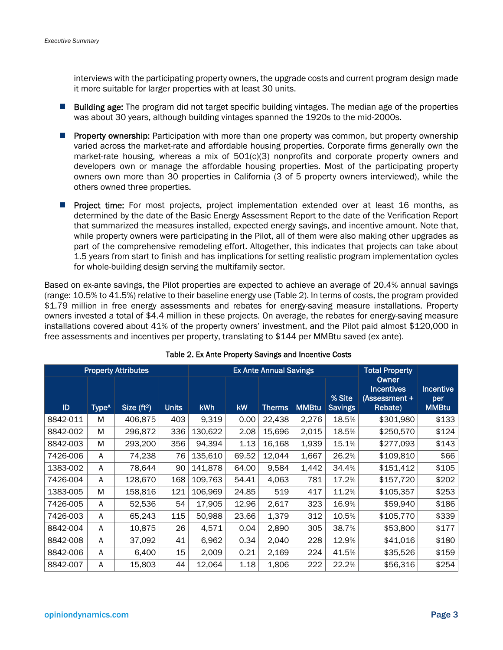interviews with the participating property owners, the upgrade costs and current program design made it more suitable for larger properties with at least 30 units.

- **Building age:** The program did not target specific building vintages. The median age of the properties was about 30 years, although building vintages spanned the 1920s to the mid-2000s.
- **Property ownership:** Participation with more than one property was common, but property ownership varied across the market-rate and affordable housing properties. Corporate firms generally own the market-rate housing, whereas a mix of 501(c)(3) nonprofits and corporate property owners and developers own or manage the affordable housing properties. Most of the participating property owners own more than 30 properties in California (3 of 5 property owners interviewed), while the others owned three properties.
- **Project time:** For most projects, project implementation extended over at least 16 months, as determined by the date of the Basic Energy Assessment Report to the date of the Verification Report that summarized the measures installed, expected energy savings, and incentive amount. Note that, while property owners were participating in the Pilot, all of them were also making other upgrades as part of the comprehensive remodeling effort. Altogether, this indicates that projects can take about 1.5 years from start to finish and has implications for setting realistic program implementation cycles for whole-building design serving the multifamily sector.

Based on ex-ante savings, the Pilot properties are expected to achieve an average of 20.4% annual savings (range: 10.5% to 41.5%) relative to their baseline energy use (Table 2). In terms of costs, the program provided \$1.79 million in free energy assessments and rebates for energy-saving measure installations. Property owners invested a total of \$4.4 million in these projects. On average, the rebates for energy-saving measure installations covered about 41% of the property owners' investment, and the Pilot paid almost \$120,000 in free assessments and incentives per property, translating to \$144 per MMBtu saved (ex ante).

|          |                   | <b>Property Attributes</b> |              |            |       | <b>Ex Ante Annual Savings</b> | <b>Total Property</b> |                          |                                                               |                                         |
|----------|-------------------|----------------------------|--------------|------------|-------|-------------------------------|-----------------------|--------------------------|---------------------------------------------------------------|-----------------------------------------|
| ID       | Type <sup>A</sup> | Size $(ft2)$               | <b>Units</b> | <b>kWh</b> | kW    | <b>Therms</b>                 | <b>MMBtu</b>          | % Site<br><b>Savings</b> | <b>Owner</b><br><b>Incentives</b><br>(Assessment +<br>Rebate) | <b>Incentive</b><br>per<br><b>MMBtu</b> |
| 8842-011 | M                 | 406,875                    | 403          | 9,319      | 0.00  | 22,438                        | 2,276                 | 18.5%                    | \$301,980                                                     | \$133                                   |
| 8842-002 | M                 | 296,872                    | 336          | 130,622    | 2.08  | 15,696                        | 2,015                 | 18.5%                    | \$250,570                                                     | \$124                                   |
| 8842-003 | M                 | 293,200                    | 356          | 94,394     | 1.13  | 16,168                        | 1,939                 | 15.1%                    | \$277,093                                                     | \$143                                   |
| 7426-006 | A                 | 74,238                     | 76           | 135,610    | 69.52 | 12,044                        | 1,667                 | 26.2%                    | \$109,810                                                     | \$66                                    |
| 1383-002 | A                 | 78,644                     | 90           | 141,878    | 64.00 | 9.584                         | 1,442                 | 34.4%                    | \$151,412                                                     | \$105                                   |
| 7426-004 | А                 | 128,670                    | 168          | 109,763    | 54.41 | 4,063                         | 781                   | 17.2%                    | \$157,720                                                     | \$202                                   |
| 1383-005 | M                 | 158,816                    | 121          | 106,969    | 24.85 | 519                           | 417                   | 11.2%                    | \$105,357                                                     | \$253                                   |
| 7426-005 | A                 | 52,536                     | 54           | 17.905     | 12.96 | 2,617                         | 323                   | 16.9%                    | \$59,940                                                      | \$186                                   |
| 7426-003 | А                 | 65,243                     | 115          | 50,988     | 23.66 | 1,379                         | 312                   | 10.5%                    | \$105,770                                                     | \$339                                   |
| 8842-004 | A                 | 10,875                     | 26           | 4,571      | 0.04  | 2,890                         | 305                   | 38.7%                    | \$53,800                                                      | \$177                                   |
| 8842-008 | A                 | 37,092                     | 41           | 6,962      | 0.34  | 2,040                         | 228                   | 12.9%                    | \$41,016                                                      | \$180                                   |
| 8842-006 | А                 | 6,400                      | 15           | 2,009      | 0.21  | 2,169                         | 224                   | 41.5%                    | \$35,526                                                      | \$159                                   |
| 8842-007 | А                 | 15,803                     | 44           | 12,064     | 1.18  | 1,806                         | 222                   | 22.2%                    | \$56,316                                                      | \$254                                   |

#### Table 2. Ex Ante Property Savings and Incentive Costs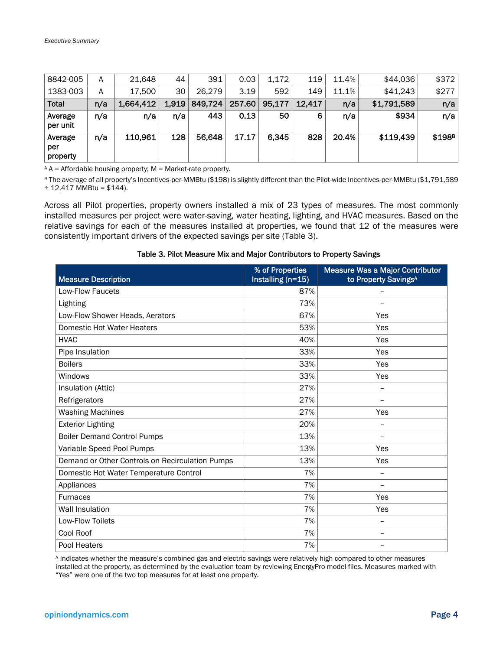| 8842-005                   | A   | 21,648    | 44    | 391     | 0.03   | 1.172  | 119    | 11.4% | \$44,036    | \$372              |
|----------------------------|-----|-----------|-------|---------|--------|--------|--------|-------|-------------|--------------------|
| 1383-003                   | A   | 17,500    | 30    | 26,279  | 3.19   | 592    | 149    | 11.1% | \$41,243    | \$277              |
| <b>Total</b>               | n/a | 1,664,412 | 1,919 | 849,724 | 257.60 | 95,177 | 12,417 | n/a   | \$1,791,589 | n/a                |
| Average<br>per unit        | n/a | n/a       | n/a   | 443     | 0.13   | 50     | 6      | n/a   | \$934       | n/a                |
| Average<br>per<br>property | n/a | 110,961   | 128   | 56,648  | 17.17  | 6,345  | 828    | 20.4% | \$119,439   | \$198 <sup>B</sup> |

 $A =$  A = Affordable housing property; M = Market-rate property.

B The average of all property's Incentives-per-MMBtu (\$198) is slightly different than the Pilot-wide Incentives-per-MMBtu (\$1,791,589  $\div$  12,417 MMBtu = \$144).

Across all Pilot properties, property owners installed a mix of 23 types of measures. The most commonly installed measures per project were water-saving, water heating, lighting, and HVAC measures. Based on the relative savings for each of the measures installed at properties, we found that 12 of the measures were consistently important drivers of the expected savings per site (Table 3).

#### Table 3. Pilot Measure Mix and Major Contributors to Property Savings

| <b>Measure Description</b>                      | % of Properties<br>Installing $(n=15)$ | Measure Was a Major Contributor<br>to Property Savings <sup>A</sup> |
|-------------------------------------------------|----------------------------------------|---------------------------------------------------------------------|
| Low-Flow Faucets                                | 87%                                    |                                                                     |
| Lighting                                        | 73%                                    | $\overline{\phantom{0}}$                                            |
| Low-Flow Shower Heads, Aerators                 | 67%                                    | Yes                                                                 |
| Domestic Hot Water Heaters                      | 53%                                    | Yes                                                                 |
| <b>HVAC</b>                                     | 40%                                    | Yes                                                                 |
| Pipe Insulation                                 | 33%                                    | Yes                                                                 |
| <b>Boilers</b>                                  | 33%                                    | Yes                                                                 |
| Windows                                         | 33%                                    | Yes                                                                 |
| Insulation (Attic)                              | 27%                                    | $\qquad \qquad -$                                                   |
| Refrigerators                                   | 27%                                    | $\overline{\phantom{0}}$                                            |
| <b>Washing Machines</b>                         | 27%                                    | Yes                                                                 |
| <b>Exterior Lighting</b>                        | 20%                                    | $\overline{\phantom{0}}$                                            |
| <b>Boiler Demand Control Pumps</b>              | 13%                                    |                                                                     |
| Variable Speed Pool Pumps                       | 13%                                    | Yes                                                                 |
| Demand or Other Controls on Recirculation Pumps | 13%                                    | Yes                                                                 |
| Domestic Hot Water Temperature Control          | 7%                                     | $\overline{\phantom{0}}$                                            |
| Appliances                                      | 7%                                     | $\equiv$                                                            |
| <b>Furnaces</b>                                 | 7%                                     | Yes                                                                 |
| <b>Wall Insulation</b>                          | 7%                                     | Yes                                                                 |
| Low-Flow Toilets                                | 7%                                     |                                                                     |
| Cool Roof                                       | 7%                                     | $\qquad \qquad -$                                                   |
| Pool Heaters                                    | 7%                                     |                                                                     |

A Indicates whether the measure's combined gas and electric savings were relatively high compared to other measures installed at the property, as determined by the evaluation team by reviewing EnergyPro model files. Measures marked with "Yes" were one of the two top measures for at least one property.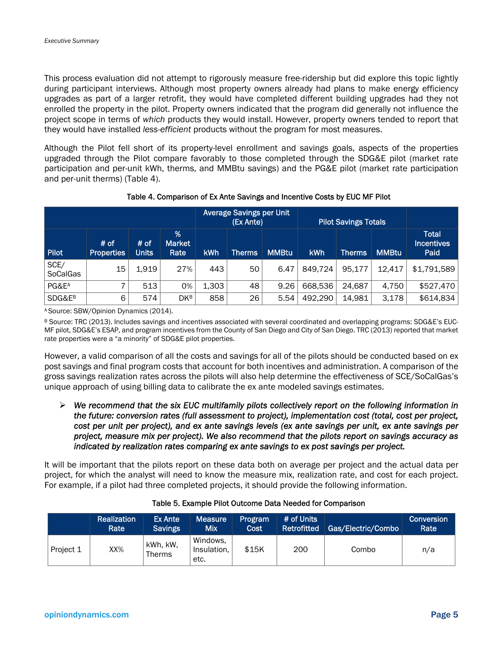This process evaluation did not attempt to rigorously measure free-ridership but did explore this topic lightly during participant interviews. Although most property owners already had plans to make energy efficiency upgrades as part of a larger retrofit, they would have completed different building upgrades had they not enrolled the property in the pilot. Property owners indicated that the program did generally not influence the project scope in terms of *which* products they would install. However, property owners tended to report that they would have installed *less-efficient* products without the program for most measures.

Although the Pilot fell short of its property-level enrollment and savings goals, aspects of the properties upgraded through the Pilot compare favorably to those completed through the SDG&E pilot (market rate participation and per-unit kWh, therms, and MMBtu savings) and the PG&E pilot (market rate participation and per-unit therms) (Table 4).

|                         |                           |                      |                            | <b>Average Savings per Unit</b><br>(Ex Ante) |               |              | <b>Pilot Savings Totals</b> |               |              |                                           |
|-------------------------|---------------------------|----------------------|----------------------------|----------------------------------------------|---------------|--------------|-----------------------------|---------------|--------------|-------------------------------------------|
| Pilot                   | # of<br><b>Properties</b> | # of<br><b>Units</b> | %<br><b>Market</b><br>Rate | kWh                                          | <b>Therms</b> | <b>MMBtu</b> | kWh                         | <b>Therms</b> | <b>MMBtu</b> | <b>Total</b><br><b>Incentives</b><br>Paid |
| SCE/<br><b>SoCalGas</b> | 15                        | 1.919                | 27%                        | 443                                          | 50            | 6.47         | 849.724                     | 95,177        | 12,417       | \$1,791,589                               |
| PG&E <sup>A</sup>       | 7                         | 513                  | 0%                         | 1,303                                        | 48            | 9.26         | 668,536                     | 24,687        | 4,750        | \$527,470                                 |
| SDG&E <sup>B</sup>      | 6                         | 574                  | <b>DKB</b>                 | 858                                          | 26            | 5.54         | 492,290                     | 14,981        | 3.178        | \$614,834                                 |

#### Table 4. Comparison of Ex Ante Savings and Incentive Costs by EUC MF Pilot

A Source: SBW/Opinion Dynamics (2014).

B Source: TRC (2013). Includes savings and incentives associated with several coordinated and overlapping programs: SDG&E's EUC-MF pilot, SDG&E's ESAP, and program incentives from the County of San Diego and City of San Diego. TRC (2013) reported that market rate properties were a "a minority" of SDG&E pilot properties.

However, a valid comparison of all the costs and savings for all of the pilots should be conducted based on ex post savings and final program costs that account for both incentives and administration. A comparison of the gross savings realization rates across the pilots will also help determine the effectiveness of SCE/SoCalGas's unique approach of using billing data to calibrate the ex ante modeled savings estimates.

 *We recommend that the six EUC multifamily pilots collectively report on the following information in the future: conversion rates (full assessment to project), implementation cost (total, cost per project, cost per unit per project), and ex ante savings levels (ex ante savings per unit, ex ante savings per project, measure mix per project). We also recommend that the pilots report on savings accuracy as indicated by realization rates comparing ex ante savings to ex post savings per project.* 

It will be important that the pilots report on these data both on average per project and the actual data per project, for which the analyst will need to know the measure mix, realization rate, and cost for each project. For example, if a pilot had three completed projects, it should provide the following information.

|           | <b>Realization</b><br>Rate | Ex Ante<br><b>Savings</b> | <b>Measure</b><br>Mix           | Program<br>Cost | # of Units<br>Retrofitted | Gas/Electric/Combo | Conversion<br>Rate |
|-----------|----------------------------|---------------------------|---------------------------------|-----------------|---------------------------|--------------------|--------------------|
| Project 1 | XX%                        | kWh, kW,<br><b>Therms</b> | Windows,<br>Insulation.<br>etc. | \$15K           | 200                       | Combo              | n/a                |

#### Table 5. Example Pilot Outcome Data Needed for Comparison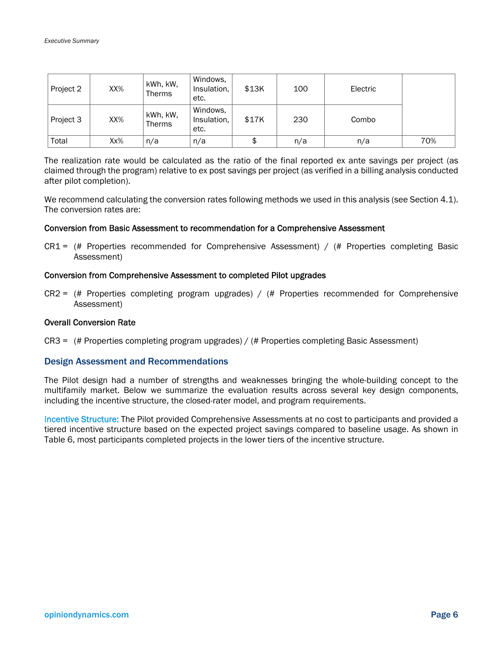| Project 2 | XX%    | kWh, kW,<br><b>Therms</b> | Windows,<br>Insulation,<br>etc. | \$13K | 100 | Electric |     |
|-----------|--------|---------------------------|---------------------------------|-------|-----|----------|-----|
| Project 3 | XX%    | kWh, kW,<br><b>Therms</b> | Windows,<br>Insulation,<br>etc. | \$17K | 230 | Combo    |     |
| Total     | $Xx\%$ | n/a                       | n/a                             | \$    | n/a | n/a      | 70% |

The realization rate would be calculated as the ratio of the final reported ex ante savings per project (as claimed through the program) relative to ex post savings per project (as verified in a billing analysis conducted after pilot completion).

We recommend calculating the conversion rates following methods we used in this analysis (see Section 4.1). The conversion rates are:

#### Conversion from Basic Assessment to recommendation for a Comprehensive Assessment

 $CRI =$  (# Properties recommended for Comprehensive Assessment) / (# Properties completing Basic Assessment)

#### Conversion from Comprehensive Assessment to completed Pilot upgrades

 $CR2 =$  (# Properties completing program upgrades) / (# Properties recommended for Comprehensive Assessment)

#### Overall Conversion Rate

CR3 = (# Properties completing program upgrades) / (# Properties completing Basic Assessment)

#### Design Assessment and Recommendations

The Pilot design had a number of strengths and weaknesses bringing the whole-building concept to the multifamily market. Below we summarize the evaluation results across several key design components, including the incentive structure, the closed-rater model, and program requirements.

Incentive Structure: The Pilot provided Comprehensive Assessments at no cost to participants and provided a tiered incentive structure based on the expected project savings compared to baseline usage. As shown in Table 6, most participants completed projects in the lower tiers of the incentive structure.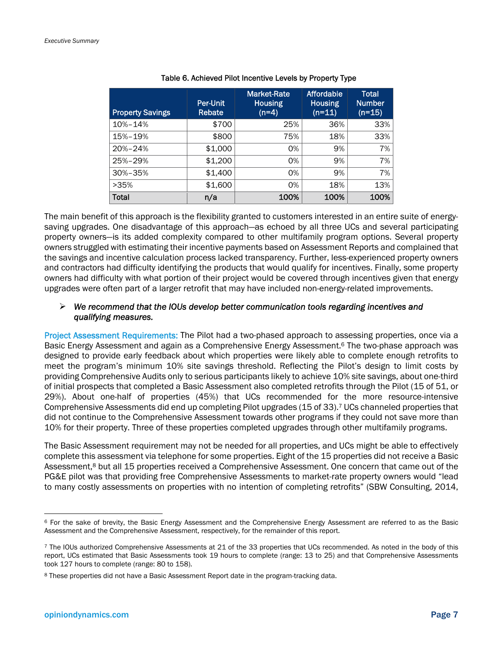| <b>Property Savings</b> | <b>Per-Unit</b><br>Rebate | <b>Market-Rate</b><br><b>Housing</b><br>$(n=4)$ | Affordable<br><b>Housing</b><br>$(n=11)$ | Total<br><b>Number</b><br>$(n=15)$ |
|-------------------------|---------------------------|-------------------------------------------------|------------------------------------------|------------------------------------|
| 10%-14%                 | \$700                     | 25%                                             | 36%                                      | 33%                                |
| 15%-19%                 | \$800                     | 75%                                             | 18%                                      | 33%                                |
| 20%-24%                 | \$1,000                   | 0%                                              | 9%                                       | 7%                                 |
| 25%-29%                 | \$1,200                   | 0%                                              | 9%                                       | 7%                                 |
| 30%-35%                 | \$1,400                   | 0%                                              | 9%                                       | 7%                                 |
| >35%                    | \$1,600                   | 0%                                              | 18%                                      | 13%                                |
| Total                   | n/a                       | 100%                                            | 100%                                     | 100%                               |

#### Table 6. Achieved Pilot Incentive Levels by Property Type

The main benefit of this approach is the flexibility granted to customers interested in an entire suite of energysaving upgrades. One disadvantage of this approach—as echoed by all three UCs and several participating property owners—is its added complexity compared to other multifamily program options. Several property owners struggled with estimating their incentive payments based on Assessment Reports and complained that the savings and incentive calculation process lacked transparency. Further, less-experienced property owners and contractors had difficulty identifying the products that would qualify for incentives. Finally, some property owners had difficulty with what portion of their project would be covered through incentives given that energy upgrades were often part of a larger retrofit that may have included non-energy-related improvements.

#### *We recommend that the IOUs develop better communication tools regarding incentives and qualifying measures.*

Project Assessment Requirements: The Pilot had a two-phased approach to assessing properties, once via a Basic Energy Assessment and again as a Comprehensive Energy Assessment.<sup>6</sup> The two-phase approach was designed to provide early feedback about which properties were likely able to complete enough retrofits to meet the program's minimum 10% site savings threshold. Reflecting the Pilot's design to limit costs by providing Comprehensive Audits only to serious participants likely to achieve 10% site savings, about one-third of initial prospects that completed a Basic Assessment also completed retrofits through the Pilot (15 of 51, or 29%). About one-half of properties (45%) that UCs recommended for the more resource-intensive Comprehensive Assessments did end up completing Pilot upgrades (15 of 33).7 UCs channeled properties that did not continue to the Comprehensive Assessment towards other programs if they could not save more than 10% for their property. Three of these properties completed upgrades through other multifamily programs.

The Basic Assessment requirement may not be needed for all properties, and UCs might be able to effectively complete this assessment via telephone for some properties. Eight of the 15 properties did not receive a Basic Assessment,<sup>8</sup> but all 15 properties received a Comprehensive Assessment. One concern that came out of the PG&E pilot was that providing free Comprehensive Assessments to market-rate property owners would "lead to many costly assessments on properties with no intention of completing retrofits" (SBW Consulting, 2014,

<sup>6</sup> For the sake of brevity, the Basic Energy Assessment and the Comprehensive Energy Assessment are referred to as the Basic Assessment and the Comprehensive Assessment, respectively, for the remainder of this report.

<sup>7</sup> The IOUs authorized Comprehensive Assessments at 21 of the 33 properties that UCs recommended. As noted in the body of this report, UCs estimated that Basic Assessments took 19 hours to complete (range: 13 to 25) and that Comprehensive Assessments took 127 hours to complete (range: 80 to 158).

<sup>8</sup> These properties did not have a Basic Assessment Report date in the program-tracking data.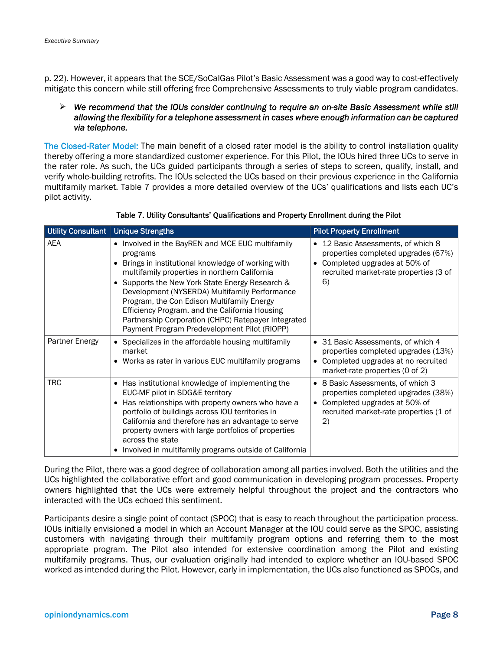p. 22). However, it appears that the SCE/SoCalGas Pilot's Basic Assessment was a good way to cost-effectively mitigate this concern while still offering free Comprehensive Assessments to truly viable program candidates.

#### *We recommend that the IOUs consider continuing to require an on-site Basic Assessment while still allowing the flexibility for a telephone assessment in cases where enough information can be captured via telephone.*

The Closed-Rater Model: The main benefit of a closed rater model is the ability to control installation quality thereby offering a more standardized customer experience. For this Pilot, the IOUs hired three UCs to serve in the rater role. As such, the UCs guided participants through a series of steps to screen, qualify, install, and verify whole-building retrofits. The IOUs selected the UCs based on their previous experience in the California multifamily market. Table 7 provides a more detailed overview of the UCs' qualifications and lists each UC's pilot activity.

| <b>Utility Consultant</b> | <b>Unique Strengths</b>                                                                                                                                                                                                                                                                                                                                                                                                                                                     | <b>Pilot Property Enrollment</b>                                                                                                                           |
|---------------------------|-----------------------------------------------------------------------------------------------------------------------------------------------------------------------------------------------------------------------------------------------------------------------------------------------------------------------------------------------------------------------------------------------------------------------------------------------------------------------------|------------------------------------------------------------------------------------------------------------------------------------------------------------|
| <b>AEA</b>                | • Involved in the BayREN and MCE EUC multifamily<br>programs<br>Brings in institutional knowledge of working with<br>multifamily properties in northern California<br>Supports the New York State Energy Research &<br>Development (NYSERDA) Multifamily Performance<br>Program, the Con Edison Multifamily Energy<br>Efficiency Program, and the California Housing<br>Partnership Corporation (CHPC) Ratepayer Integrated<br>Payment Program Predevelopment Pilot (RIOPP) | • 12 Basic Assessments, of which 8<br>properties completed upgrades (67%)<br>Completed upgrades at 50% of<br>recruited market-rate properties (3 of<br>6)  |
| Partner Energy            | • Specializes in the affordable housing multifamily<br>market<br>• Works as rater in various EUC multifamily programs                                                                                                                                                                                                                                                                                                                                                       | • 31 Basic Assessments, of which 4<br>properties completed upgrades (13%)<br>• Completed upgrades at no recruited<br>market-rate properties (0 of 2)       |
| TRC                       | Has institutional knowledge of implementing the<br>EUC-MF pilot in SDG&E territory<br>Has relationships with property owners who have a<br>portfolio of buildings across IOU territories in<br>California and therefore has an advantage to serve<br>property owners with large portfolios of properties<br>across the state<br>• Involved in multifamily programs outside of California                                                                                    | • 8 Basic Assessments, of which 3<br>properties completed upgrades (38%)<br>• Completed upgrades at 50% of<br>recruited market-rate properties (1 of<br>2) |

Table 7. Utility Consultants' Qualifications and Property Enrollment during the Pilot

During the Pilot, there was a good degree of collaboration among all parties involved. Both the utilities and the UCs highlighted the collaborative effort and good communication in developing program processes. Property owners highlighted that the UCs were extremely helpful throughout the project and the contractors who interacted with the UCs echoed this sentiment.

Participants desire a single point of contact (SPOC) that is easy to reach throughout the participation process. IOUs initially envisioned a model in which an Account Manager at the IOU could serve as the SPOC, assisting customers with navigating through their multifamily program options and referring them to the most appropriate program. The Pilot also intended for extensive coordination among the Pilot and existing multifamily programs. Thus, our evaluation originally had intended to explore whether an IOU-based SPOC worked as intended during the Pilot. However, early in implementation, the UCs also functioned as SPOCs, and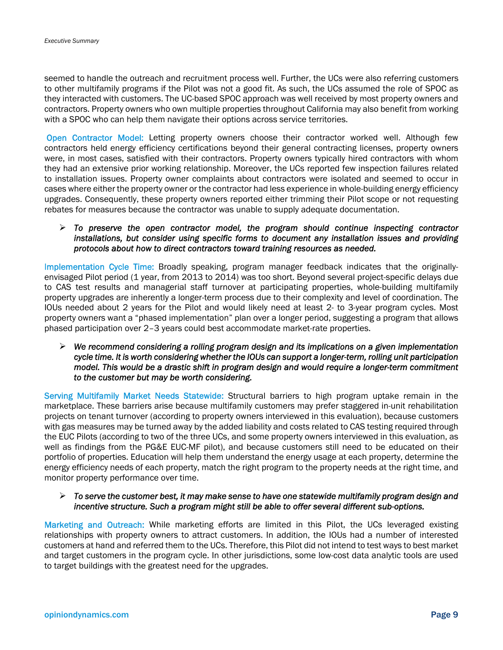seemed to handle the outreach and recruitment process well. Further, the UCs were also referring customers to other multifamily programs if the Pilot was not a good fit. As such, the UCs assumed the role of SPOC as they interacted with customers. The UC-based SPOC approach was well received by most property owners and contractors. Property owners who own multiple properties throughout California may also benefit from working with a SPOC who can help them navigate their options across service territories.

Open Contractor Model: Letting property owners choose their contractor worked well. Although few contractors held energy efficiency certifications beyond their general contracting licenses, property owners were, in most cases, satisfied with their contractors. Property owners typically hired contractors with whom they had an extensive prior working relationship. Moreover, the UCs reported few inspection failures related to installation issues. Property owner complaints about contractors were isolated and seemed to occur in cases where either the property owner or the contractor had less experience in whole-building energy efficiency upgrades. Consequently, these property owners reported either trimming their Pilot scope or not requesting rebates for measures because the contractor was unable to supply adequate documentation.

 *To preserve the open contractor model, the program should continue inspecting contractor installations, but consider using specific forms to document any installation issues and providing protocols about how to direct contractors toward training resources as needed.* 

Implementation Cycle Time: Broadly speaking, program manager feedback indicates that the originallyenvisaged Pilot period (1 year, from 2013 to 2014) was too short. Beyond several project-specific delays due to CAS test results and managerial staff turnover at participating properties, whole-building multifamily property upgrades are inherently a longer-term process due to their complexity and level of coordination. The IOUs needed about 2 years for the Pilot and would likely need at least 2- to 3-year program cycles. Most property owners want a "phased implementation" plan over a longer period, suggesting a program that allows phased participation over 2–3 years could best accommodate market-rate properties.

 *We recommend considering a rolling program design and its implications on a given implementation cycle time. It is worth considering whether the IOUs can support a longer-term, rolling unit participation model. This would be a drastic shift in program design and would require a longer-term commitment to the customer but may be worth considering.* 

Serving Multifamily Market Needs Statewide: Structural barriers to high program uptake remain in the marketplace. These barriers arise because multifamily customers may prefer staggered in-unit rehabilitation projects on tenant turnover (according to property owners interviewed in this evaluation), because customers with gas measures may be turned away by the added liability and costs related to CAS testing required through the EUC Pilots (according to two of the three UCs, and some property owners interviewed in this evaluation, as well as findings from the PG&E EUC-MF pilot), and because customers still need to be educated on their portfolio of properties. Education will help them understand the energy usage at each property, determine the energy efficiency needs of each property, match the right program to the property needs at the right time, and monitor property performance over time.

#### *To serve the customer best, it may make sense to have one statewide multifamily program design and incentive structure. Such a program might still be able to offer several different sub-options.*

Marketing and Outreach: While marketing efforts are limited in this Pilot, the UCs leveraged existing relationships with property owners to attract customers. In addition, the IOUs had a number of interested customers at hand and referred them to the UCs. Therefore, this Pilot did not intend to test ways to best market and target customers in the program cycle. In other jurisdictions, some low-cost data analytic tools are used to target buildings with the greatest need for the upgrades.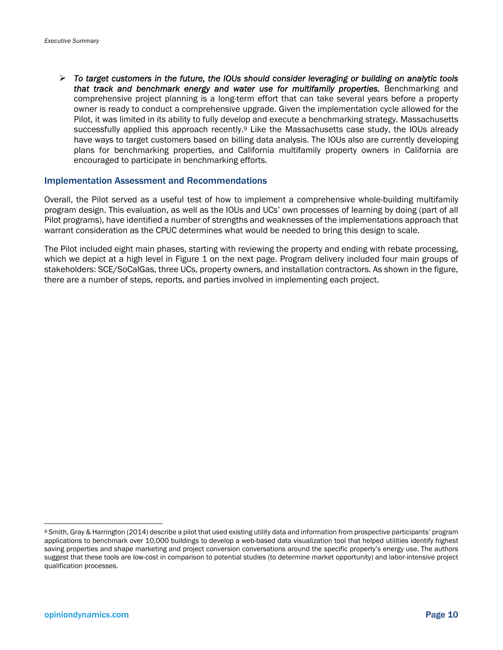*To target customers in the future, the IOUs should consider leveraging or building on analytic tools that track and benchmark energy and water use for multifamily properties.* Benchmarking and comprehensive project planning is a long-term effort that can take several years before a property owner is ready to conduct a comprehensive upgrade. Given the implementation cycle allowed for the Pilot, it was limited in its ability to fully develop and execute a benchmarking strategy. Massachusetts successfully applied this approach recently.<sup>9</sup> Like the Massachusetts case study, the IOUs already have ways to target customers based on billing data analysis. The IOUs also are currently developing plans for benchmarking properties, and California multifamily property owners in California are encouraged to participate in benchmarking efforts.

#### Implementation Assessment and Recommendations

Overall, the Pilot served as a useful test of how to implement a comprehensive whole-building multifamily program design. This evaluation, as well as the IOUs and UCs' own processes of learning by doing (part of all Pilot programs), have identified a number of strengths and weaknesses of the implementations approach that warrant consideration as the CPUC determines what would be needed to bring this design to scale.

The Pilot included eight main phases, starting with reviewing the property and ending with rebate processing, which we depict at a high level in Figure 1 on the next page. Program delivery included four main groups of stakeholders: SCE/SoCalGas, three UCs, property owners, and installation contractors. As shown in the figure, there are a number of steps, reports, and parties involved in implementing each project.

<sup>9</sup> Smith, Gray & Harrington (2014) describe a pilot that used existing utility data and information from prospective participants' program applications to benchmark over 10,000 buildings to develop a web-based data visualization tool that helped utilities identify highest saving properties and shape marketing and project conversion conversations around the specific property's energy use. The authors suggest that these tools are low-cost in comparison to potential studies (to determine market opportunity) and labor-intensive project qualification processes.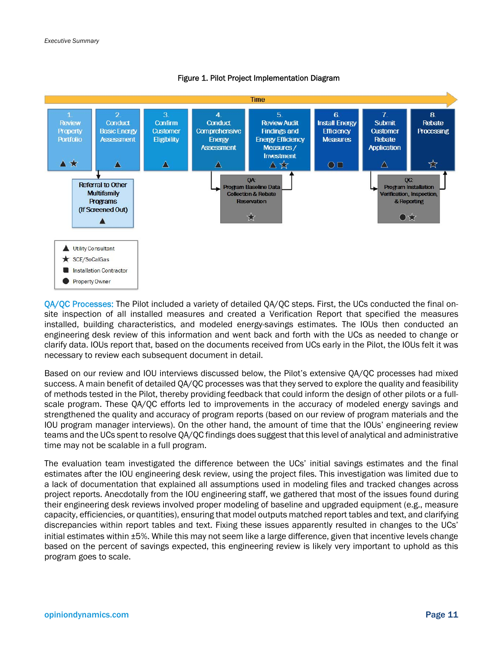

#### Figure 1. Pilot Project Implementation Diagram

QA/QC Processes: The Pilot included a variety of detailed QA/QC steps. First, the UCs conducted the final onsite inspection of all installed measures and created a Verification Report that specified the measures installed, building characteristics, and modeled energy-savings estimates. The IOUs then conducted an engineering desk review of this information and went back and forth with the UCs as needed to change or clarify data. IOUs report that, based on the documents received from UCs early in the Pilot, the IOUs felt it was necessary to review each subsequent document in detail.

Based on our review and IOU interviews discussed below, the Pilot's extensive QA/QC processes had mixed success. A main benefit of detailed QA/QC processes was that they served to explore the quality and feasibility of methods tested in the Pilot, thereby providing feedback that could inform the design of other pilots or a fullscale program. These QA/QC efforts led to improvements in the accuracy of modeled energy savings and strengthened the quality and accuracy of program reports (based on our review of program materials and the IOU program manager interviews). On the other hand, the amount of time that the IOUs' engineering review teams and the UCs spent to resolve QA/QC findings does suggest that this level of analytical and administrative time may not be scalable in a full program.

The evaluation team investigated the difference between the UCs' initial savings estimates and the final estimates after the IOU engineering desk review, using the project files. This investigation was limited due to a lack of documentation that explained all assumptions used in modeling files and tracked changes across project reports. Anecdotally from the IOU engineering staff, we gathered that most of the issues found during their engineering desk reviews involved proper modeling of baseline and upgraded equipment (e.g., measure capacity, efficiencies, or quantities), ensuring that model outputs matched report tables and text, and clarifying discrepancies within report tables and text. Fixing these issues apparently resulted in changes to the UCs' initial estimates within ±5%. While this may not seem like a large difference, given that incentive levels change based on the percent of savings expected, this engineering review is likely very important to uphold as this program goes to scale.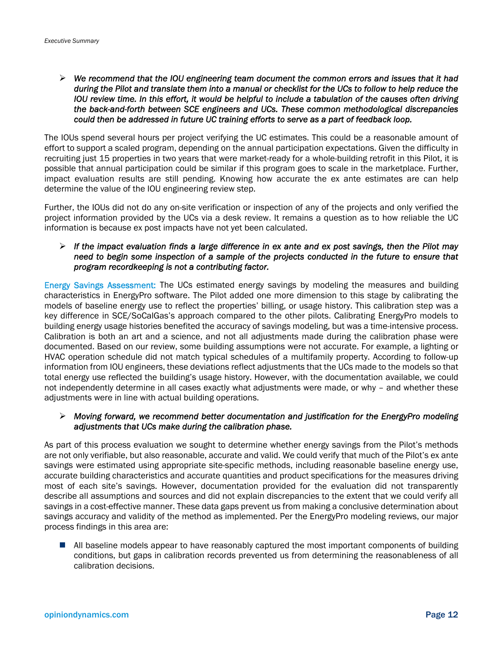*We recommend that the IOU engineering team document the common errors and issues that it had during the Pilot and translate them into a manual or checklist for the UCs to follow to help reduce the IOU review time. In this effort, it would be helpful to include a tabulation of the causes often driving the back-and-forth between SCE engineers and UCs. These common methodological discrepancies could then be addressed in future UC training efforts to serve as a part of feedback loop.*

The IOUs spend several hours per project verifying the UC estimates. This could be a reasonable amount of effort to support a scaled program, depending on the annual participation expectations. Given the difficulty in recruiting just 15 properties in two years that were market-ready for a whole-building retrofit in this Pilot, it is possible that annual participation could be similar if this program goes to scale in the marketplace. Further, impact evaluation results are still pending. Knowing how accurate the ex ante estimates are can help determine the value of the IOU engineering review step.

Further, the IOUs did not do any on-site verification or inspection of any of the projects and only verified the project information provided by the UCs via a desk review. It remains a question as to how reliable the UC information is because ex post impacts have not yet been calculated.

 *If the impact evaluation finds a large difference in ex ante and ex post savings, then the Pilot may*  need to begin some inspection of a sample of the projects conducted in the future to ensure that *program recordkeeping is not a contributing factor.*

Energy Savings Assessment: The UCs estimated energy savings by modeling the measures and building characteristics in EnergyPro software. The Pilot added one more dimension to this stage by calibrating the models of baseline energy use to reflect the properties' billing, or usage history. This calibration step was a key difference in SCE/SoCalGas's approach compared to the other pilots. Calibrating EnergyPro models to building energy usage histories benefited the accuracy of savings modeling, but was a time-intensive process. Calibration is both an art and a science, and not all adjustments made during the calibration phase were documented. Based on our review, some building assumptions were not accurate. For example, a lighting or HVAC operation schedule did not match typical schedules of a multifamily property. According to follow-up information from IOU engineers, these deviations reflect adjustments that the UCs made to the models so that total energy use reflected the building's usage history. However, with the documentation available, we could not independently determine in all cases exactly what adjustments were made, or why – and whether these adjustments were in line with actual building operations.

#### *Moving forward, we recommend better documentation and justification for the EnergyPro modeling adjustments that UCs make during the calibration phase.*

As part of this process evaluation we sought to determine whether energy savings from the Pilot's methods are not only verifiable, but also reasonable, accurate and valid. We could verify that much of the Pilot's ex ante savings were estimated using appropriate site-specific methods, including reasonable baseline energy use, accurate building characteristics and accurate quantities and product specifications for the measures driving most of each site's savings. However, documentation provided for the evaluation did not transparently describe all assumptions and sources and did not explain discrepancies to the extent that we could verify all savings in a cost-effective manner. These data gaps prevent us from making a conclusive determination about savings accuracy and validity of the method as implemented. Per the EnergyPro modeling reviews, our major process findings in this area are:

 All baseline models appear to have reasonably captured the most important components of building conditions, but gaps in calibration records prevented us from determining the reasonableness of all calibration decisions.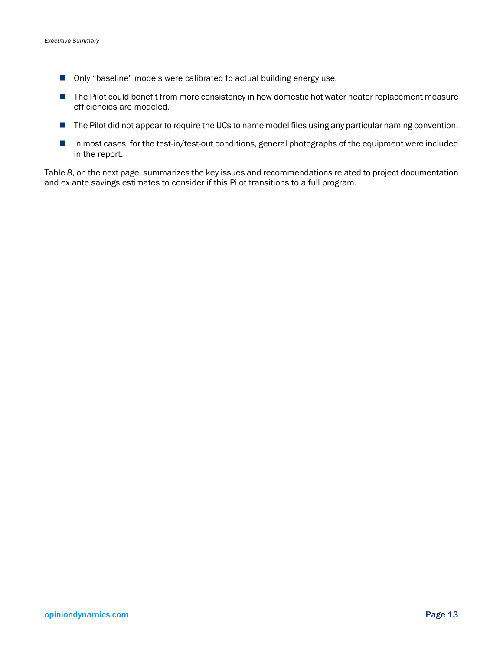- Only "baseline" models were calibrated to actual building energy use.
- The Pilot could benefit from more consistency in how domestic hot water heater replacement measure efficiencies are modeled.
- **The Pilot did not appear to require the UCs to name model files using any particular naming convention.**
- In most cases, for the test-in/test-out conditions, general photographs of the equipment were included in the report.

Table 8, on the next page, summarizes the key issues and recommendations related to project documentation and ex ante savings estimates to consider if this Pilot transitions to a full program.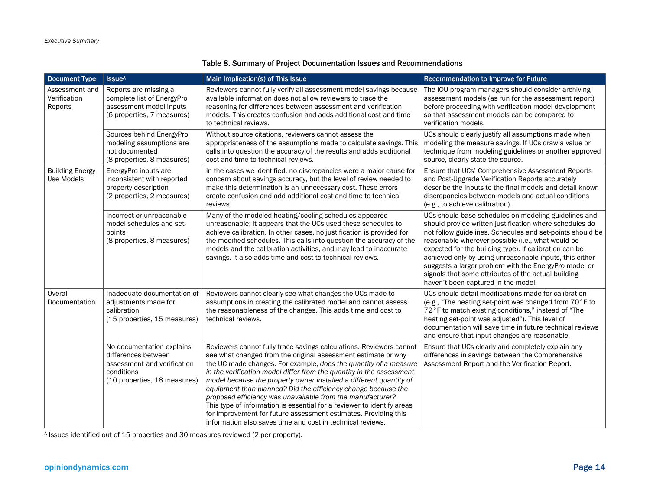#### Table 8. Summary of Project Documentation Issues and Recommendations

| <b>Document Type</b>                      | <b>Issue<sup>A</sup></b>                                                                                                      | Main Implication(s) of This Issue                                                                                                                                                                                                                                                                                                                                                                                                                                                                                                                                                                                                                                                                | Recommendation to Improve for Future                                                                                                                                                                                                                                                                                                                                                                                                                                                                          |
|-------------------------------------------|-------------------------------------------------------------------------------------------------------------------------------|--------------------------------------------------------------------------------------------------------------------------------------------------------------------------------------------------------------------------------------------------------------------------------------------------------------------------------------------------------------------------------------------------------------------------------------------------------------------------------------------------------------------------------------------------------------------------------------------------------------------------------------------------------------------------------------------------|---------------------------------------------------------------------------------------------------------------------------------------------------------------------------------------------------------------------------------------------------------------------------------------------------------------------------------------------------------------------------------------------------------------------------------------------------------------------------------------------------------------|
| Assessment and<br>Verification<br>Reports | Reports are missing a<br>complete list of EnergyPro<br>assessment model inputs<br>(6 properties, 7 measures)                  | Reviewers cannot fully verify all assessment model savings because<br>available information does not allow reviewers to trace the<br>reasoning for differences between assessment and verification<br>models. This creates confusion and adds additional cost and time<br>to technical reviews.                                                                                                                                                                                                                                                                                                                                                                                                  | The IOU program managers should consider archiving<br>assessment models (as run for the assessment report)<br>before proceeding with verification model development<br>so that assessment models can be compared to<br>verification models.                                                                                                                                                                                                                                                                   |
|                                           | Sources behind EnergyPro<br>modeling assumptions are<br>not documented<br>(8 properties, 8 measures)                          | Without source citations, reviewers cannot assess the<br>appropriateness of the assumptions made to calculate savings. This<br>calls into question the accuracy of the results and adds additional<br>cost and time to technical reviews.                                                                                                                                                                                                                                                                                                                                                                                                                                                        | UCs should clearly justify all assumptions made when<br>modeling the measure savings. If UCs draw a value or<br>technique from modeling guidelines or another approved<br>source, clearly state the source.                                                                                                                                                                                                                                                                                                   |
| <b>Building Energy</b><br>Use Models      | EnergyPro inputs are<br>inconsistent with reported<br>property description<br>(2 properties, 2 measures)                      | In the cases we identified, no discrepancies were a major cause for<br>concern about savings accuracy, but the level of review needed to<br>make this determination is an unnecessary cost. These errors<br>create confusion and add additional cost and time to technical<br>reviews.                                                                                                                                                                                                                                                                                                                                                                                                           | Ensure that UCs' Comprehensive Assessment Reports<br>and Post-Upgrade Verification Reports accurately<br>describe the inputs to the final models and detail known<br>discrepancies between models and actual conditions<br>(e.g., to achieve calibration).                                                                                                                                                                                                                                                    |
|                                           | Incorrect or unreasonable<br>model schedules and set-<br>points<br>(8 properties, 8 measures)                                 | Many of the modeled heating/cooling schedules appeared<br>unreasonable; it appears that the UCs used these schedules to<br>achieve calibration. In other cases, no justification is provided for<br>the modified schedules. This calls into question the accuracy of the<br>models and the calibration activities, and may lead to inaccurate<br>savings. It also adds time and cost to technical reviews.                                                                                                                                                                                                                                                                                       | UCs should base schedules on modeling guidelines and<br>should provide written justification where schedules do<br>not follow guidelines. Schedules and set-points should be<br>reasonable wherever possible (i.e., what would be<br>expected for the building type). If calibration can be<br>achieved only by using unreasonable inputs, this either<br>suggests a larger problem with the EnergyPro model or<br>signals that some attributes of the actual building<br>haven't been captured in the model. |
| Overall<br>Documentation                  | Inadequate documentation of<br>adjustments made for<br>calibration<br>(15 properties, 15 measures)                            | Reviewers cannot clearly see what changes the UCs made to<br>assumptions in creating the calibrated model and cannot assess<br>the reasonableness of the changes. This adds time and cost to<br>technical reviews.                                                                                                                                                                                                                                                                                                                                                                                                                                                                               | UCs should detail modifications made for calibration<br>(e.g., "The heating set-point was changed from 70°F to<br>72°F to match existing conditions," instead of "The<br>heating set-point was adjusted"). This level of<br>documentation will save time in future technical reviews<br>and ensure that input changes are reasonable.                                                                                                                                                                         |
|                                           | No documentation explains<br>differences between<br>assessment and verification<br>conditions<br>(10 properties, 18 measures) | Reviewers cannot fully trace savings calculations. Reviewers cannot<br>see what changed from the original assessment estimate or why<br>the UC made changes. For example, does the quantity of a measure<br>in the verification model differ from the quantity in the assessment<br>model because the property owner installed a different quantity of<br>equipment than planned? Did the efficiency change because the<br>proposed efficiency was unavailable from the manufacturer?<br>This type of information is essential for a reviewer to identify areas<br>for improvement for future assessment estimates. Providing this<br>information also saves time and cost in technical reviews. | Ensure that UCs clearly and completely explain any<br>differences in savings between the Comprehensive<br>Assessment Report and the Verification Report.                                                                                                                                                                                                                                                                                                                                                      |

A Issues identified out of 15 properties and 30 measures reviewed (2 per property).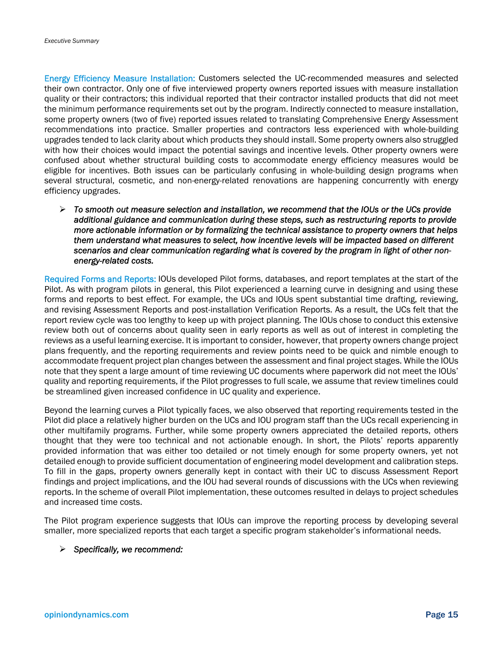Energy Efficiency Measure Installation: Customers selected the UC-recommended measures and selected their own contractor. Only one of five interviewed property owners reported issues with measure installation quality or their contractors; this individual reported that their contractor installed products that did not meet the minimum performance requirements set out by the program. Indirectly connected to measure installation, some property owners (two of five) reported issues related to translating Comprehensive Energy Assessment recommendations into practice. Smaller properties and contractors less experienced with whole-building upgrades tended to lack clarity about which products they should install. Some property owners also struggled with how their choices would impact the potential savings and incentive levels. Other property owners were confused about whether structural building costs to accommodate energy efficiency measures would be eligible for incentives. Both issues can be particularly confusing in whole-building design programs when several structural, cosmetic, and non-energy-related renovations are happening concurrently with energy efficiency upgrades.

 *To smooth out measure selection and installation, we recommend that the IOUs or the UCs provide additional guidance and communication during these steps, such as restructuring reports to provide more actionable information or by formalizing the technical assistance to property owners that helps them understand what measures to select, how incentive levels will be impacted based on different scenarios and clear communication regarding what is covered by the program in light of other nonenergy-related costs.*

Required Forms and Reports: IOUs developed Pilot forms, databases, and report templates at the start of the Pilot. As with program pilots in general, this Pilot experienced a learning curve in designing and using these forms and reports to best effect. For example, the UCs and IOUs spent substantial time drafting, reviewing, and revising Assessment Reports and post-installation Verification Reports. As a result, the UCs felt that the report review cycle was too lengthy to keep up with project planning. The IOUs chose to conduct this extensive review both out of concerns about quality seen in early reports as well as out of interest in completing the reviews as a useful learning exercise. It is important to consider, however, that property owners change project plans frequently, and the reporting requirements and review points need to be quick and nimble enough to accommodate frequent project plan changes between the assessment and final project stages. While the IOUs note that they spent a large amount of time reviewing UC documents where paperwork did not meet the IOUs' quality and reporting requirements, if the Pilot progresses to full scale, we assume that review timelines could be streamlined given increased confidence in UC quality and experience.

Beyond the learning curves a Pilot typically faces, we also observed that reporting requirements tested in the Pilot did place a relatively higher burden on the UCs and IOU program staff than the UCs recall experiencing in other multifamily programs. Further, while some property owners appreciated the detailed reports, others thought that they were too technical and not actionable enough. In short, the Pilots' reports apparently provided information that was either too detailed or not timely enough for some property owners, yet not detailed enough to provide sufficient documentation of engineering model development and calibration steps. To fill in the gaps, property owners generally kept in contact with their UC to discuss Assessment Report findings and project implications, and the IOU had several rounds of discussions with the UCs when reviewing reports. In the scheme of overall Pilot implementation, these outcomes resulted in delays to project schedules and increased time costs.

The Pilot program experience suggests that IOUs can improve the reporting process by developing several smaller, more specialized reports that each target a specific program stakeholder's informational needs.

#### *Specifically, we recommend:*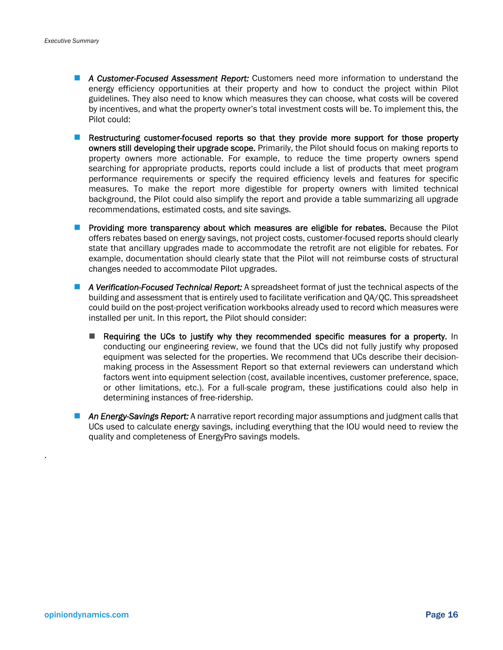- *A Customer-Focused Assessment Report:* Customers need more information to understand the energy efficiency opportunities at their property and how to conduct the project within Pilot guidelines. They also need to know which measures they can choose, what costs will be covered by incentives, and what the property owner's total investment costs will be. To implement this, the Pilot could:
- **Restructuring customer-focused reports so that they provide more support for those property** owners still developing their upgrade scope. Primarily, the Pilot should focus on making reports to property owners more actionable. For example, to reduce the time property owners spend searching for appropriate products, reports could include a list of products that meet program performance requirements or specify the required efficiency levels and features for specific measures. To make the report more digestible for property owners with limited technical background, the Pilot could also simplify the report and provide a table summarizing all upgrade recommendations, estimated costs, and site savings.
- **Providing more transparency about which measures are eligible for rebates.** Because the Pilot offers rebates based on energy savings, not project costs, customer-focused reports should clearly state that ancillary upgrades made to accommodate the retrofit are not eligible for rebates. For example, documentation should clearly state that the Pilot will not reimburse costs of structural changes needed to accommodate Pilot upgrades.
- *A Verification-Focused Technical Report:* A spreadsheet format of just the technical aspects of the building and assessment that is entirely used to facilitate verification and QA/QC. This spreadsheet could build on the post-project verification workbooks already used to record which measures were installed per unit. In this report, the Pilot should consider:
	- Requiring the UCs to justify why they recommended specific measures for a property. In conducting our engineering review, we found that the UCs did not fully justify why proposed equipment was selected for the properties. We recommend that UCs describe their decisionmaking process in the Assessment Report so that external reviewers can understand which factors went into equipment selection (cost, available incentives, customer preference, space, or other limitations, etc.). For a full-scale program, these justifications could also help in determining instances of free-ridership.
- **An Energy-Savings Report:** A narrative report recording major assumptions and judgment calls that UCs used to calculate energy savings, including everything that the IOU would need to review the quality and completeness of EnergyPro savings models.

.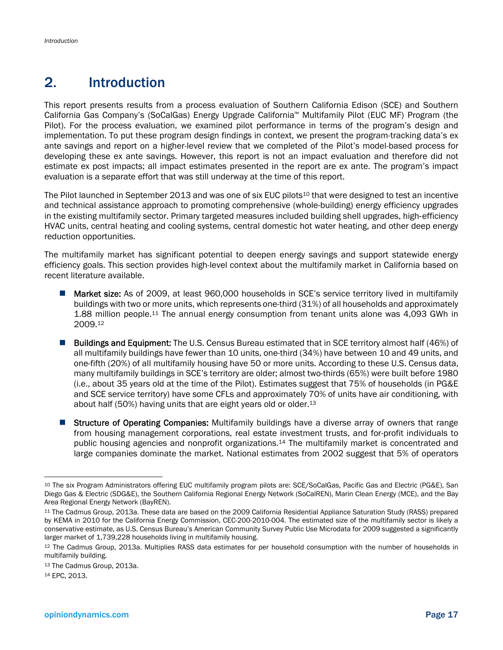# 2. Introduction

This report presents results from a process evaluation of Southern California Edison (SCE) and Southern California Gas Company's (SoCalGas) Energy Upgrade California™ Multifamily Pilot (EUC MF) Program (the Pilot). For the process evaluation, we examined pilot performance in terms of the program's design and implementation. To put these program design findings in context, we present the program-tracking data's ex ante savings and report on a higher-level review that we completed of the Pilot's model-based process for developing these ex ante savings. However, this report is not an impact evaluation and therefore did not estimate ex post impacts; all impact estimates presented in the report are ex ante. The program's impact evaluation is a separate effort that was still underway at the time of this report.

The Pilot launched in September 2013 and was one of six EUC pilots<sup>10</sup> that were designed to test an incentive and technical assistance approach to promoting comprehensive (whole-building) energy efficiency upgrades in the existing multifamily sector. Primary targeted measures included building shell upgrades, high‐efficiency HVAC units, central heating and cooling systems, central domestic hot water heating, and other deep energy reduction opportunities.

The multifamily market has significant potential to deepen energy savings and support statewide energy efficiency goals. This section provides high-level context about the multifamily market in California based on recent literature available.

- Market size: As of 2009, at least 960,000 households in SCE's service territory lived in multifamily buildings with two or more units, which represents one-third (31%) of all households and approximately 1.88 million people.11 The annual energy consumption from tenant units alone was 4,093 GWh in 2009.12
- **Buildings and Equipment:** The U.S. Census Bureau estimated that in SCE territory almost half (46%) of all multifamily buildings have fewer than 10 units, one-third (34%) have between 10 and 49 units, and one-fifth (20%) of all multifamily housing have 50 or more units. According to these U.S. Census data, many multifamily buildings in SCE's territory are older; almost two-thirds (65%) were built before 1980 (i.e., about 35 years old at the time of the Pilot). Estimates suggest that 75% of households (in PG&E and SCE service territory) have some CFLs and approximately 70% of units have air conditioning, with about half (50%) having units that are eight years old or older.<sup>13</sup>
- Structure of Operating Companies: Multifamily buildings have a diverse array of owners that range from housing management corporations, real estate investment trusts, and for-profit individuals to public housing agencies and nonprofit organizations.14 The multifamily market is concentrated and large companies dominate the market. National estimates from 2002 suggest that 5% of operators

14 EPC, 2013.

 $\overline{a}$ 

<sup>10</sup> The six Program Administrators offering EUC multifamily program pilots are: SCE/SoCalGas, Pacific Gas and Electric (PG&E), San Diego Gas & Electric (SDG&E), the Southern California Regional Energy Network (SoCalREN), Marin Clean Energy (MCE), and the Bay Area Regional Energy Network (BayREN).

<sup>11</sup> The Cadmus Group, 2013a. These data are based on the 2009 California Residential Appliance Saturation Study (RASS) prepared by KEMA in 2010 for the California Energy Commission, CEC-200-2010-004. The estimated size of the multifamily sector is likely a conservative estimate, as U.S. Census Bureau's American Community Survey Public Use Microdata for 2009 suggested a significantly larger market of 1,739,228 households living in multifamily housing.

<sup>12</sup> The Cadmus Group, 2013a. Multiplies RASS data estimates for per household consumption with the number of households in multifamily building.

<sup>13</sup> The Cadmus Group, 2013a.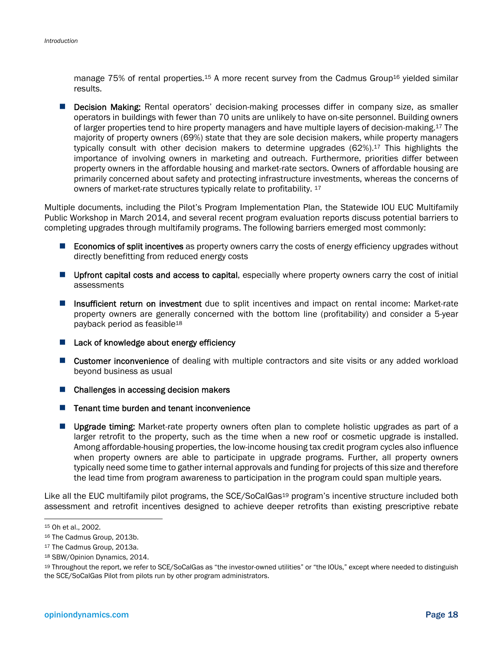manage 75% of rental properties.<sup>15</sup> A more recent survey from the Cadmus Group<sup>16</sup> yielded similar results.

**Decision Making:** Rental operators' decision-making processes differ in company size, as smaller operators in buildings with fewer than 70 units are unlikely to have on-site personnel. Building owners of larger properties tend to hire property managers and have multiple layers of decision-making.17 The majority of property owners (69%) state that they are sole decision makers, while property managers typically consult with other decision makers to determine upgrades (62%).17 This highlights the importance of involving owners in marketing and outreach. Furthermore, priorities differ between property owners in the affordable housing and market-rate sectors. Owners of affordable housing are primarily concerned about safety and protecting infrastructure investments, whereas the concerns of owners of market-rate structures typically relate to profitability. 17

Multiple documents, including the Pilot's Program Implementation Plan, the Statewide IOU EUC Multifamily Public Workshop in March 2014, and several recent program evaluation reports discuss potential barriers to completing upgrades through multifamily programs. The following barriers emerged most commonly:

- **Economics of split incentives** as property owners carry the costs of energy efficiency upgrades without directly benefitting from reduced energy costs
- **Upfront capital costs and access to capital,** especially where property owners carry the cost of initial assessments
- **Insufficient return on investment** due to split incentives and impact on rental income: Market-rate property owners are generally concerned with the bottom line (profitability) and consider a 5-year payback period as feasible18
- $\blacksquare$  Lack of knowledge about energy efficiency
- **E** Customer inconvenience of dealing with multiple contractors and site visits or any added workload beyond business as usual
- Challenges in accessing decision makers
- $\blacksquare$  Tenant time burden and tenant inconvenience
- **Upgrade timing:** Market-rate property owners often plan to complete holistic upgrades as part of a larger retrofit to the property, such as the time when a new roof or cosmetic upgrade is installed. Among affordable-housing properties, the low-income housing tax credit program cycles also influence when property owners are able to participate in upgrade programs. Further, all property owners typically need some time to gather internal approvals and funding for projects of this size and therefore the lead time from program awareness to participation in the program could span multiple years.

Like all the EUC multifamily pilot programs, the SCE/SoCalGas<sup>19</sup> program's incentive structure included both assessment and retrofit incentives designed to achieve deeper retrofits than existing prescriptive rebate

<sup>15</sup> Oh et al., 2002.

<sup>16</sup> The Cadmus Group, 2013b.

<sup>17</sup> The Cadmus Group, 2013a.

<sup>18</sup> SBW/Opinion Dynamics, 2014.

<sup>19</sup> Throughout the report, we refer to SCE/SoCalGas as "the investor-owned utilities" or "the IOUs," except where needed to distinguish the SCE/SoCalGas Pilot from pilots run by other program administrators.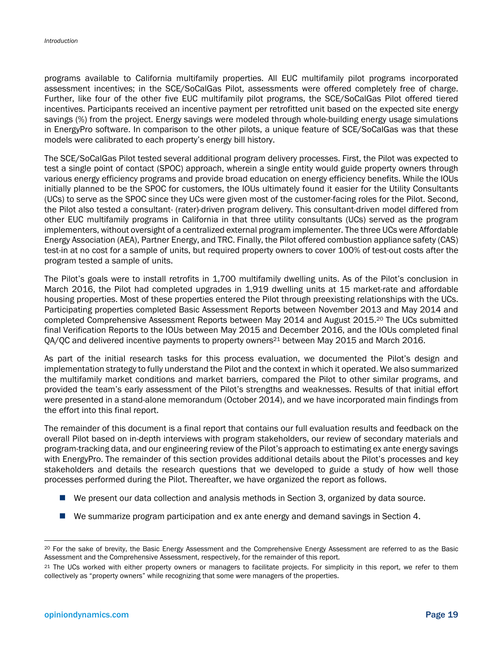programs available to California multifamily properties. All EUC multifamily pilot programs incorporated assessment incentives; in the SCE/SoCalGas Pilot, assessments were offered completely free of charge. Further, like four of the other five EUC multifamily pilot programs, the SCE/SoCalGas Pilot offered tiered incentives. Participants received an incentive payment per retrofitted unit based on the expected site energy savings (%) from the project. Energy savings were modeled through whole-building energy usage simulations in EnergyPro software. In comparison to the other pilots, a unique feature of SCE/SoCalGas was that these models were calibrated to each property's energy bill history.

The SCE/SoCalGas Pilot tested several additional program delivery processes. First, the Pilot was expected to test a single point of contact (SPOC) approach, wherein a single entity would guide property owners through various energy efficiency programs and provide broad education on energy efficiency benefits. While the IOUs initially planned to be the SPOC for customers, the IOUs ultimately found it easier for the Utility Consultants (UCs) to serve as the SPOC since they UCs were given most of the customer-facing roles for the Pilot. Second, the Pilot also tested a consultant- (rater)-driven program delivery. This consultant-driven model differed from other EUC multifamily programs in California in that three utility consultants (UCs) served as the program implementers, without oversight of a centralized external program implementer. The three UCs were Affordable Energy Association (AEA), Partner Energy, and TRC. Finally, the Pilot offered combustion appliance safety (CAS) test-in at no cost for a sample of units, but required property owners to cover 100% of test-out costs after the program tested a sample of units.

The Pilot's goals were to install retrofits in 1,700 multifamily dwelling units. As of the Pilot's conclusion in March 2016, the Pilot had completed upgrades in 1,919 dwelling units at 15 market-rate and affordable housing properties. Most of these properties entered the Pilot through preexisting relationships with the UCs. Participating properties completed Basic Assessment Reports between November 2013 and May 2014 and completed Comprehensive Assessment Reports between May 2014 and August 2015.20 The UCs submitted final Verification Reports to the IOUs between May 2015 and December 2016, and the IOUs completed final QA/QC and delivered incentive payments to property owners<sup>21</sup> between May 2015 and March 2016.

As part of the initial research tasks for this process evaluation, we documented the Pilot's design and implementation strategy to fully understand the Pilot and the context in which it operated. We also summarized the multifamily market conditions and market barriers, compared the Pilot to other similar programs, and provided the team's early assessment of the Pilot's strengths and weaknesses. Results of that initial effort were presented in a stand-alone memorandum (October 2014), and we have incorporated main findings from the effort into this final report.

The remainder of this document is a final report that contains our full evaluation results and feedback on the overall Pilot based on in-depth interviews with program stakeholders, our review of secondary materials and program-tracking data, and our engineering review of the Pilot's approach to estimating ex ante energy savings with EnergyPro. The remainder of this section provides additional details about the Pilot's processes and key stakeholders and details the research questions that we developed to guide a study of how well those processes performed during the Pilot. Thereafter, we have organized the report as follows.

- We present our data collection and analysis methods in Section 3, organized by data source.
- We summarize program participation and ex ante energy and demand savings in Section 4.

1

<sup>&</sup>lt;sup>20</sup> For the sake of brevity, the Basic Energy Assessment and the Comprehensive Energy Assessment are referred to as the Basic Assessment and the Comprehensive Assessment, respectively, for the remainder of this report.

<sup>&</sup>lt;sup>21</sup> The UCs worked with either property owners or managers to facilitate projects. For simplicity in this report, we refer to them collectively as "property owners" while recognizing that some were managers of the properties.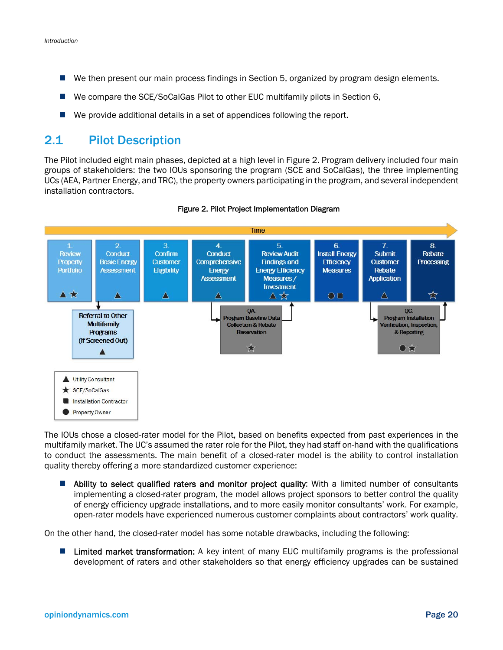- We then present our main process findings in Section 5, organized by program design elements.
- We compare the SCE/SoCalGas Pilot to other EUC multifamily pilots in Section 6,
- We provide additional details in a set of appendices following the report.

## 2.1 Pilot Description

The Pilot included eight main phases, depicted at a high level in Figure 2. Program delivery included four main groups of stakeholders: the two IOUs sponsoring the program (SCE and SoCalGas), the three implementing UCs (AEA, Partner Energy, and TRC), the property owners participating in the program, and several independent installation contractors.



Figure 2. Pilot Project Implementation Diagram

The IOUs chose a closed-rater model for the Pilot, based on benefits expected from past experiences in the multifamily market. The UC's assumed the rater role for the Pilot, they had staff on-hand with the qualifications to conduct the assessments. The main benefit of a closed-rater model is the ability to control installation quality thereby offering a more standardized customer experience:

**Ability to select qualified raters and monitor project quality:** With a limited number of consultants implementing a closed-rater program, the model allows project sponsors to better control the quality of energy efficiency upgrade installations, and to more easily monitor consultants' work. For example, open-rater models have experienced numerous customer complaints about contractors' work quality.

On the other hand, the closed-rater model has some notable drawbacks, including the following:

**Limited market transformation:** A key intent of many EUC multifamily programs is the professional development of raters and other stakeholders so that energy efficiency upgrades can be sustained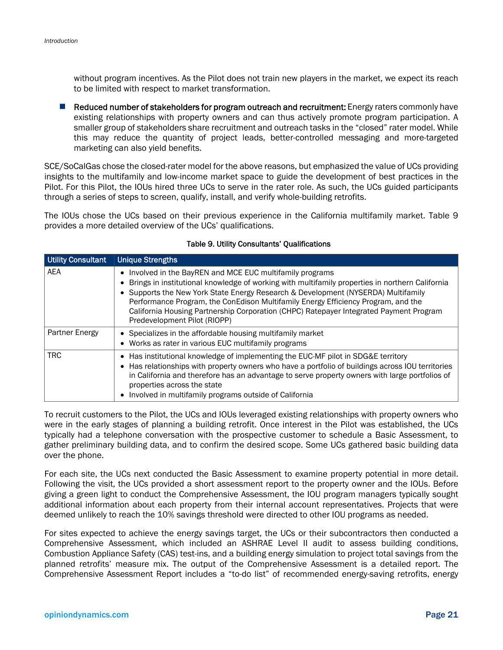without program incentives. As the Pilot does not train new players in the market, we expect its reach to be limited with respect to market transformation.

Reduced number of stakeholders for program outreach and recruitment: Energy raters commonly have existing relationships with property owners and can thus actively promote program participation. A smaller group of stakeholders share recruitment and outreach tasks in the "closed" rater model. While this may reduce the quantity of project leads, better-controlled messaging and more-targeted marketing can also yield benefits.

SCE/SoCalGas chose the closed-rater model for the above reasons, but emphasized the value of UCs providing insights to the multifamily and low-income market space to guide the development of best practices in the Pilot. For this Pilot, the IOUs hired three UCs to serve in the rater role. As such, the UCs guided participants through a series of steps to screen, qualify, install, and verify whole-building retrofits.

The IOUs chose the UCs based on their previous experience in the California multifamily market. Table 9 provides a more detailed overview of the UCs' qualifications.

| <b>Utility Consultant</b> | <b>Unique Strengths</b>                                                                                                                                                                                                                                                                                                                                                                                                                                        |
|---------------------------|----------------------------------------------------------------------------------------------------------------------------------------------------------------------------------------------------------------------------------------------------------------------------------------------------------------------------------------------------------------------------------------------------------------------------------------------------------------|
| <b>AEA</b>                | • Involved in the BayREN and MCE EUC multifamily programs<br>Brings in institutional knowledge of working with multifamily properties in northern California<br>Supports the New York State Energy Research & Development (NYSERDA) Multifamily<br>Performance Program, the ConEdison Multifamily Energy Efficiency Program, and the<br>California Housing Partnership Corporation (CHPC) Ratepayer Integrated Payment Program<br>Predevelopment Pilot (RIOPP) |
| Partner Energy            | Specializes in the affordable housing multifamily market<br>• Works as rater in various EUC multifamily programs                                                                                                                                                                                                                                                                                                                                               |
| TRC.                      | • Has institutional knowledge of implementing the EUC-MF pilot in SDG&E territory<br>• Has relationships with property owners who have a portfolio of buildings across IOU territories<br>in California and therefore has an advantage to serve property owners with large portfolios of<br>properties across the state<br>Involved in multifamily programs outside of California                                                                              |

#### Table 9. Utility Consultants' Qualifications

To recruit customers to the Pilot, the UCs and IOUs leveraged existing relationships with property owners who were in the early stages of planning a building retrofit. Once interest in the Pilot was established, the UCs typically had a telephone conversation with the prospective customer to schedule a Basic Assessment, to gather preliminary building data, and to confirm the desired scope. Some UCs gathered basic building data over the phone.

For each site, the UCs next conducted the Basic Assessment to examine property potential in more detail. Following the visit, the UCs provided a short assessment report to the property owner and the IOUs. Before giving a green light to conduct the Comprehensive Assessment, the IOU program managers typically sought additional information about each property from their internal account representatives. Projects that were deemed unlikely to reach the 10% savings threshold were directed to other IOU programs as needed.

For sites expected to achieve the energy savings target, the UCs or their subcontractors then conducted a Comprehensive Assessment, which included an ASHRAE Level II audit to assess building conditions, Combustion Appliance Safety (CAS) test-ins, and a building energy simulation to project total savings from the planned retrofits' measure mix. The output of the Comprehensive Assessment is a detailed report. The Comprehensive Assessment Report includes a "to-do list" of recommended energy-saving retrofits, energy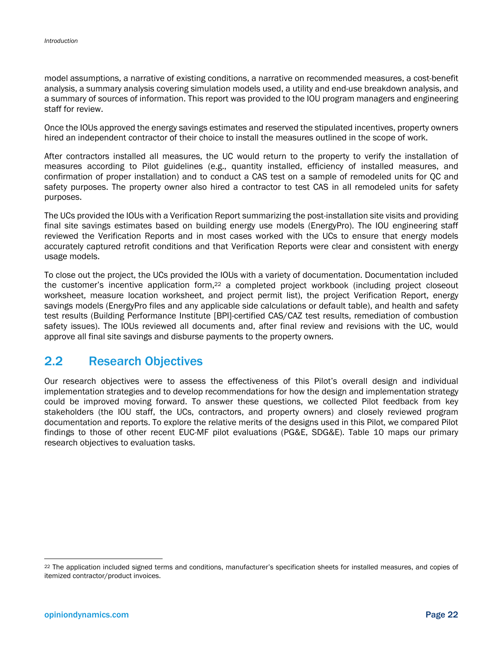model assumptions, a narrative of existing conditions, a narrative on recommended measures, a cost-benefit analysis, a summary analysis covering simulation models used, a utility and end-use breakdown analysis, and a summary of sources of information. This report was provided to the IOU program managers and engineering staff for review.

Once the IOUs approved the energy savings estimates and reserved the stipulated incentives, property owners hired an independent contractor of their choice to install the measures outlined in the scope of work.

After contractors installed all measures, the UC would return to the property to verify the installation of measures according to Pilot guidelines (e.g., quantity installed, efficiency of installed measures, and confirmation of proper installation) and to conduct a CAS test on a sample of remodeled units for QC and safety purposes. The property owner also hired a contractor to test CAS in all remodeled units for safety purposes.

The UCs provided the IOUs with a Verification Report summarizing the post-installation site visits and providing final site savings estimates based on building energy use models (EnergyPro). The IOU engineering staff reviewed the Verification Reports and in most cases worked with the UCs to ensure that energy models accurately captured retrofit conditions and that Verification Reports were clear and consistent with energy usage models.

To close out the project, the UCs provided the IOUs with a variety of documentation. Documentation included the customer's incentive application form,<sup>22</sup> a completed project workbook (including project closeout worksheet, measure location worksheet, and project permit list), the project Verification Report, energy savings models (EnergyPro files and any applicable side calculations or default table), and health and safety test results (Building Performance Institute [BPI]-certified CAS/CAZ test results, remediation of combustion safety issues). The IOUs reviewed all documents and, after final review and revisions with the UC, would approve all final site savings and disburse payments to the property owners.

# 2.2 Research Objectives

Our research objectives were to assess the effectiveness of this Pilot's overall design and individual implementation strategies and to develop recommendations for how the design and implementation strategy could be improved moving forward. To answer these questions, we collected Pilot feedback from key stakeholders (the IOU staff, the UCs, contractors, and property owners) and closely reviewed program documentation and reports. To explore the relative merits of the designs used in this Pilot, we compared Pilot findings to those of other recent EUC-MF pilot evaluations (PG&E, SDG&E). Table 10 maps our primary research objectives to evaluation tasks.

l

<sup>22</sup> The application included signed terms and conditions, manufacturer's specification sheets for installed measures, and copies of itemized contractor/product invoices.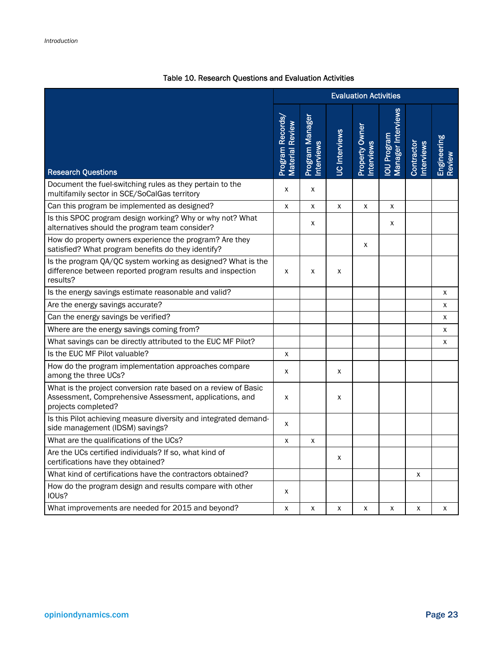|                                                                                                                                                  | <b>Evaluation Activities</b>              |                              |               |                              |                                   |                                 |                              |
|--------------------------------------------------------------------------------------------------------------------------------------------------|-------------------------------------------|------------------------------|---------------|------------------------------|-----------------------------------|---------------------------------|------------------------------|
| <b>Research Questions</b>                                                                                                                        | Program Records<br><b>Material Review</b> | Program Manager<br>nterviews | UC Interviews | Property Owner<br>Interviews | Manager Interviews<br>lou Program | <b>Interviews</b><br>Contractor | <b>Engineering</b><br>Review |
| Document the fuel-switching rules as they pertain to the<br>multifamily sector in SCE/SoCalGas territory                                         | X                                         | X                            |               |                              |                                   |                                 |                              |
| Can this program be implemented as designed?                                                                                                     | X                                         | X                            | X             | X                            | X                                 |                                 |                              |
| Is this SPOC program design working? Why or why not? What<br>alternatives should the program team consider?                                      |                                           | x                            |               |                              | X                                 |                                 |                              |
| How do property owners experience the program? Are they<br>satisfied? What program benefits do they identify?                                    |                                           |                              |               | X                            |                                   |                                 |                              |
| Is the program QA/QC system working as designed? What is the<br>difference between reported program results and inspection<br>results?           | X                                         | x                            | x             |                              |                                   |                                 |                              |
| Is the energy savings estimate reasonable and valid?                                                                                             |                                           |                              |               |                              |                                   |                                 | X                            |
| Are the energy savings accurate?                                                                                                                 |                                           |                              |               |                              |                                   |                                 | х                            |
| Can the energy savings be verified?                                                                                                              |                                           |                              |               |                              |                                   |                                 | X                            |
| Where are the energy savings coming from?                                                                                                        |                                           |                              |               |                              |                                   |                                 | х                            |
| What savings can be directly attributed to the EUC MF Pilot?                                                                                     |                                           |                              |               |                              |                                   |                                 | X                            |
| Is the EUC MF Pilot valuable?                                                                                                                    | X                                         |                              |               |                              |                                   |                                 |                              |
| How do the program implementation approaches compare<br>among the three UCs?                                                                     | X                                         |                              | x             |                              |                                   |                                 |                              |
| What is the project conversion rate based on a review of Basic<br>Assessment, Comprehensive Assessment, applications, and<br>projects completed? | X                                         |                              | X             |                              |                                   |                                 |                              |
| Is this Pilot achieving measure diversity and integrated demand-<br>side management (IDSM) savings?                                              | x                                         |                              |               |                              |                                   |                                 |                              |
| What are the qualifications of the UCs?                                                                                                          | x                                         | x                            |               |                              |                                   |                                 |                              |
| Are the UCs certified individuals? If so, what kind of<br>certifications have they obtained?                                                     |                                           |                              | x             |                              |                                   |                                 |                              |
| What kind of certifications have the contractors obtained?                                                                                       |                                           |                              |               |                              |                                   | x                               |                              |
| How do the program design and results compare with other<br>IOUs?                                                                                | X                                         |                              |               |                              |                                   |                                 |                              |
| What improvements are needed for 2015 and beyond?                                                                                                | x                                         | X                            | X             | X                            | X                                 | X                               | X                            |

### Table 10. Research Questions and Evaluation Activities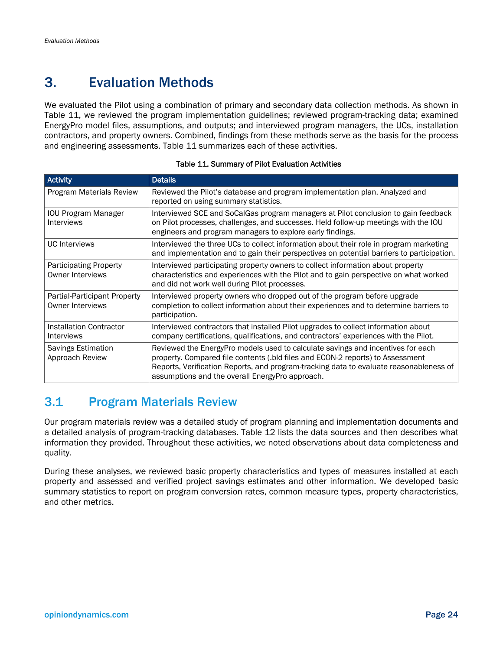# 3. Evaluation Methods

We evaluated the Pilot using a combination of primary and secondary data collection methods. As shown in Table 11, we reviewed the program implementation guidelines; reviewed program-tracking data; examined EnergyPro model files, assumptions, and outputs; and interviewed program managers, the UCs, installation contractors, and property owners. Combined, findings from these methods serve as the basis for the process and engineering assessments. Table 11 summarizes each of these activities.

| <b>Activity</b>                                          | <b>Details</b>                                                                                                                                                                                                                                                                                                 |
|----------------------------------------------------------|----------------------------------------------------------------------------------------------------------------------------------------------------------------------------------------------------------------------------------------------------------------------------------------------------------------|
| Program Materials Review                                 | Reviewed the Pilot's database and program implementation plan. Analyzed and<br>reported on using summary statistics.                                                                                                                                                                                           |
| <b>IOU Program Manager</b><br><b>Interviews</b>          | Interviewed SCE and SoCalGas program managers at Pilot conclusion to gain feedback<br>on Pilot processes, challenges, and successes. Held follow-up meetings with the IOU<br>engineers and program managers to explore early findings.                                                                         |
| <b>UC</b> Interviews                                     | Interviewed the three UCs to collect information about their role in program marketing<br>and implementation and to gain their perspectives on potential barriers to participation.                                                                                                                            |
| <b>Participating Property</b><br><b>Owner Interviews</b> | Interviewed participating property owners to collect information about property<br>characteristics and experiences with the Pilot and to gain perspective on what worked<br>and did not work well during Pilot processes.                                                                                      |
| Partial-Participant Property<br><b>Owner Interviews</b>  | Interviewed property owners who dropped out of the program before upgrade<br>completion to collect information about their experiences and to determine barriers to<br>participation.                                                                                                                          |
| Installation Contractor<br>Interviews                    | Interviewed contractors that installed Pilot upgrades to collect information about<br>company certifications, qualifications, and contractors' experiences with the Pilot.                                                                                                                                     |
| Savings Estimation<br>Approach Review                    | Reviewed the EnergyPro models used to calculate savings and incentives for each<br>property. Compared file contents (.bld files and ECON-2 reports) to Assessment<br>Reports, Verification Reports, and program-tracking data to evaluate reasonableness of<br>assumptions and the overall EnergyPro approach. |

#### Table 11. Summary of Pilot Evaluation Activities

# 3.1 Program Materials Review

Our program materials review was a detailed study of program planning and implementation documents and a detailed analysis of program-tracking databases. Table 12 lists the data sources and then describes what information they provided. Throughout these activities, we noted observations about data completeness and quality.

During these analyses, we reviewed basic property characteristics and types of measures installed at each property and assessed and verified project savings estimates and other information. We developed basic summary statistics to report on program conversion rates, common measure types, property characteristics, and other metrics.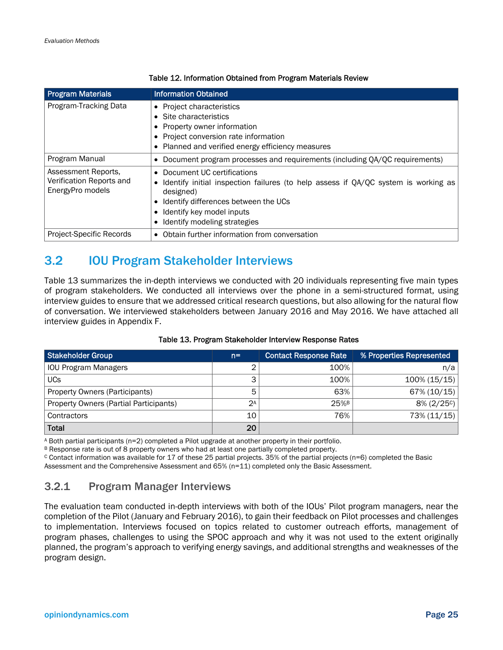| <b>Program Materials</b>                                            | <b>Information Obtained</b>                                                                                                                                                                                                        |
|---------------------------------------------------------------------|------------------------------------------------------------------------------------------------------------------------------------------------------------------------------------------------------------------------------------|
| Program-Tracking Data                                               | • Project characteristics<br>• Site characteristics<br>Property owner information<br>• Project conversion rate information<br>• Planned and verified energy efficiency measures                                                    |
| Program Manual                                                      | Document program processes and requirements (including QA/QC requirements)                                                                                                                                                         |
| Assessment Reports,<br>Verification Reports and<br>EnergyPro models | Document UC certifications<br>Identify initial inspection failures (to help assess if QA/QC system is working as<br>designed)<br>Identify differences between the UCs<br>Identify key model inputs<br>Identify modeling strategies |
| Project-Specific Records                                            | Obtain further information from conversation                                                                                                                                                                                       |

#### Table 12. Information Obtained from Program Materials Review

# 3.2 IOU Program Stakeholder Interviews

Table 13 summarizes the in-depth interviews we conducted with 20 individuals representing five main types of program stakeholders. We conducted all interviews over the phone in a semi-structured format, using interview guides to ensure that we addressed critical research questions, but also allowing for the natural flow of conversation. We interviewed stakeholders between January 2016 and May 2016. We have attached all interview guides in Appendix F.

| Stakeholder Group                      | $n =$ | <b>Contact Response Rate</b> | % Properties Represented |
|----------------------------------------|-------|------------------------------|--------------------------|
| <b>IOU Program Managers</b>            | ົ     | 100%                         | n/a                      |
| <b>UCs</b>                             | 3     | 100%                         | 100% (15/15)             |
| Property Owners (Participants)         | 5     | 63%                          | 67% (10/15)              |
| Property Owners (Partial Participants) | 2A    | $25%$ <sup>B</sup>           | $8\% (2/25c)$            |
| Contractors                            | 10    | 76%                          | 73% (11/15)              |
| Total                                  | 20    |                              |                          |

#### Table 13. Program Stakeholder Interview Response Rates

A Both partial participants (n=2) completed a Pilot upgrade at another property in their portfolio.

B Response rate is out of 8 property owners who had at least one partially completed property.<br>C Contact information was available for 17 of these 25 partial projects. 35% of the partial projects (n=6) completed the Basic Assessment and the Comprehensive Assessment and 65% (n=11) completed only the Basic Assessment.

#### 3.2.1 Program Manager Interviews

The evaluation team conducted in-depth interviews with both of the IOUs' Pilot program managers, near the completion of the Pilot (January and February 2016), to gain their feedback on Pilot processes and challenges to implementation. Interviews focused on topics related to customer outreach efforts, management of program phases, challenges to using the SPOC approach and why it was not used to the extent originally planned, the program's approach to verifying energy savings, and additional strengths and weaknesses of the program design.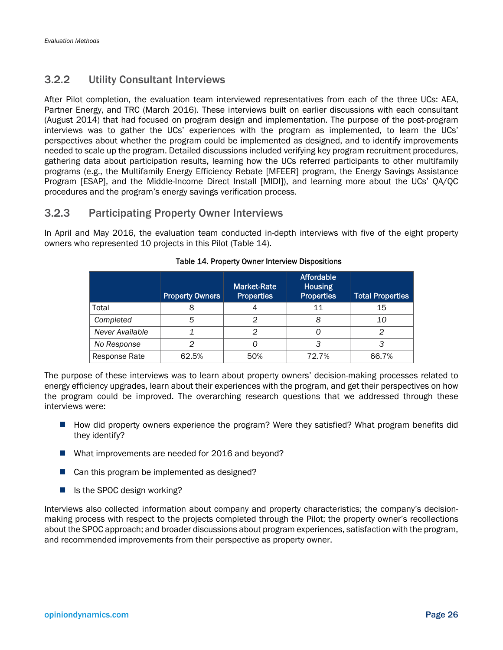### 3.2.2 Utility Consultant Interviews

After Pilot completion, the evaluation team interviewed representatives from each of the three UCs: AEA, Partner Energy, and TRC (March 2016). These interviews built on earlier discussions with each consultant (August 2014) that had focused on program design and implementation. The purpose of the post-program interviews was to gather the UCs' experiences with the program as implemented, to learn the UCs' perspectives about whether the program could be implemented as designed, and to identify improvements needed to scale up the program. Detailed discussions included verifying key program recruitment procedures, gathering data about participation results, learning how the UCs referred participants to other multifamily programs (e.g., the Multifamily Energy Efficiency Rebate [MFEER] program, the Energy Savings Assistance Program [ESAP], and the Middle-Income Direct Install [MIDI]), and learning more about the UCs' QA/QC procedures and the program's energy savings verification process.

### 3.2.3 Participating Property Owner Interviews

In April and May 2016, the evaluation team conducted in-depth interviews with five of the eight property owners who represented 10 projects in this Pilot (Table 14).

|                 | <b>Property Owners</b> | <b>Market-Rate</b><br><b>Properties</b> | <b>Affordable</b><br><b>Housing</b><br><b>Properties</b> | <b>Total Properties</b> |
|-----------------|------------------------|-----------------------------------------|----------------------------------------------------------|-------------------------|
| Total           |                        |                                         | 11                                                       | 15                      |
| Completed       | 5                      | っ                                       | 8                                                        | 10                      |
| Never Available |                        | っ                                       |                                                          | ◠                       |
| No Response     |                        |                                         | э                                                        |                         |
| Response Rate   | 62.5%                  | 50%                                     | 72.7%                                                    | 66.7%                   |

#### Table 14. Property Owner Interview Dispositions

The purpose of these interviews was to learn about property owners' decision-making processes related to energy efficiency upgrades, learn about their experiences with the program, and get their perspectives on how the program could be improved. The overarching research questions that we addressed through these interviews were:

- How did property owners experience the program? Were they satisfied? What program benefits did they identify?
- What improvements are needed for 2016 and beyond?
- $\blacksquare$  Can this program be implemented as designed?
- $\blacksquare$  Is the SPOC design working?

Interviews also collected information about company and property characteristics; the company's decisionmaking process with respect to the projects completed through the Pilot; the property owner's recollections about the SPOC approach; and broader discussions about program experiences, satisfaction with the program, and recommended improvements from their perspective as property owner.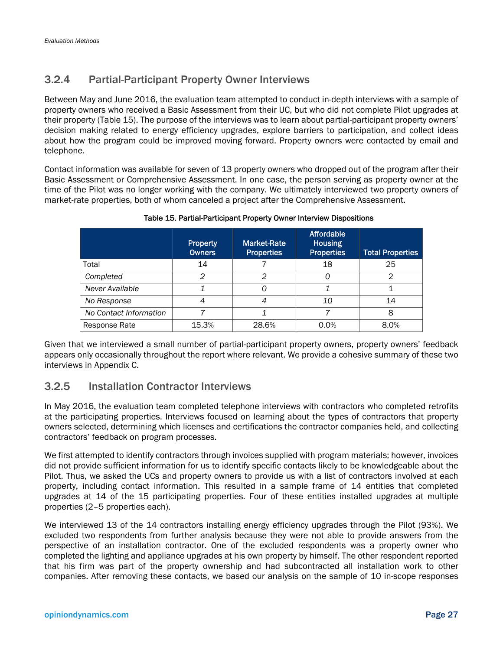### 3.2.4 Partial-Participant Property Owner Interviews

Between May and June 2016, the evaluation team attempted to conduct in-depth interviews with a sample of property owners who received a Basic Assessment from their UC, but who did not complete Pilot upgrades at their property (Table 15). The purpose of the interviews was to learn about partial-participant property owners' decision making related to energy efficiency upgrades, explore barriers to participation, and collect ideas about how the program could be improved moving forward. Property owners were contacted by email and telephone.

Contact information was available for seven of 13 property owners who dropped out of the program after their Basic Assessment or Comprehensive Assessment. In one case, the person serving as property owner at the time of the Pilot was no longer working with the company. We ultimately interviewed two property owners of market-rate properties, both of whom canceled a project after the Comprehensive Assessment.

|                        | <b>Property</b><br><b>Owners</b> | <b>Market-Rate</b><br><b>Properties</b> | <b>Affordable</b><br><b>Housing</b><br><b>Properties</b> | <b>Total Properties</b> |  |
|------------------------|----------------------------------|-----------------------------------------|----------------------------------------------------------|-------------------------|--|
| Total                  | 14                               |                                         | 18                                                       | 25                      |  |
| Completed              | 2                                | 2                                       | Ω                                                        | 2                       |  |
| Never Available        |                                  | Ω                                       |                                                          |                         |  |
| No Response            | 4                                |                                         | 10                                                       | 14                      |  |
| No Contact Information |                                  |                                         |                                                          | 8                       |  |
| Response Rate          | 15.3%                            | 28.6%                                   | 0.0%                                                     | 8.0%                    |  |

#### Table 15. Partial-Participant Property Owner Interview Dispositions

Given that we interviewed a small number of partial-participant property owners, property owners' feedback appears only occasionally throughout the report where relevant. We provide a cohesive summary of these two interviews in Appendix C.

### 3.2.5 Installation Contractor Interviews

In May 2016, the evaluation team completed telephone interviews with contractors who completed retrofits at the participating properties. Interviews focused on learning about the types of contractors that property owners selected, determining which licenses and certifications the contractor companies held, and collecting contractors' feedback on program processes.

We first attempted to identify contractors through invoices supplied with program materials; however, invoices did not provide sufficient information for us to identify specific contacts likely to be knowledgeable about the Pilot. Thus, we asked the UCs and property owners to provide us with a list of contractors involved at each property, including contact information. This resulted in a sample frame of 14 entities that completed upgrades at 14 of the 15 participating properties. Four of these entities installed upgrades at multiple properties (2–5 properties each).

We interviewed 13 of the 14 contractors installing energy efficiency upgrades through the Pilot (93%). We excluded two respondents from further analysis because they were not able to provide answers from the perspective of an installation contractor. One of the excluded respondents was a property owner who completed the lighting and appliance upgrades at his own property by himself. The other respondent reported that his firm was part of the property ownership and had subcontracted all installation work to other companies. After removing these contacts, we based our analysis on the sample of 10 in-scope responses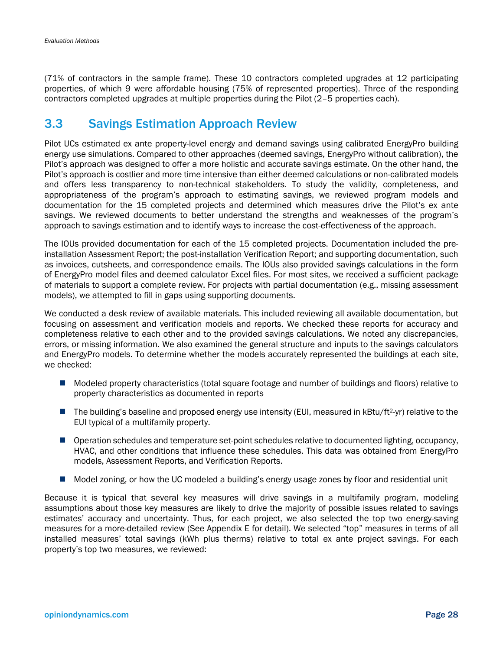(71% of contractors in the sample frame). These 10 contractors completed upgrades at 12 participating properties, of which 9 were affordable housing (75% of represented properties). Three of the responding contractors completed upgrades at multiple properties during the Pilot (2–5 properties each).

## 3.3 Savings Estimation Approach Review

Pilot UCs estimated ex ante property-level energy and demand savings using calibrated EnergyPro building energy use simulations. Compared to other approaches (deemed savings, EnergyPro without calibration), the Pilot's approach was designed to offer a more holistic and accurate savings estimate. On the other hand, the Pilot's approach is costlier and more time intensive than either deemed calculations or non-calibrated models and offers less transparency to non-technical stakeholders. To study the validity, completeness, and appropriateness of the program's approach to estimating savings, we reviewed program models and documentation for the 15 completed projects and determined which measures drive the Pilot's ex ante savings. We reviewed documents to better understand the strengths and weaknesses of the program's approach to savings estimation and to identify ways to increase the cost-effectiveness of the approach.

The IOUs provided documentation for each of the 15 completed projects. Documentation included the preinstallation Assessment Report; the post-installation Verification Report; and supporting documentation, such as invoices, cutsheets, and correspondence emails. The IOUs also provided savings calculations in the form of EnergyPro model files and deemed calculator Excel files. For most sites, we received a sufficient package of materials to support a complete review. For projects with partial documentation (e.g., missing assessment models), we attempted to fill in gaps using supporting documents.

We conducted a desk review of available materials. This included reviewing all available documentation, but focusing on assessment and verification models and reports. We checked these reports for accuracy and completeness relative to each other and to the provided savings calculations. We noted any discrepancies, errors, or missing information. We also examined the general structure and inputs to the savings calculators and EnergyPro models. To determine whether the models accurately represented the buildings at each site, we checked:

- Modeled property characteristics (total square footage and number of buildings and floors) relative to property characteristics as documented in reports
- The building's baseline and proposed energy use intensity (EUI, measured in  $kBtu/ft^2-yr$ ) relative to the EUI typical of a multifamily property.
- **Operation schedules and temperature set-point schedules relative to documented lighting, occupancy,** HVAC, and other conditions that influence these schedules. This data was obtained from EnergyPro models, Assessment Reports, and Verification Reports.
- Model zoning, or how the UC modeled a building's energy usage zones by floor and residential unit

Because it is typical that several key measures will drive savings in a multifamily program, modeling assumptions about those key measures are likely to drive the majority of possible issues related to savings estimates' accuracy and uncertainty. Thus, for each project, we also selected the top two energy-saving measures for a more-detailed review (See Appendix E for detail). We selected "top" measures in terms of all installed measures' total savings (kWh plus therms) relative to total ex ante project savings. For each property's top two measures, we reviewed: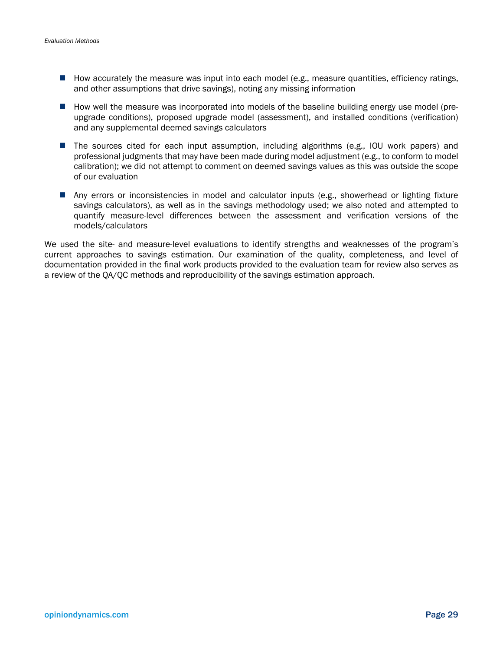- **H** How accurately the measure was input into each model (e.g., measure quantities, efficiency ratings, and other assumptions that drive savings), noting any missing information
- **How well the measure was incorporated into models of the baseline building energy use model (pre**upgrade conditions), proposed upgrade model (assessment), and installed conditions (verification) and any supplemental deemed savings calculators
- **The sources cited for each input assumption, including algorithms (e.g., IOU work papers) and** professional judgments that may have been made during model adjustment (e.g., to conform to model calibration); we did not attempt to comment on deemed savings values as this was outside the scope of our evaluation
- Any errors or inconsistencies in model and calculator inputs (e.g., showerhead or lighting fixture savings calculators), as well as in the savings methodology used; we also noted and attempted to quantify measure-level differences between the assessment and verification versions of the models/calculators

We used the site- and measure-level evaluations to identify strengths and weaknesses of the program's current approaches to savings estimation. Our examination of the quality, completeness, and level of documentation provided in the final work products provided to the evaluation team for review also serves as a review of the QA/QC methods and reproducibility of the savings estimation approach.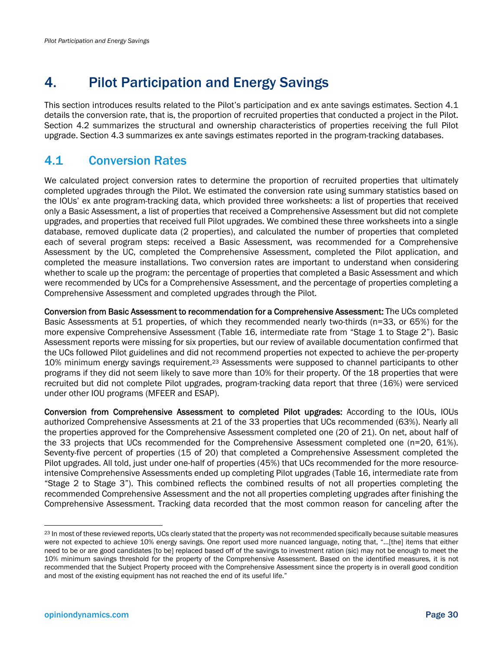# 4. Pilot Participation and Energy Savings

This section introduces results related to the Pilot's participation and ex ante savings estimates. Section 4.1 details the conversion rate, that is, the proportion of recruited properties that conducted a project in the Pilot. Section 4.2 summarizes the structural and ownership characteristics of properties receiving the full Pilot upgrade. Section 4.3 summarizes ex ante savings estimates reported in the program-tracking databases.

# 4.1 Conversion Rates

We calculated project conversion rates to determine the proportion of recruited properties that ultimately completed upgrades through the Pilot. We estimated the conversion rate using summary statistics based on the IOUs' ex ante program-tracking data, which provided three worksheets: a list of properties that received only a Basic Assessment, a list of properties that received a Comprehensive Assessment but did not complete upgrades, and properties that received full Pilot upgrades. We combined these three worksheets into a single database, removed duplicate data (2 properties), and calculated the number of properties that completed each of several program steps: received a Basic Assessment, was recommended for a Comprehensive Assessment by the UC, completed the Comprehensive Assessment, completed the Pilot application, and completed the measure installations. Two conversion rates are important to understand when considering whether to scale up the program: the percentage of properties that completed a Basic Assessment and which were recommended by UCs for a Comprehensive Assessment, and the percentage of properties completing a Comprehensive Assessment and completed upgrades through the Pilot.

Conversion from Basic Assessment to recommendation for a Comprehensive Assessment: The UCs completed Basic Assessments at 51 properties, of which they recommended nearly two-thirds (n=33, or 65%) for the more expensive Comprehensive Assessment (Table 16, intermediate rate from "Stage 1 to Stage 2"). Basic Assessment reports were missing for six properties, but our review of available documentation confirmed that the UCs followed Pilot guidelines and did not recommend properties not expected to achieve the per-property 10% minimum energy savings requirement.23 Assessments were supposed to channel participants to other programs if they did not seem likely to save more than 10% for their property. Of the 18 properties that were recruited but did not complete Pilot upgrades, program-tracking data report that three (16%) were serviced under other IOU programs (MFEER and ESAP).

Conversion from Comprehensive Assessment to completed Pilot upgrades: According to the IOUs, IOUs authorized Comprehensive Assessments at 21 of the 33 properties that UCs recommended (63%). Nearly all the properties approved for the Comprehensive Assessment completed one (20 of 21). On net, about half of the 33 projects that UCs recommended for the Comprehensive Assessment completed one (n=20, 61%). Seventy-five percent of properties (15 of 20) that completed a Comprehensive Assessment completed the Pilot upgrades. All told, just under one-half of properties (45%) that UCs recommended for the more resourceintensive Comprehensive Assessments ended up completing Pilot upgrades (Table 16, intermediate rate from "Stage 2 to Stage 3"). This combined reflects the combined results of not all properties completing the recommended Comprehensive Assessment and the not all properties completing upgrades after finishing the Comprehensive Assessment. Tracking data recorded that the most common reason for canceling after the

<sup>23</sup> In most of these reviewed reports, UCs clearly stated that the property was not recommended specifically because suitable measures were not expected to achieve 10% energy savings. One report used more nuanced language, noting that, "…[the] items that either need to be or are good candidates [to be] replaced based off of the savings to investment ration (sic) may not be enough to meet the 10% minimum savings threshold for the property of the Comprehensive Assessment. Based on the identified measures, it is not recommended that the Subject Property proceed with the Comprehensive Assessment since the property is in overall good condition and most of the existing equipment has not reached the end of its useful life."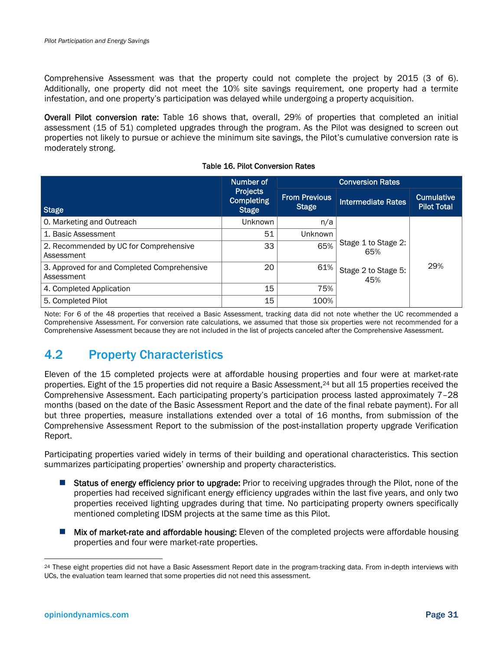Comprehensive Assessment was that the property could not complete the project by 2015 (3 of 6). Additionally, one property did not meet the 10% site savings requirement, one property had a termite infestation, and one property's participation was delayed while undergoing a property acquisition.

Overall Pilot conversion rate: Table 16 shows that, overall, 29% of properties that completed an initial assessment (15 of 51) completed upgrades through the program. As the Pilot was designed to screen out properties not likely to pursue or achieve the minimum site savings, the Pilot's cumulative conversion rate is moderately strong.

|                                                           | Number of                                            | <b>Conversion Rates</b>       |                            |                                  |  |  |
|-----------------------------------------------------------|------------------------------------------------------|-------------------------------|----------------------------|----------------------------------|--|--|
| <b>Stage</b>                                              | <b>Projects</b><br><b>Completing</b><br><b>Stage</b> | <b>From Previous</b><br>Stage | <b>Intermediate Rates</b>  | Cumulative<br><b>Pilot Total</b> |  |  |
| 0. Marketing and Outreach                                 | <b>Unknown</b>                                       | n/a                           |                            |                                  |  |  |
| 1. Basic Assessment                                       | 51                                                   | Unknown                       |                            | 29%                              |  |  |
| 2. Recommended by UC for Comprehensive<br>Assessment      | 33                                                   | 65%                           | Stage 1 to Stage 2:<br>65% |                                  |  |  |
| 3. Approved for and Completed Comprehensive<br>Assessment | 20                                                   | 61%                           | Stage 2 to Stage 5:<br>45% |                                  |  |  |
| 4. Completed Application                                  | 15                                                   | 75%                           |                            |                                  |  |  |
| 5. Completed Pilot                                        | 15                                                   | 100%                          |                            |                                  |  |  |

#### Table 16. Pilot Conversion Rates

Note: For 6 of the 48 properties that received a Basic Assessment, tracking data did not note whether the UC recommended a Comprehensive Assessment. For conversion rate calculations, we assumed that those six properties were not recommended for a Comprehensive Assessment because they are not included in the list of projects canceled after the Comprehensive Assessment.

## 4.2 Property Characteristics

Eleven of the 15 completed projects were at affordable housing properties and four were at market-rate properties. Eight of the 15 properties did not require a Basic Assessment,24 but all 15 properties received the Comprehensive Assessment. Each participating property's participation process lasted approximately 7–28 months (based on the date of the Basic Assessment Report and the date of the final rebate payment). For all but three properties, measure installations extended over a total of 16 months, from submission of the Comprehensive Assessment Report to the submission of the post-installation property upgrade Verification Report.

Participating properties varied widely in terms of their building and operational characteristics. This section summarizes participating properties' ownership and property characteristics.

- Status of energy efficiency prior to upgrade: Prior to receiving upgrades through the Pilot, none of the properties had received significant energy efficiency upgrades within the last five years, and only two properties received lighting upgrades during that time. No participating property owners specifically mentioned completing IDSM projects at the same time as this Pilot.
- **Mix of market-rate and affordable housing:** Eleven of the completed projects were affordable housing properties and four were market-rate properties.

-

<sup>24</sup> These eight properties did not have a Basic Assessment Report date in the program-tracking data. From in-depth interviews with UCs, the evaluation team learned that some properties did not need this assessment.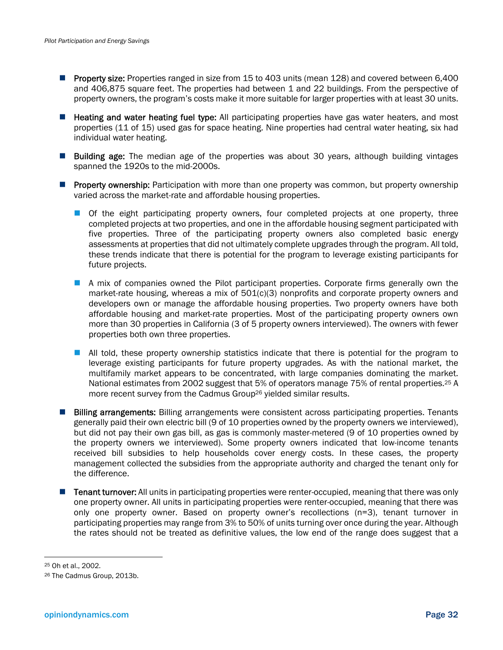- **Property size:** Properties ranged in size from 15 to 403 units (mean 128) and covered between 6,400 and 406,875 square feet. The properties had between 1 and 22 buildings. From the perspective of property owners, the program's costs make it more suitable for larger properties with at least 30 units.
- **Heating and water heating fuel type:** All participating properties have gas water heaters, and most properties (11 of 15) used gas for space heating. Nine properties had central water heating, six had individual water heating.
- **Building age:** The median age of the properties was about 30 years, although building vintages spanned the 1920s to the mid-2000s.
- **Property ownership:** Participation with more than one property was common, but property ownership varied across the market-rate and affordable housing properties.
	- **Of the eight participating property owners, four completed projects at one property, three** completed projects at two properties, and one in the affordable housing segment participated with five properties. Three of the participating property owners also completed basic energy assessments at properties that did not ultimately complete upgrades through the program. All told, these trends indicate that there is potential for the program to leverage existing participants for future projects.
	- A mix of companies owned the Pilot participant properties. Corporate firms generally own the market-rate housing, whereas a mix of 501(c)(3) nonprofits and corporate property owners and developers own or manage the affordable housing properties. Two property owners have both affordable housing and market-rate properties. Most of the participating property owners own more than 30 properties in California (3 of 5 property owners interviewed). The owners with fewer properties both own three properties.
	- **All told, these property ownership statistics indicate that there is potential for the program to** leverage existing participants for future property upgrades. As with the national market, the multifamily market appears to be concentrated, with large companies dominating the market. National estimates from 2002 suggest that 5% of operators manage 75% of rental properties.<sup>25</sup> A more recent survey from the Cadmus Group26 yielded similar results.
- **Billing arrangements:** Billing arrangements were consistent across participating properties. Tenants generally paid their own electric bill (9 of 10 properties owned by the property owners we interviewed), but did not pay their own gas bill, as gas is commonly master-metered (9 of 10 properties owned by the property owners we interviewed). Some property owners indicated that low-income tenants received bill subsidies to help households cover energy costs. In these cases, the property management collected the subsidies from the appropriate authority and charged the tenant only for the difference.
- **Tenant turnover:** All units in participating properties were renter-occupied, meaning that there was only one property owner. All units in participating properties were renter-occupied, meaning that there was only one property owner. Based on property owner's recollections (n=3), tenant turnover in participating properties may range from 3% to 50% of units turning over once during the year. Although the rates should not be treated as definitive values, the low end of the range does suggest that a

1

<sup>25</sup> Oh et al., 2002.

<sup>26</sup> The Cadmus Group, 2013b.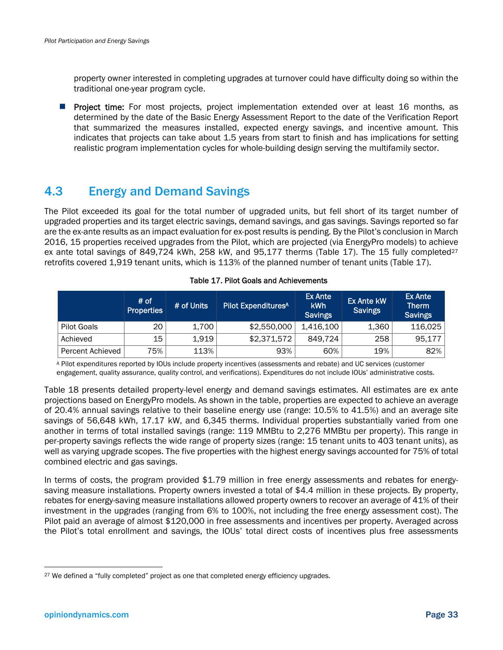property owner interested in completing upgrades at turnover could have difficulty doing so within the traditional one-year program cycle.

**Project time:** For most projects, project implementation extended over at least 16 months, as determined by the date of the Basic Energy Assessment Report to the date of the Verification Report that summarized the measures installed, expected energy savings, and incentive amount. This indicates that projects can take about 1.5 years from start to finish and has implications for setting realistic program implementation cycles for whole-building design serving the multifamily sector.

## 4.3 Energy and Demand Savings

The Pilot exceeded its goal for the total number of upgraded units, but fell short of its target number of upgraded properties and its target electric savings, demand savings, and gas savings. Savings reported so far are the ex-ante results as an impact evaluation for ex-post results is pending. By the Pilot's conclusion in March 2016, 15 properties received upgrades from the Pilot, which are projected (via EnergyPro models) to achieve ex ante total savings of 849,724 kWh, 258 kW, and 95,177 therms (Table 17). The 15 fully completed<sup>27</sup> retrofits covered 1,919 tenant units, which is 113% of the planned number of tenant units (Table 17).

|                    | # of<br><b>Properties</b> | # of Units | <b>Pilot Expenditures<sup>A</sup></b> | Ex Ante<br>kWh<br><b>Savings</b> | <b>Ex Ante kW</b><br><b>Savings</b> | <b>Ex Ante</b><br><b>Therm</b><br><b>Savings</b> |
|--------------------|---------------------------|------------|---------------------------------------|----------------------------------|-------------------------------------|--------------------------------------------------|
| <b>Pilot Goals</b> | 20                        | 1,700      | \$2,550,000                           | 1.416.100                        | 1,360                               | 116,025                                          |
| Achieved           | 15                        | 1,919      | \$2,371,572                           | 849.724                          | 258                                 | 95,177                                           |
| Percent Achieved   | 75%                       | 113%       | 93%                                   | 60%                              | 19%                                 | 82%                                              |

Table 17. Pilot Goals and Achievements

A Pilot expenditures reported by IOUs include property incentives (assessments and rebate) and UC services (customer engagement, quality assurance, quality control, and verifications). Expenditures do not include IOUs' administrative costs.

Table 18 presents detailed property-level energy and demand savings estimates. All estimates are ex ante projections based on EnergyPro models. As shown in the table, properties are expected to achieve an average of 20.4% annual savings relative to their baseline energy use (range: 10.5% to 41.5%) and an average site savings of 56,648 kWh, 17.17 kW, and 6,345 therms. Individual properties substantially varied from one another in terms of total installed savings (range: 119 MMBtu to 2,276 MMBtu per property). This range in per-property savings reflects the wide range of property sizes (range: 15 tenant units to 403 tenant units), as well as varying upgrade scopes. The five properties with the highest energy savings accounted for 75% of total combined electric and gas savings.

In terms of costs, the program provided \$1.79 million in free energy assessments and rebates for energysaving measure installations. Property owners invested a total of \$4.4 million in these projects. By property, rebates for energy-saving measure installations allowed property owners to recover an average of 41% of their investment in the upgrades (ranging from 6% to 100%, not including the free energy assessment cost). The Pilot paid an average of almost \$120,000 in free assessments and incentives per property. Averaged across the Pilot's total enrollment and savings, the IOUs' total direct costs of incentives plus free assessments

<sup>&</sup>lt;sup>27</sup> We defined a "fully completed" project as one that completed energy efficiency upgrades.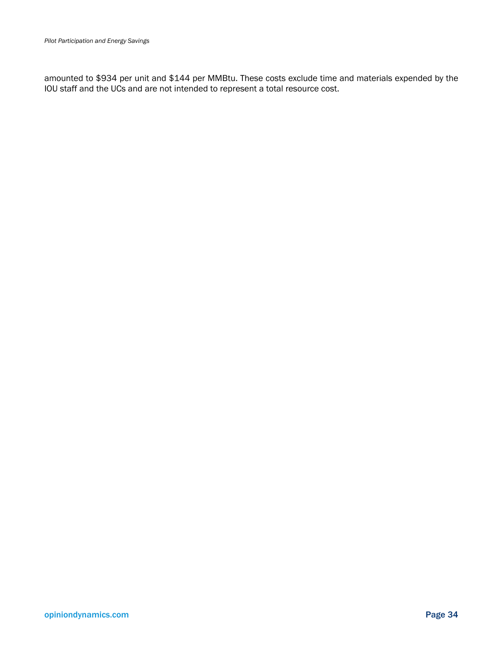amounted to \$934 per unit and \$144 per MMBtu. These costs exclude time and materials expended by the IOU staff and the UCs and are not intended to represent a total resource cost.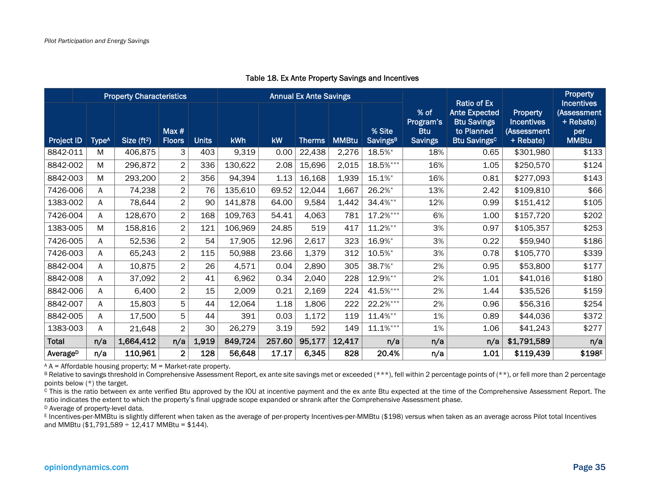|                      | <b>Property Characteristics</b> |              |                          | <b>Annual Ex Ante Savings</b> |         |           |               | <b>Ratio of Ex</b> |                                       | Property                                          |                                                                                            |                                                                  |                                                                      |
|----------------------|---------------------------------|--------------|--------------------------|-------------------------------|---------|-----------|---------------|--------------------|---------------------------------------|---------------------------------------------------|--------------------------------------------------------------------------------------------|------------------------------------------------------------------|----------------------------------------------------------------------|
| Project ID           | Type <sup>A</sup>               | Size $(ft2)$ | Max $#$<br><b>Floors</b> | <b>Units</b>                  | kWh     | <b>kW</b> | <b>Therms</b> | <b>MMBtu</b>       | % Site<br><b>Savings</b> <sup>B</sup> | % of<br>Program's<br><b>Btu</b><br><b>Savings</b> | <b>Ante Expected</b><br><b>Btu Savings</b><br>to Planned<br><b>Btu Savings<sup>c</sup></b> | <b>Property</b><br><b>Incentives</b><br>(Assessment<br>+ Rebate) | <b>Incentives</b><br>(Assessment<br>+ Rebate)<br>per<br><b>MMBtu</b> |
| 8842-011             | M                               | 406,875      | 3                        | 403                           | 9,319   | 0.00      | 22,438        | 2,276              | 18.5%*                                | 18%                                               | 0.65                                                                                       | \$301,980                                                        | \$133                                                                |
| 8842-002             | M                               | 296,872      | $\overline{2}$           | 336                           | 130,622 | 2.08      | 15,696        | 2,015              | 18.5%***                              | 16%                                               | 1.05                                                                                       | \$250,570                                                        | \$124                                                                |
| 8842-003             | M                               | 293,200      | $\overline{2}$           | 356                           | 94,394  | 1.13      | 16,168        | 1,939              | $15.1\%$ *                            | 16%                                               | 0.81                                                                                       | \$277,093                                                        | \$143                                                                |
| 7426-006             | A                               | 74,238       | $\overline{c}$           | 76                            | 135,610 | 69.52     | 12,044        | 1,667              | 26.2%*                                | 13%                                               | 2.42                                                                                       | \$109,810                                                        | \$66                                                                 |
| 1383-002             | A                               | 78,644       | $\overline{2}$           | 90                            | 141,878 | 64.00     | 9,584         | 1,442              | 34.4%**                               | 12%                                               | 0.99                                                                                       | \$151,412                                                        | \$105                                                                |
| 7426-004             | A                               | 128,670      | $\overline{2}$           | 168                           | 109,763 | 54.41     | 4,063         | 781                | 17.2%***                              | 6%                                                | 1.00                                                                                       | \$157,720                                                        | \$202                                                                |
| 1383-005             | M                               | 158,816      | $\overline{2}$           | 121                           | 106,969 | 24.85     | 519           | 417                | $11.2%$ **                            | 3%                                                | 0.97                                                                                       | \$105,357                                                        | \$253                                                                |
| 7426-005             | A                               | 52,536       | $\overline{2}$           | 54                            | 17,905  | 12.96     | 2,617         | 323                | 16.9%*                                | 3%                                                | 0.22                                                                                       | \$59,940                                                         | \$186                                                                |
| 7426-003             | A                               | 65,243       | $\overline{2}$           | 115                           | 50,988  | 23.66     | 1,379         | 312                | 10.5%*                                | 3%                                                | 0.78                                                                                       | \$105,770                                                        | \$339                                                                |
| 8842-004             | A                               | 10,875       | $\overline{2}$           | 26                            | 4,571   | 0.04      | 2,890         | 305                | 38.7%*                                | 2%                                                | 0.95                                                                                       | \$53,800                                                         | \$177                                                                |
| 8842-008             | A                               | 37,092       | $\overline{2}$           | 41                            | 6,962   | 0.34      | 2,040         | 228                | 12.9%**                               | 2%                                                | 1.01                                                                                       | \$41,016                                                         | \$180                                                                |
| 8842-006             | A                               | 6,400        | $\overline{2}$           | 15                            | 2,009   | 0.21      | 2,169         | 224                | 41.5%***                              | 2%                                                | 1.44                                                                                       | \$35,526                                                         | \$159                                                                |
| 8842-007             | A                               | 15,803       | 5                        | 44                            | 12,064  | 1.18      | 1,806         | 222                | 22.2%***                              | 2%                                                | 0.96                                                                                       | \$56,316                                                         | \$254                                                                |
| 8842-005             | A                               | 17,500       | 5                        | 44                            | 391     | 0.03      | 1,172         | 119                | 11.4%**                               | 1%                                                | 0.89                                                                                       | \$44,036                                                         | \$372                                                                |
| 1383-003             | A                               | 21,648       | $\overline{2}$           | 30                            | 26,279  | 3.19      | 592           | 149                | $11.1%***$                            | 1%                                                | 1.06                                                                                       | \$41,243                                                         | \$277                                                                |
| Total                | n/a                             | 1,664,412    | n/a                      | 1,919                         | 849,724 | 257.60    | 95,177        | 12,417             | n/a                                   | n/a                                               | n/a                                                                                        | \$1,791,589                                                      | n/a                                                                  |
| Average <sup>D</sup> | n/a                             | 110,961      | $\overline{2}$           | 128                           | 56,648  | 17.17     | 6,345         | 828                | 20.4%                                 | n/a                                               | 1.01                                                                                       | \$119,439                                                        | \$198 <sup>E</sup>                                                   |

### Table 18. Ex Ante Property Savings and Incentives

 $A = A$  a + Affordable housing property; M = Market-rate property.

B Relative to savings threshold in Comprehensive Assessment Report, ex ante site savings met or exceeded (\*\*\*), fell within 2 percentage points of (\*\*), or fell more than 2 percentage points below (\*) the target.

C This is the ratio between ex ante verified Btu approved by the IOU at incentive payment and the ex ante Btu expected at the time of the Comprehensive Assessment Report. The ratio indicates the extent to which the property's final upgrade scope expanded or shrank after the Comprehensive Assessment phase.

D Average of property-level data.

E Incentives-per-MMBtu is slightly different when taken as the average of per-property Incentives-per-MMBtu (\$198) versus when taken as an average across Pilot total Incentives and MMBtu (\$1,791,589  $\div$  12,417 MMBtu = \$144).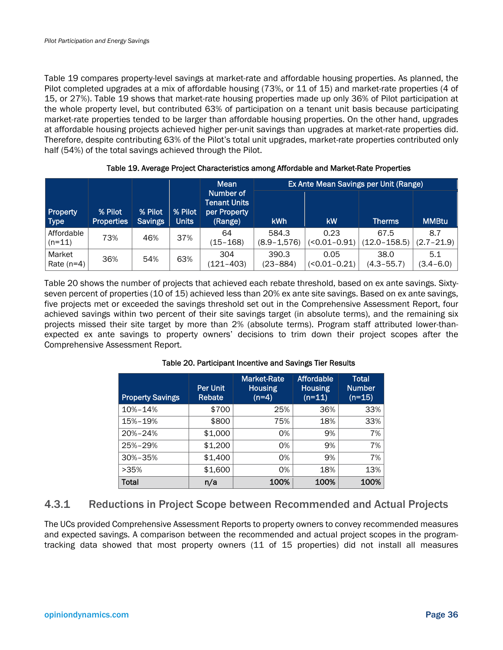Table 19 compares property-level savings at market-rate and affordable housing properties. As planned, the Pilot completed upgrades at a mix of affordable housing (73%, or 11 of 15) and market-rate properties (4 of 15, or 27%). Table 19 shows that market-rate housing properties made up only 36% of Pilot participation at the whole property level, but contributed 63% of participation on a tenant unit basis because participating market-rate properties tended to be larger than affordable housing properties. On the other hand, upgrades at affordable housing projects achieved higher per-unit savings than upgrades at market-rate properties did. Therefore, despite contributing 63% of the Pilot's total unit upgrades, market-rate properties contributed only half (54%) of the total savings achieved through the Pilot.

|                                |                              |                           |                         | <b>Mean</b>                                                 |                          |                          | <b>Ex Ante Mean Savings per Unit (Range)</b> |                       |
|--------------------------------|------------------------------|---------------------------|-------------------------|-------------------------------------------------------------|--------------------------|--------------------------|----------------------------------------------|-----------------------|
| <b>Property</b><br><b>Type</b> | % Pilot<br><b>Properties</b> | % Pilot<br><b>Savings</b> | % Pilot<br><b>Units</b> | Number of<br><b>Tenant Units</b><br>per Property<br>(Range) | <b>kWh</b>               | kW                       | <b>Therms</b>                                | <b>MMBtu</b>          |
| Affordable<br>$(n=11)$         | 73%                          | 46%                       | 37%                     | 64<br>(15–168)                                              | 584.3<br>$(8.9 - 1.576)$ | 0.23<br>$(50.01 - 0.91)$ | 67.5<br>$(12.0 - 158.5)$                     | 8.7<br>$(2.7 - 21.9)$ |
| Market<br>Rate $(n=4)$         | 36%                          | 54%                       | 63%                     | 304<br>(121–403)                                            | 390.3<br>(23–884)        | 0.05<br>$(50.01 - 0.21)$ | 38.0<br>(4.3–55.7)                           | 5.1<br>$(3.4 - 6.0)$  |

Table 19. Average Project Characteristics among Affordable and Market-Rate Properties

Table 20 shows the number of projects that achieved each rebate threshold, based on ex ante savings. Sixtyseven percent of properties (10 of 15) achieved less than 20% ex ante site savings. Based on ex ante savings, five projects met or exceeded the savings threshold set out in the Comprehensive Assessment Report, four achieved savings within two percent of their site savings target (in absolute terms), and the remaining six projects missed their site target by more than 2% (absolute terms). Program staff attributed lower-thanexpected ex ante savings to property owners' decisions to trim down their project scopes after the Comprehensive Assessment Report.

| <b>Property Savings</b> | <b>Per Unit</b><br><b>Rebate</b> | <b>Market-Rate</b><br><b>Housing</b><br>$(n=4)$ | <b>Affordable</b><br><b>Housing</b><br>$(n=11)$ | Total<br><b>Number</b><br>$(n=15)$ |
|-------------------------|----------------------------------|-------------------------------------------------|-------------------------------------------------|------------------------------------|
| 10%-14%                 | \$700                            | 25%                                             | 36%                                             | 33%                                |
| 15%-19%                 | \$800                            | 75%                                             | 18%                                             | 33%                                |
| 20%-24%                 | \$1,000                          | 0%                                              | 9%                                              | 7%                                 |
| 25%-29%                 | \$1,200                          | 0%                                              | 9%                                              | 7%                                 |
| 30%-35%                 | \$1,400                          | 0%                                              | 9%                                              | 7%                                 |
| >35%                    | \$1,600                          | 0%                                              | 18%                                             | 13%                                |
| Total                   | n/a                              | 100%                                            | 100%                                            | 100%                               |

### Table 20. Participant Incentive and Savings Tier Results

### 4.3.1 Reductions in Project Scope between Recommended and Actual Projects

The UCs provided Comprehensive Assessment Reports to property owners to convey recommended measures and expected savings. A comparison between the recommended and actual project scopes in the programtracking data showed that most property owners (11 of 15 properties) did not install all measures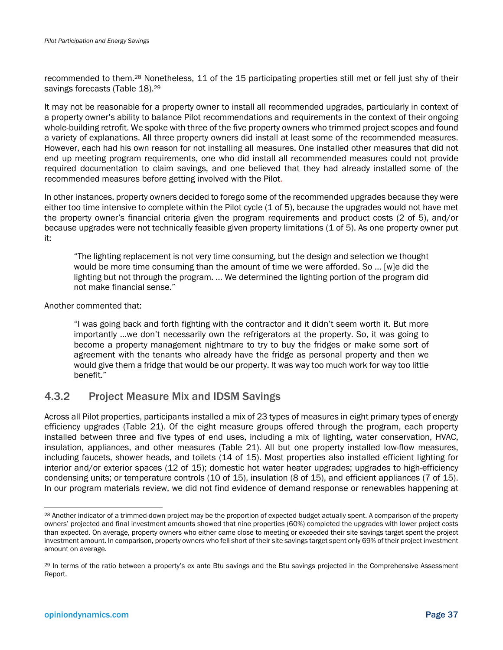recommended to them.28 Nonetheless, 11 of the 15 participating properties still met or fell just shy of their savings forecasts (Table 18).<sup>29</sup>

It may not be reasonable for a property owner to install all recommended upgrades, particularly in context of a property owner's ability to balance Pilot recommendations and requirements in the context of their ongoing whole-building retrofit. We spoke with three of the five property owners who trimmed project scopes and found a variety of explanations. All three property owners did install at least some of the recommended measures. However, each had his own reason for not installing all measures. One installed other measures that did not end up meeting program requirements, one who did install all recommended measures could not provide required documentation to claim savings, and one believed that they had already installed some of the recommended measures before getting involved with the Pilot.

In other instances, property owners decided to forego some of the recommended upgrades because they were either too time intensive to complete within the Pilot cycle (1 of 5), because the upgrades would not have met the property owner's financial criteria given the program requirements and product costs (2 of 5), and/or because upgrades were not technically feasible given property limitations (1 of 5). As one property owner put it:

"The lighting replacement is not very time consuming, but the design and selection we thought would be more time consuming than the amount of time we were afforded. So ... [w]e did the lighting but not through the program. … We determined the lighting portion of the program did not make financial sense."

Another commented that:

"I was going back and forth fighting with the contractor and it didn't seem worth it. But more importantly …we don't necessarily own the refrigerators at the property. So, it was going to become a property management nightmare to try to buy the fridges or make some sort of agreement with the tenants who already have the fridge as personal property and then we would give them a fridge that would be our property. It was way too much work for way too little benefit."

## 4.3.2 Project Measure Mix and IDSM Savings

Across all Pilot properties, participants installed a mix of 23 types of measures in eight primary types of energy efficiency upgrades (Table 21). Of the eight measure groups offered through the program, each property installed between three and five types of end uses, including a mix of lighting, water conservation, HVAC, insulation, appliances, and other measures (Table 21). All but one property installed low-flow measures, including faucets, shower heads, and toilets (14 of 15). Most properties also installed efficient lighting for interior and/or exterior spaces (12 of 15); domestic hot water heater upgrades; upgrades to high-efficiency condensing units; or temperature controls (10 of 15), insulation (8 of 15), and efficient appliances (7 of 15). In our program materials review, we did not find evidence of demand response or renewables happening at

<sup>28</sup> Another indicator of a trimmed-down project may be the proportion of expected budget actually spent. A comparison of the property owners' projected and final investment amounts showed that nine properties (60%) completed the upgrades with lower project costs than expected. On average, property owners who either came close to meeting or exceeded their site savings target spent the project investment amount. In comparison, property owners who fell short of their site savings target spent only 69% of their project investment amount on average.

<sup>29</sup> In terms of the ratio between a property's ex ante Btu savings and the Btu savings projected in the Comprehensive Assessment Report.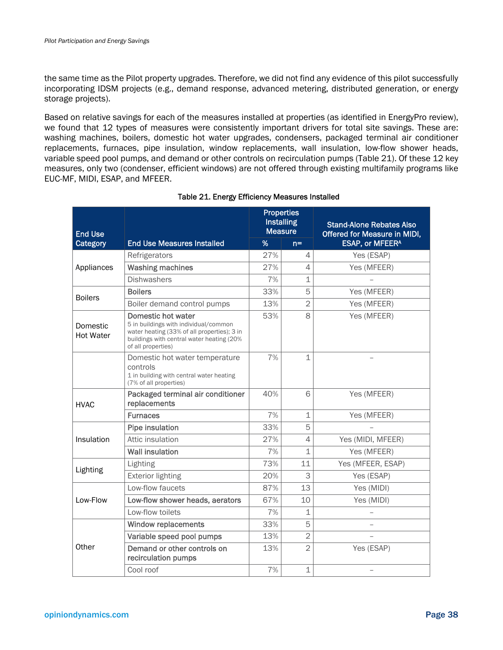the same time as the Pilot property upgrades. Therefore, we did not find any evidence of this pilot successfully incorporating IDSM projects (e.g., demand response, advanced metering, distributed generation, or energy storage projects).

Based on relative savings for each of the measures installed at properties (as identified in EnergyPro review), we found that 12 types of measures were consistently important drivers for total site savings. These are: washing machines, boilers, domestic hot water upgrades, condensers, packaged terminal air conditioner replacements, furnaces, pipe insulation, window replacements, wall insulation, low-flow shower heads, variable speed pool pumps, and demand or other controls on recirculation pumps (Table 21). Of these 12 key measures, only two (condenser, efficient windows) are not offered through existing multifamily programs like EUC-MF, MIDI, ESAP, and MFEER.

| <b>End Use</b>                                |                                                                                                                                                                                | <b>Properties</b><br><b>Measure</b> | <b>Installing</b>      | <b>Stand-Alone Rebates Also</b><br>Offered for Measure in MIDI, |
|-----------------------------------------------|--------------------------------------------------------------------------------------------------------------------------------------------------------------------------------|-------------------------------------|------------------------|-----------------------------------------------------------------|
| Category                                      | %                                                                                                                                                                              | $n =$                               | <b>ESAP, or MFEERA</b> |                                                                 |
|                                               | Refrigerators                                                                                                                                                                  | 27%                                 | 4                      | Yes (ESAP)                                                      |
| Appliances                                    | <b>Washing machines</b>                                                                                                                                                        | 27%                                 | $\overline{4}$         | Yes (MFEER)                                                     |
|                                               | <b>Dishwashers</b>                                                                                                                                                             |                                     |                        |                                                                 |
|                                               | <b>Boilers</b>                                                                                                                                                                 | 33%                                 | 5                      | Yes (MFEER)                                                     |
| <b>Boilers</b><br>Boiler demand control pumps |                                                                                                                                                                                | 13%                                 | $\overline{2}$         | Yes (MFEER)                                                     |
| Domestic<br><b>Hot Water</b>                  | Domestic hot water<br>5 in buildings with individual/common<br>water heating (33% of all properties); 3 in<br>buildings with central water heating (20%)<br>of all properties) |                                     | 8                      | Yes (MFEER)                                                     |
|                                               | Domestic hot water temperature<br>controls<br>1 in building with central water heating<br>(7% of all properties)                                                               | 7%                                  | $\mathbf 1$            |                                                                 |
| <b>HVAC</b>                                   | Packaged terminal air conditioner<br>replacements                                                                                                                              | 40%                                 | 6                      | Yes (MFEER)                                                     |
|                                               | <b>Furnaces</b>                                                                                                                                                                | 7%                                  | $\mathbf 1$            | Yes (MFEER)                                                     |
|                                               | <b>Pipe insulation</b>                                                                                                                                                         | 33%                                 | 5                      |                                                                 |
| Insulation                                    | Attic insulation                                                                                                                                                               | 27%                                 | $\overline{4}$         | Yes (MIDI, MFEER)                                               |
|                                               | <b>Wall insulation</b>                                                                                                                                                         | 7%                                  | $\mathbf{1}$           | Yes (MFEER)                                                     |
| Lighting                                      | Lighting                                                                                                                                                                       | 73%                                 | 11                     | Yes (MFEER, ESAP)                                               |
|                                               | <b>Exterior lighting</b>                                                                                                                                                       | 20%                                 | 3                      | Yes (ESAP)                                                      |
|                                               | Low-flow faucets                                                                                                                                                               | 87%                                 | 13                     | Yes (MIDI)                                                      |
| Low-Flow                                      | Low-flow shower heads, aerators                                                                                                                                                | 67%                                 | 10                     | Yes (MIDI)                                                      |
|                                               | Low-flow toilets                                                                                                                                                               | 7%                                  | $\mathbf 1$            |                                                                 |
|                                               | <b>Window replacements</b>                                                                                                                                                     | 33%                                 | 5                      | $\overline{\phantom{a}}$                                        |
|                                               | Variable speed pool pumps                                                                                                                                                      | 13%                                 | $\overline{2}$         |                                                                 |
| Other                                         | Demand or other controls on<br>recirculation pumps                                                                                                                             | 13%                                 | $\overline{2}$         | Yes (ESAP)                                                      |
|                                               | Cool roof                                                                                                                                                                      | 7%                                  | $\mathbf 1$            | $\qquad \qquad -$                                               |

### Table 21. Energy Efficiency Measures Installed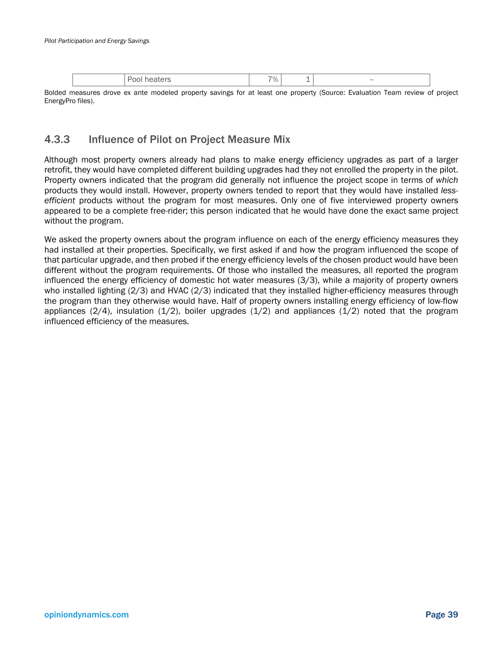|  |  | $\overline{\phantom{a}}$ |
|--|--|--------------------------|
|--|--|--------------------------|

Bolded measures drove ex ante modeled property savings for at least one property (Source: Evaluation Team review of project EnergyPro files).

## 4.3.3 Influence of Pilot on Project Measure Mix

Although most property owners already had plans to make energy efficiency upgrades as part of a larger retrofit, they would have completed different building upgrades had they not enrolled the property in the pilot. Property owners indicated that the program did generally not influence the project scope in terms of *which* products they would install. However, property owners tended to report that they would have installed *lessefficient* products without the program for most measures. Only one of five interviewed property owners appeared to be a complete free-rider; this person indicated that he would have done the exact same project without the program.

We asked the property owners about the program influence on each of the energy efficiency measures they had installed at their properties. Specifically, we first asked if and how the program influenced the scope of that particular upgrade, and then probed if the energy efficiency levels of the chosen product would have been different without the program requirements. Of those who installed the measures, all reported the program influenced the energy efficiency of domestic hot water measures (3/3), while a majority of property owners who installed lighting (2/3) and HVAC (2/3) indicated that they installed higher-efficiency measures through the program than they otherwise would have. Half of property owners installing energy efficiency of low-flow appliances  $(2/4)$ , insulation  $(1/2)$ , boiler upgrades  $(1/2)$  and appliances  $(1/2)$  noted that the program influenced efficiency of the measures.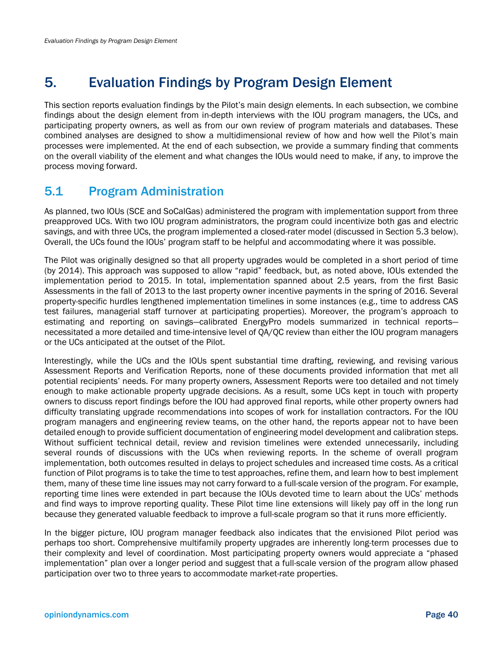# 5. Evaluation Findings by Program Design Element

This section reports evaluation findings by the Pilot's main design elements. In each subsection, we combine findings about the design element from in-depth interviews with the IOU program managers, the UCs, and participating property owners, as well as from our own review of program materials and databases. These combined analyses are designed to show a multidimensional review of how and how well the Pilot's main processes were implemented. At the end of each subsection, we provide a summary finding that comments on the overall viability of the element and what changes the IOUs would need to make, if any, to improve the process moving forward.

# 5.1 Program Administration

As planned, two IOUs (SCE and SoCalGas) administered the program with implementation support from three preapproved UCs. With two IOU program administrators, the program could incentivize both gas and electric savings, and with three UCs, the program implemented a closed-rater model (discussed in Section 5.3 below). Overall, the UCs found the IOUs' program staff to be helpful and accommodating where it was possible.

The Pilot was originally designed so that all property upgrades would be completed in a short period of time (by 2014). This approach was supposed to allow "rapid" feedback, but, as noted above, IOUs extended the implementation period to 2015. In total, implementation spanned about 2.5 years, from the first Basic Assessments in the fall of 2013 to the last property owner incentive payments in the spring of 2016. Several property-specific hurdles lengthened implementation timelines in some instances (e.g., time to address CAS test failures, managerial staff turnover at participating properties). Moreover, the program's approach to estimating and reporting on savings—calibrated EnergyPro models summarized in technical reports necessitated a more detailed and time-intensive level of QA/QC review than either the IOU program managers or the UCs anticipated at the outset of the Pilot.

Interestingly, while the UCs and the IOUs spent substantial time drafting, reviewing, and revising various Assessment Reports and Verification Reports, none of these documents provided information that met all potential recipients' needs. For many property owners, Assessment Reports were too detailed and not timely enough to make actionable property upgrade decisions. As a result, some UCs kept in touch with property owners to discuss report findings before the IOU had approved final reports, while other property owners had difficulty translating upgrade recommendations into scopes of work for installation contractors. For the IOU program managers and engineering review teams, on the other hand, the reports appear not to have been detailed enough to provide sufficient documentation of engineering model development and calibration steps. Without sufficient technical detail, review and revision timelines were extended unnecessarily, including several rounds of discussions with the UCs when reviewing reports. In the scheme of overall program implementation, both outcomes resulted in delays to project schedules and increased time costs. As a critical function of Pilot programs is to take the time to test approaches, refine them, and learn how to best implement them, many of these time line issues may not carry forward to a full-scale version of the program. For example, reporting time lines were extended in part because the IOUs devoted time to learn about the UCs' methods and find ways to improve reporting quality. These Pilot time line extensions will likely pay off in the long run because they generated valuable feedback to improve a full-scale program so that it runs more efficiently.

In the bigger picture, IOU program manager feedback also indicates that the envisioned Pilot period was perhaps too short. Comprehensive multifamily property upgrades are inherently long-term processes due to their complexity and level of coordination. Most participating property owners would appreciate a "phased implementation" plan over a longer period and suggest that a full-scale version of the program allow phased participation over two to three years to accommodate market-rate properties.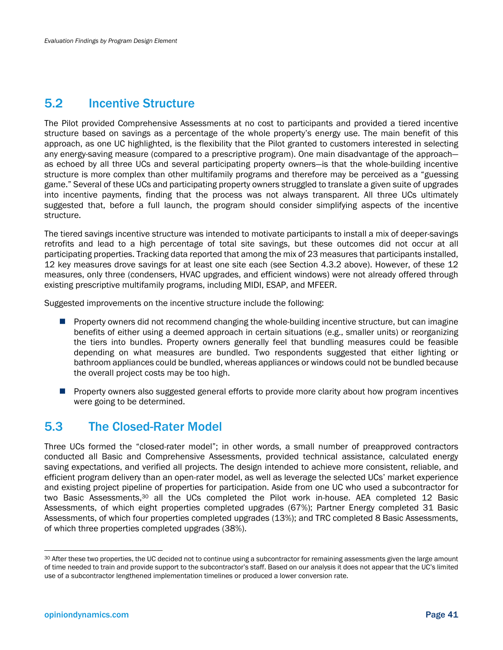## 5.2 Incentive Structure

The Pilot provided Comprehensive Assessments at no cost to participants and provided a tiered incentive structure based on savings as a percentage of the whole property's energy use. The main benefit of this approach, as one UC highlighted, is the flexibility that the Pilot granted to customers interested in selecting any energy-saving measure (compared to a prescriptive program). One main disadvantage of the approach as echoed by all three UCs and several participating property owners—is that the whole-building incentive structure is more complex than other multifamily programs and therefore may be perceived as a "guessing game." Several of these UCs and participating property owners struggled to translate a given suite of upgrades into incentive payments, finding that the process was not always transparent. All three UCs ultimately suggested that, before a full launch, the program should consider simplifying aspects of the incentive structure.

The tiered savings incentive structure was intended to motivate participants to install a mix of deeper-savings retrofits and lead to a high percentage of total site savings, but these outcomes did not occur at all participating properties. Tracking data reported that among the mix of 23 measures that participants installed, 12 key measures drove savings for at least one site each (see Section 4.3.2 above). However, of these 12 measures, only three (condensers, HVAC upgrades, and efficient windows) were not already offered through existing prescriptive multifamily programs, including MIDI, ESAP, and MFEER.

Suggested improvements on the incentive structure include the following:

- **Property owners did not recommend changing the whole-building incentive structure, but can imagine** benefits of either using a deemed approach in certain situations (e.g., smaller units) or reorganizing the tiers into bundles. Property owners generally feel that bundling measures could be feasible depending on what measures are bundled. Two respondents suggested that either lighting or bathroom appliances could be bundled, whereas appliances or windows could not be bundled because the overall project costs may be too high.
- **Property owners also suggested general efforts to provide more clarity about how program incentives** were going to be determined.

## 5.3 The Closed-Rater Model

Three UCs formed the "closed-rater model"; in other words, a small number of preapproved contractors conducted all Basic and Comprehensive Assessments, provided technical assistance, calculated energy saving expectations, and verified all projects. The design intended to achieve more consistent, reliable, and efficient program delivery than an open-rater model, as well as leverage the selected UCs' market experience and existing project pipeline of properties for participation. Aside from one UC who used a subcontractor for two Basic Assessments,30 all the UCs completed the Pilot work in-house. AEA completed 12 Basic Assessments, of which eight properties completed upgrades (67%); Partner Energy completed 31 Basic Assessments, of which four properties completed upgrades (13%); and TRC completed 8 Basic Assessments, of which three properties completed upgrades (38%).

<sup>30</sup> After these two properties, the UC decided not to continue using a subcontractor for remaining assessments given the large amount of time needed to train and provide support to the subcontractor's staff. Based on our analysis it does not appear that the UC's limited use of a subcontractor lengthened implementation timelines or produced a lower conversion rate.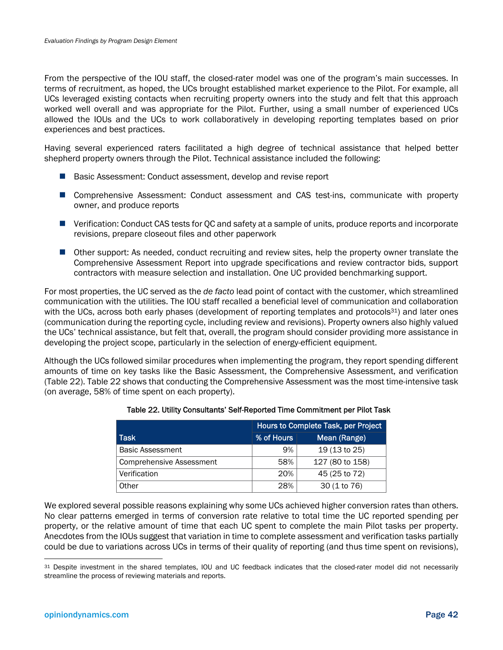From the perspective of the IOU staff, the closed-rater model was one of the program's main successes. In terms of recruitment, as hoped, the UCs brought established market experience to the Pilot. For example, all UCs leveraged existing contacts when recruiting property owners into the study and felt that this approach worked well overall and was appropriate for the Pilot. Further, using a small number of experienced UCs allowed the IOUs and the UCs to work collaboratively in developing reporting templates based on prior experiences and best practices.

Having several experienced raters facilitated a high degree of technical assistance that helped better shepherd property owners through the Pilot. Technical assistance included the following:

- Basic Assessment: Conduct assessment, develop and revise report
- Comprehensive Assessment: Conduct assessment and CAS test-ins, communicate with property owner, and produce reports
- Verification: Conduct CAS tests for OC and safety at a sample of units, produce reports and incorporate revisions, prepare closeout files and other paperwork
- Other support: As needed, conduct recruiting and review sites, help the property owner translate the Comprehensive Assessment Report into upgrade specifications and review contractor bids, support contractors with measure selection and installation. One UC provided benchmarking support.

For most properties, the UC served as the *de facto* lead point of contact with the customer, which streamlined communication with the utilities. The IOU staff recalled a beneficial level of communication and collaboration with the UCs, across both early phases (development of reporting templates and protocols<sup>31</sup>) and later ones (communication during the reporting cycle, including review and revisions). Property owners also highly valued the UCs' technical assistance, but felt that, overall, the program should consider providing more assistance in developing the project scope, particularly in the selection of energy-efficient equipment.

Although the UCs followed similar procedures when implementing the program, they report spending different amounts of time on key tasks like the Basic Assessment, the Comprehensive Assessment, and verification (Table 22). Table 22 shows that conducting the Comprehensive Assessment was the most time-intensive task (on average, 58% of time spent on each property).

|                          | Hours to Complete Task, per Project |                 |  |  |
|--------------------------|-------------------------------------|-----------------|--|--|
| l Task                   | % of Hours                          | Mean (Range)    |  |  |
| <b>Basic Assessment</b>  | 9%                                  | 19 (13 to 25)   |  |  |
| Comprehensive Assessment | 58%                                 | 127 (80 to 158) |  |  |
| Verification             | 20%                                 | 45 (25 to 72)   |  |  |
| Other                    | 28%                                 | 30 (1 to 76)    |  |  |

### Table 22. Utility Consultants' Self-Reported Time Commitment per Pilot Task

We explored several possible reasons explaining why some UCs achieved higher conversion rates than others. No clear patterns emerged in terms of conversion rate relative to total time the UC reported spending per property, or the relative amount of time that each UC spent to complete the main Pilot tasks per property. Anecdotes from the IOUs suggest that variation in time to complete assessment and verification tasks partially could be due to variations across UCs in terms of their quality of reporting (and thus time spent on revisions),

<sup>31</sup> Despite investment in the shared templates, IOU and UC feedback indicates that the closed-rater model did not necessarily streamline the process of reviewing materials and reports.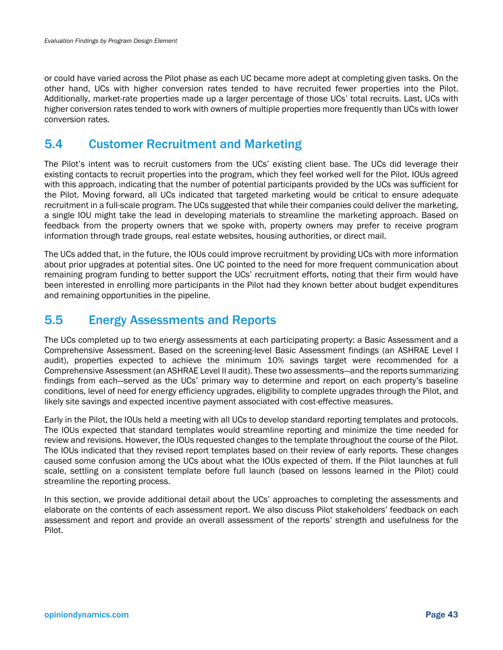or could have varied across the Pilot phase as each UC became more adept at completing given tasks. On the other hand, UCs with higher conversion rates tended to have recruited fewer properties into the Pilot. Additionally, market-rate properties made up a larger percentage of those UCs' total recruits. Last, UCs with higher conversion rates tended to work with owners of multiple properties more frequently than UCs with lower conversion rates.

## 5.4 Customer Recruitment and Marketing

The Pilot's intent was to recruit customers from the UCs' existing client base. The UCs did leverage their existing contacts to recruit properties into the program, which they feel worked well for the Pilot. IOUs agreed with this approach, indicating that the number of potential participants provided by the UCs was sufficient for the Pilot. Moving forward, all UCs indicated that targeted marketing would be critical to ensure adequate recruitment in a full-scale program. The UCs suggested that while their companies could deliver the marketing, a single IOU might take the lead in developing materials to streamline the marketing approach. Based on feedback from the property owners that we spoke with, property owners may prefer to receive program information through trade groups, real estate websites, housing authorities, or direct mail.

The UCs added that, in the future, the IOUs could improve recruitment by providing UCs with more information about prior upgrades at potential sites. One UC pointed to the need for more frequent communication about remaining program funding to better support the UCs' recruitment efforts, noting that their firm would have been interested in enrolling more participants in the Pilot had they known better about budget expenditures and remaining opportunities in the pipeline.

# 5.5 Energy Assessments and Reports

The UCs completed up to two energy assessments at each participating property: a Basic Assessment and a Comprehensive Assessment. Based on the screening-level Basic Assessment findings (an ASHRAE Level I audit), properties expected to achieve the minimum 10% savings target were recommended for a Comprehensive Assessment (an ASHRAE Level II audit). These two assessments—and the reports summarizing findings from each—served as the UCs' primary way to determine and report on each property's baseline conditions, level of need for energy efficiency upgrades, eligibility to complete upgrades through the Pilot, and likely site savings and expected incentive payment associated with cost-effective measures.

Early in the Pilot, the IOUs held a meeting with all UCs to develop standard reporting templates and protocols. The IOUs expected that standard templates would streamline reporting and minimize the time needed for review and revisions. However, the IOUs requested changes to the template throughout the course of the Pilot. The IOUs indicated that they revised report templates based on their review of early reports. These changes caused some confusion among the UCs about what the IOUs expected of them. If the Pilot launches at full scale, settling on a consistent template before full launch (based on lessons learned in the Pilot) could streamline the reporting process.

In this section, we provide additional detail about the UCs' approaches to completing the assessments and elaborate on the contents of each assessment report. We also discuss Pilot stakeholders' feedback on each assessment and report and provide an overall assessment of the reports' strength and usefulness for the Pilot.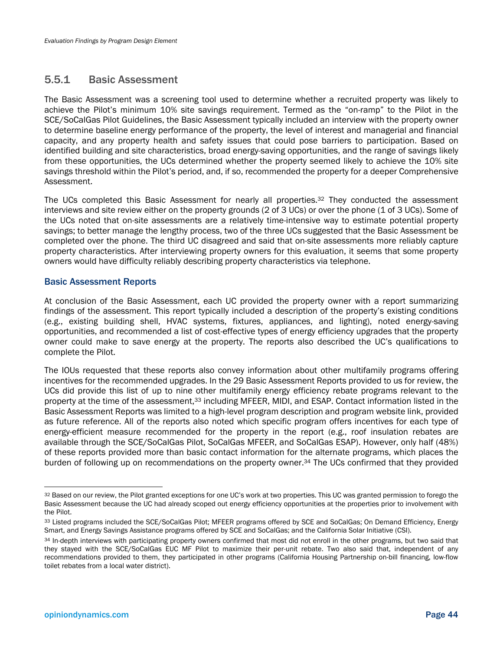### 5.5.1 Basic Assessment

The Basic Assessment was a screening tool used to determine whether a recruited property was likely to achieve the Pilot's minimum 10% site savings requirement. Termed as the "on-ramp" to the Pilot in the SCE/SoCalGas Pilot Guidelines, the Basic Assessment typically included an interview with the property owner to determine baseline energy performance of the property, the level of interest and managerial and financial capacity, and any property health and safety issues that could pose barriers to participation. Based on identified building and site characteristics, broad energy-saving opportunities, and the range of savings likely from these opportunities, the UCs determined whether the property seemed likely to achieve the 10% site savings threshold within the Pilot's period, and, if so, recommended the property for a deeper Comprehensive Assessment.

The UCs completed this Basic Assessment for nearly all properties.32 They conducted the assessment interviews and site review either on the property grounds (2 of 3 UCs) or over the phone (1 of 3 UCs). Some of the UCs noted that on-site assessments are a relatively time-intensive way to estimate potential property savings; to better manage the lengthy process, two of the three UCs suggested that the Basic Assessment be completed over the phone. The third UC disagreed and said that on-site assessments more reliably capture property characteristics. After interviewing property owners for this evaluation, it seems that some property owners would have difficulty reliably describing property characteristics via telephone.

### Basic Assessment Reports

At conclusion of the Basic Assessment, each UC provided the property owner with a report summarizing findings of the assessment. This report typically included a description of the property's existing conditions (e.g., existing building shell, HVAC systems, fixtures, appliances, and lighting), noted energy-saving opportunities, and recommended a list of cost-effective types of energy efficiency upgrades that the property owner could make to save energy at the property. The reports also described the UC's qualifications to complete the Pilot.

The IOUs requested that these reports also convey information about other multifamily programs offering incentives for the recommended upgrades. In the 29 Basic Assessment Reports provided to us for review, the UCs did provide this list of up to nine other multifamily energy efficiency rebate programs relevant to the property at the time of the assessment,33 including MFEER, MIDI, and ESAP. Contact information listed in the Basic Assessment Reports was limited to a high-level program description and program website link, provided as future reference. All of the reports also noted which specific program offers incentives for each type of energy-efficient measure recommended for the property in the report (e.g., roof insulation rebates are available through the SCE/SoCalGas Pilot, SoCalGas MFEER, and SoCalGas ESAP). However, only half (48%) of these reports provided more than basic contact information for the alternate programs, which places the burden of following up on recommendations on the property owner.34 The UCs confirmed that they provided

1

<sup>32</sup> Based on our review, the Pilot granted exceptions for one UC's work at two properties. This UC was granted permission to forego the Basic Assessment because the UC had already scoped out energy efficiency opportunities at the properties prior to involvement with the Pilot.

<sup>33</sup> Listed programs included the SCE/SoCalGas Pilot; MFEER programs offered by SCE and SoCalGas; On Demand Efficiency, Energy Smart, and Energy Savings Assistance programs offered by SCE and SoCalGas; and the California Solar Initiative (CSI).

<sup>34</sup> In-depth interviews with participating property owners confirmed that most did not enroll in the other programs, but two said that they stayed with the SCE/SoCalGas EUC MF Pilot to maximize their per-unit rebate. Two also said that, independent of any recommendations provided to them, they participated in other programs (California Housing Partnership on-bill financing, low-flow toilet rebates from a local water district).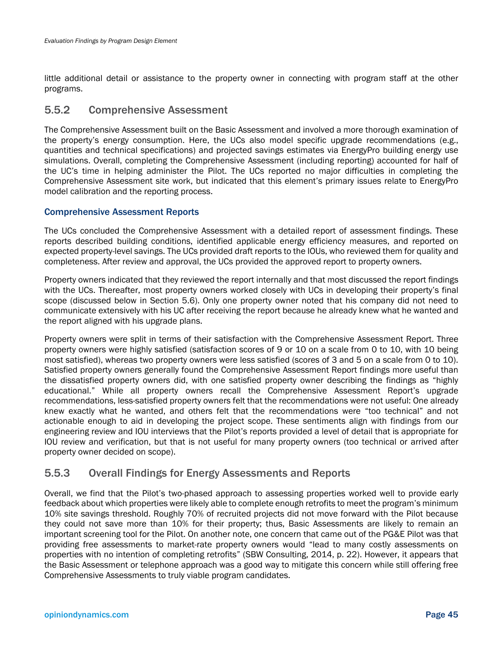little additional detail or assistance to the property owner in connecting with program staff at the other programs.

### 5.5.2 Comprehensive Assessment

The Comprehensive Assessment built on the Basic Assessment and involved a more thorough examination of the property's energy consumption. Here, the UCs also model specific upgrade recommendations (e.g., quantities and technical specifications) and projected savings estimates via EnergyPro building energy use simulations. Overall, completing the Comprehensive Assessment (including reporting) accounted for half of the UC's time in helping administer the Pilot. The UCs reported no major difficulties in completing the Comprehensive Assessment site work, but indicated that this element's primary issues relate to EnergyPro model calibration and the reporting process.

### Comprehensive Assessment Reports

The UCs concluded the Comprehensive Assessment with a detailed report of assessment findings. These reports described building conditions, identified applicable energy efficiency measures, and reported on expected property-level savings. The UCs provided draft reports to the IOUs, who reviewed them for quality and completeness. After review and approval, the UCs provided the approved report to property owners.

Property owners indicated that they reviewed the report internally and that most discussed the report findings with the UCs. Thereafter, most property owners worked closely with UCs in developing their property's final scope (discussed below in Section 5.6). Only one property owner noted that his company did not need to communicate extensively with his UC after receiving the report because he already knew what he wanted and the report aligned with his upgrade plans.

Property owners were split in terms of their satisfaction with the Comprehensive Assessment Report. Three property owners were highly satisfied (satisfaction scores of 9 or 10 on a scale from 0 to 10, with 10 being most satisfied), whereas two property owners were less satisfied (scores of 3 and 5 on a scale from 0 to 10). Satisfied property owners generally found the Comprehensive Assessment Report findings more useful than the dissatisfied property owners did, with one satisfied property owner describing the findings as "highly educational." While all property owners recall the Comprehensive Assessment Report's upgrade recommendations, less-satisfied property owners felt that the recommendations were not useful: One already knew exactly what he wanted, and others felt that the recommendations were "too technical" and not actionable enough to aid in developing the project scope. These sentiments align with findings from our engineering review and IOU interviews that the Pilot's reports provided a level of detail that is appropriate for IOU review and verification, but that is not useful for many property owners (too technical or arrived after property owner decided on scope).

## 5.5.3 Overall Findings for Energy Assessments and Reports

Overall, we find that the Pilot's two-phased approach to assessing properties worked well to provide early feedback about which properties were likely able to complete enough retrofits to meet the program's minimum 10% site savings threshold. Roughly 70% of recruited projects did not move forward with the Pilot because they could not save more than 10% for their property; thus, Basic Assessments are likely to remain an important screening tool for the Pilot. On another note, one concern that came out of the PG&E Pilot was that providing free assessments to market-rate property owners would "lead to many costly assessments on properties with no intention of completing retrofits" (SBW Consulting, 2014, p. 22). However, it appears that the Basic Assessment or telephone approach was a good way to mitigate this concern while still offering free Comprehensive Assessments to truly viable program candidates.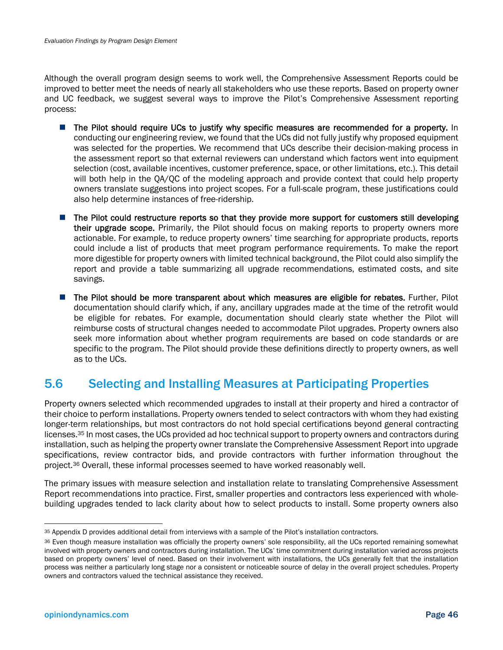Although the overall program design seems to work well, the Comprehensive Assessment Reports could be improved to better meet the needs of nearly all stakeholders who use these reports. Based on property owner and UC feedback, we suggest several ways to improve the Pilot's Comprehensive Assessment reporting process:

- **The Pilot should require UCs to justify why specific measures are recommended for a property.** In conducting our engineering review, we found that the UCs did not fully justify why proposed equipment was selected for the properties. We recommend that UCs describe their decision-making process in the assessment report so that external reviewers can understand which factors went into equipment selection (cost, available incentives, customer preference, space, or other limitations, etc.). This detail will both help in the QA/QC of the modeling approach and provide context that could help property owners translate suggestions into project scopes. For a full-scale program, these justifications could also help determine instances of free-ridership.
- The Pilot could restructure reports so that they provide more support for customers still developing their upgrade scope. Primarily, the Pilot should focus on making reports to property owners more actionable. For example, to reduce property owners' time searching for appropriate products, reports could include a list of products that meet program performance requirements. To make the report more digestible for property owners with limited technical background, the Pilot could also simplify the report and provide a table summarizing all upgrade recommendations, estimated costs, and site savings.
- The Pilot should be more transparent about which measures are eligible for rebates. Further, Pilot documentation should clarify which, if any, ancillary upgrades made at the time of the retrofit would be eligible for rebates. For example, documentation should clearly state whether the Pilot will reimburse costs of structural changes needed to accommodate Pilot upgrades. Property owners also seek more information about whether program requirements are based on code standards or are specific to the program. The Pilot should provide these definitions directly to property owners, as well as to the UCs.

# 5.6 Selecting and Installing Measures at Participating Properties

Property owners selected which recommended upgrades to install at their property and hired a contractor of their choice to perform installations. Property owners tended to select contractors with whom they had existing longer-term relationships, but most contractors do not hold special certifications beyond general contracting licenses.<sup>35</sup> In most cases, the UCs provided ad hoc technical support to property owners and contractors during installation, such as helping the property owner translate the Comprehensive Assessment Report into upgrade specifications, review contractor bids, and provide contractors with further information throughout the project.36 Overall, these informal processes seemed to have worked reasonably well.

The primary issues with measure selection and installation relate to translating Comprehensive Assessment Report recommendations into practice. First, smaller properties and contractors less experienced with wholebuilding upgrades tended to lack clarity about how to select products to install. Some property owners also

<sup>35</sup> Appendix D provides additional detail from interviews with a sample of the Pilot's installation contractors.

<sup>36</sup> Even though measure installation was officially the property owners' sole responsibility, all the UCs reported remaining somewhat involved with property owners and contractors during installation. The UCs' time commitment during installation varied across projects based on property owners' level of need. Based on their involvement with installations, the UCs generally felt that the installation process was neither a particularly long stage nor a consistent or noticeable source of delay in the overall project schedules. Property owners and contractors valued the technical assistance they received.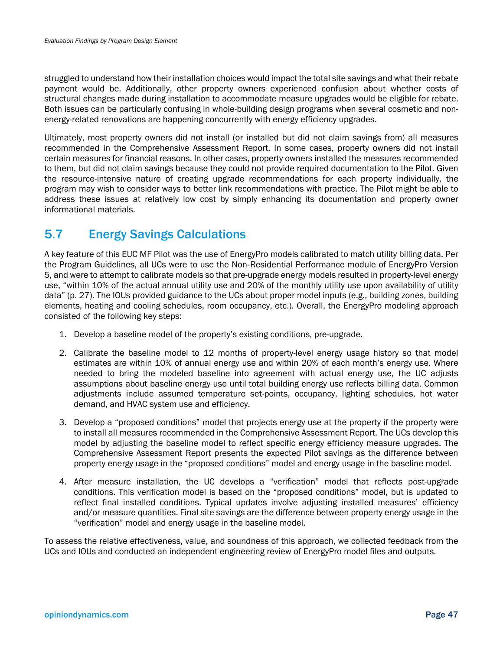struggled to understand how their installation choices would impact the total site savings and what their rebate payment would be. Additionally, other property owners experienced confusion about whether costs of structural changes made during installation to accommodate measure upgrades would be eligible for rebate. Both issues can be particularly confusing in whole-building design programs when several cosmetic and nonenergy-related renovations are happening concurrently with energy efficiency upgrades.

Ultimately, most property owners did not install (or installed but did not claim savings from) all measures recommended in the Comprehensive Assessment Report. In some cases, property owners did not install certain measures for financial reasons. In other cases, property owners installed the measures recommended to them, but did not claim savings because they could not provide required documentation to the Pilot. Given the resource-intensive nature of creating upgrade recommendations for each property individually, the program may wish to consider ways to better link recommendations with practice. The Pilot might be able to address these issues at relatively low cost by simply enhancing its documentation and property owner informational materials.

# 5.7 Energy Savings Calculations

A key feature of this EUC MF Pilot was the use of EnergyPro models calibrated to match utility billing data. Per the Program Guidelines, all UCs were to use the Non-Residential Performance module of EnergyPro Version 5, and were to attempt to calibrate models so that pre-upgrade energy models resulted in property-level energy use, "within 10% of the actual annual utility use and 20% of the monthly utility use upon availability of utility data" (p. 27). The IOUs provided guidance to the UCs about proper model inputs (e.g., building zones, building elements, heating and cooling schedules, room occupancy, etc.). Overall, the EnergyPro modeling approach consisted of the following key steps:

- 1. Develop a baseline model of the property's existing conditions, pre-upgrade.
- 2. Calibrate the baseline model to 12 months of property-level energy usage history so that model estimates are within 10% of annual energy use and within 20% of each month's energy use. Where needed to bring the modeled baseline into agreement with actual energy use, the UC adjusts assumptions about baseline energy use until total building energy use reflects billing data. Common adjustments include assumed temperature set-points, occupancy, lighting schedules, hot water demand, and HVAC system use and efficiency.
- 3. Develop a "proposed conditions" model that projects energy use at the property if the property were to install all measures recommended in the Comprehensive Assessment Report. The UCs develop this model by adjusting the baseline model to reflect specific energy efficiency measure upgrades. The Comprehensive Assessment Report presents the expected Pilot savings as the difference between property energy usage in the "proposed conditions" model and energy usage in the baseline model.
- 4. After measure installation, the UC develops a "verification" model that reflects post-upgrade conditions. This verification model is based on the "proposed conditions" model, but is updated to reflect final installed conditions. Typical updates involve adjusting installed measures' efficiency and/or measure quantities. Final site savings are the difference between property energy usage in the "verification" model and energy usage in the baseline model.

To assess the relative effectiveness, value, and soundness of this approach, we collected feedback from the UCs and IOUs and conducted an independent engineering review of EnergyPro model files and outputs.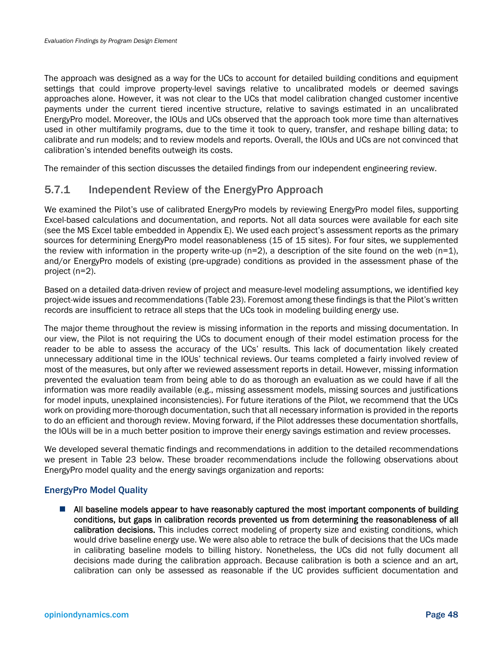The approach was designed as a way for the UCs to account for detailed building conditions and equipment settings that could improve property-level savings relative to uncalibrated models or deemed savings approaches alone. However, it was not clear to the UCs that model calibration changed customer incentive payments under the current tiered incentive structure, relative to savings estimated in an uncalibrated EnergyPro model. Moreover, the IOUs and UCs observed that the approach took more time than alternatives used in other multifamily programs, due to the time it took to query, transfer, and reshape billing data; to calibrate and run models; and to review models and reports. Overall, the IOUs and UCs are not convinced that calibration's intended benefits outweigh its costs.

The remainder of this section discusses the detailed findings from our independent engineering review.

## 5.7.1 Independent Review of the EnergyPro Approach

We examined the Pilot's use of calibrated EnergyPro models by reviewing EnergyPro model files, supporting Excel-based calculations and documentation, and reports. Not all data sources were available for each site (see the MS Excel table embedded in Appendix E). We used each project's assessment reports as the primary sources for determining EnergyPro model reasonableness (15 of 15 sites). For four sites, we supplemented the review with information in the property write-up ( $n=2$ ), a description of the site found on the web ( $n=1$ ), and/or EnergyPro models of existing (pre-upgrade) conditions as provided in the assessment phase of the project (n=2).

Based on a detailed data-driven review of project and measure-level modeling assumptions, we identified key project-wide issues and recommendations (Table 23). Foremost among these findings is that the Pilot's written records are insufficient to retrace all steps that the UCs took in modeling building energy use.

The major theme throughout the review is missing information in the reports and missing documentation. In our view, the Pilot is not requiring the UCs to document enough of their model estimation process for the reader to be able to assess the accuracy of the UCs' results. This lack of documentation likely created unnecessary additional time in the IOUs' technical reviews. Our teams completed a fairly involved review of most of the measures, but only after we reviewed assessment reports in detail. However, missing information prevented the evaluation team from being able to do as thorough an evaluation as we could have if all the information was more readily available (e.g., missing assessment models, missing sources and justifications for model inputs, unexplained inconsistencies). For future iterations of the Pilot, we recommend that the UCs work on providing more-thorough documentation, such that all necessary information is provided in the reports to do an efficient and thorough review. Moving forward, if the Pilot addresses these documentation shortfalls, the IOUs will be in a much better position to improve their energy savings estimation and review processes.

We developed several thematic findings and recommendations in addition to the detailed recommendations we present in Table 23 below. These broader recommendations include the following observations about EnergyPro model quality and the energy savings organization and reports:

### EnergyPro Model Quality

 All baseline models appear to have reasonably captured the most important components of building conditions, but gaps in calibration records prevented us from determining the reasonableness of all calibration decisions. This includes correct modeling of property size and existing conditions, which would drive baseline energy use. We were also able to retrace the bulk of decisions that the UCs made in calibrating baseline models to billing history. Nonetheless, the UCs did not fully document all decisions made during the calibration approach. Because calibration is both a science and an art, calibration can only be assessed as reasonable if the UC provides sufficient documentation and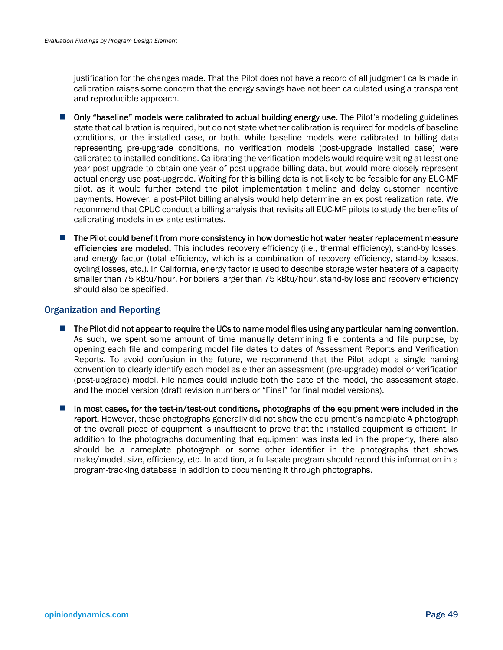justification for the changes made. That the Pilot does not have a record of all judgment calls made in calibration raises some concern that the energy savings have not been calculated using a transparent and reproducible approach.

- **Draphler** Only "baseline" models were calibrated to actual building energy use. The Pilot's modeling guidelines state that calibration is required, but do not state whether calibration is required for models of baseline conditions, or the installed case, or both. While baseline models were calibrated to billing data representing pre-upgrade conditions, no verification models (post-upgrade installed case) were calibrated to installed conditions. Calibrating the verification models would require waiting at least one year post-upgrade to obtain one year of post-upgrade billing data, but would more closely represent actual energy use post-upgrade. Waiting for this billing data is not likely to be feasible for any EUC-MF pilot, as it would further extend the pilot implementation timeline and delay customer incentive payments. However, a post-Pilot billing analysis would help determine an ex post realization rate. We recommend that CPUC conduct a billing analysis that revisits all EUC-MF pilots to study the benefits of calibrating models in ex ante estimates.
- The Pilot could benefit from more consistency in how domestic hot water heater replacement measure efficiencies are modeled. This includes recovery efficiency (i.e., thermal efficiency), stand-by losses, and energy factor (total efficiency, which is a combination of recovery efficiency, stand-by losses, cycling losses, etc.). In California, energy factor is used to describe storage water heaters of a capacity smaller than 75 kBtu/hour. For boilers larger than 75 kBtu/hour, stand-by loss and recovery efficiency should also be specified.

### Organization and Reporting

- $\blacksquare$  The Pilot did not appear to require the UCs to name model files using any particular naming convention. As such, we spent some amount of time manually determining file contents and file purpose, by opening each file and comparing model file dates to dates of Assessment Reports and Verification Reports. To avoid confusion in the future, we recommend that the Pilot adopt a single naming convention to clearly identify each model as either an assessment (pre-upgrade) model or verification (post-upgrade) model. File names could include both the date of the model, the assessment stage, and the model version (draft revision numbers or "Final" for final model versions).
- In most cases, for the test-in/test-out conditions, photographs of the equipment were included in the report. However, these photographs generally did not show the equipment's nameplate A photograph of the overall piece of equipment is insufficient to prove that the installed equipment is efficient. In addition to the photographs documenting that equipment was installed in the property, there also should be a nameplate photograph or some other identifier in the photographs that shows make/model, size, efficiency, etc. In addition, a full-scale program should record this information in a program-tracking database in addition to documenting it through photographs.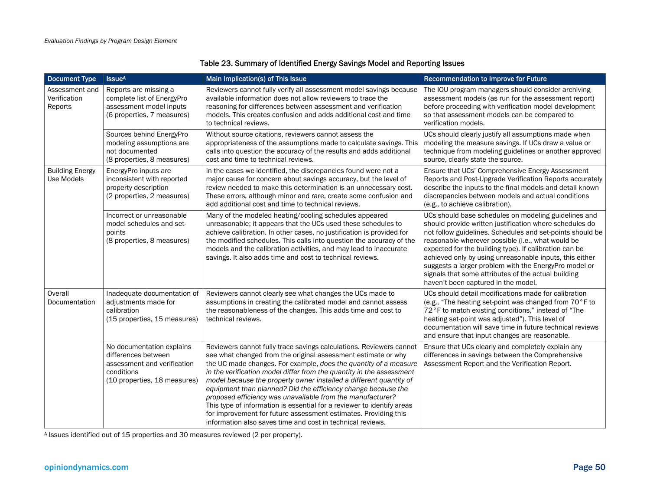| <b>Document Type</b>                                                                                                           | <b>Issue<sup>A</sup></b>                                                                                                      | Main Implication(s) of This Issue                                                                                                                                                                                                                                                                                                                                                                                                                                                                                                                                                                                                                                                                | Recommendation to Improve for Future                                                                                                                                                                                                                                                                                                                                                                                                                                                                          |
|--------------------------------------------------------------------------------------------------------------------------------|-------------------------------------------------------------------------------------------------------------------------------|--------------------------------------------------------------------------------------------------------------------------------------------------------------------------------------------------------------------------------------------------------------------------------------------------------------------------------------------------------------------------------------------------------------------------------------------------------------------------------------------------------------------------------------------------------------------------------------------------------------------------------------------------------------------------------------------------|---------------------------------------------------------------------------------------------------------------------------------------------------------------------------------------------------------------------------------------------------------------------------------------------------------------------------------------------------------------------------------------------------------------------------------------------------------------------------------------------------------------|
| Assessment and<br>Verification<br>Reports                                                                                      | Reports are missing a<br>complete list of EnergyPro<br>assessment model inputs<br>(6 properties, 7 measures)                  | Reviewers cannot fully verify all assessment model savings because<br>available information does not allow reviewers to trace the<br>reasoning for differences between assessment and verification<br>models. This creates confusion and adds additional cost and time<br>to technical reviews.                                                                                                                                                                                                                                                                                                                                                                                                  | The IOU program managers should consider archiving<br>assessment models (as run for the assessment report)<br>before proceeding with verification model development<br>so that assessment models can be compared to<br>verification models.                                                                                                                                                                                                                                                                   |
|                                                                                                                                | Sources behind EnergyPro<br>modeling assumptions are<br>not documented<br>(8 properties, 8 measures)                          | Without source citations, reviewers cannot assess the<br>appropriateness of the assumptions made to calculate savings. This<br>calls into question the accuracy of the results and adds additional<br>cost and time to technical reviews.                                                                                                                                                                                                                                                                                                                                                                                                                                                        | UCs should clearly justify all assumptions made when<br>modeling the measure savings. If UCs draw a value or<br>technique from modeling guidelines or another approved<br>source, clearly state the source.                                                                                                                                                                                                                                                                                                   |
| <b>Building Energy</b><br><b>Use Models</b>                                                                                    | EnergyPro inputs are<br>inconsistent with reported<br>property description<br>(2 properties, 2 measures)                      | In the cases we identified, the discrepancies found were not a<br>major cause for concern about savings accuracy, but the level of<br>review needed to make this determination is an unnecessary cost.<br>These errors, although minor and rare, create some confusion and<br>add additional cost and time to technical reviews.                                                                                                                                                                                                                                                                                                                                                                 | Ensure that UCs' Comprehensive Energy Assessment<br>Reports and Post-Upgrade Verification Reports accurately<br>describe the inputs to the final models and detail known<br>discrepancies between models and actual conditions<br>(e.g., to achieve calibration).                                                                                                                                                                                                                                             |
|                                                                                                                                | Incorrect or unreasonable<br>model schedules and set-<br>points<br>(8 properties, 8 measures)                                 | Many of the modeled heating/cooling schedules appeared<br>unreasonable; it appears that the UCs used these schedules to<br>achieve calibration. In other cases, no justification is provided for<br>the modified schedules. This calls into question the accuracy of the<br>models and the calibration activities, and may lead to inaccurate<br>savings. It also adds time and cost to technical reviews.                                                                                                                                                                                                                                                                                       | UCs should base schedules on modeling guidelines and<br>should provide written justification where schedules do<br>not follow guidelines. Schedules and set-points should be<br>reasonable wherever possible (i.e., what would be<br>expected for the building type). If calibration can be<br>achieved only by using unreasonable inputs, this either<br>suggests a larger problem with the EnergyPro model or<br>signals that some attributes of the actual building<br>haven't been captured in the model. |
| Overall<br>Inadequate documentation of<br>Documentation<br>adjustments made for<br>calibration<br>(15 properties, 15 measures) |                                                                                                                               | Reviewers cannot clearly see what changes the UCs made to<br>assumptions in creating the calibrated model and cannot assess<br>the reasonableness of the changes. This adds time and cost to<br>technical reviews.                                                                                                                                                                                                                                                                                                                                                                                                                                                                               | UCs should detail modifications made for calibration<br>(e.g., "The heating set-point was changed from 70°F to<br>72°F to match existing conditions," instead of "The<br>heating set-point was adjusted"). This level of<br>documentation will save time in future technical reviews<br>and ensure that input changes are reasonable.                                                                                                                                                                         |
|                                                                                                                                | No documentation explains<br>differences between<br>assessment and verification<br>conditions<br>(10 properties, 18 measures) | Reviewers cannot fully trace savings calculations. Reviewers cannot<br>see what changed from the original assessment estimate or why<br>the UC made changes. For example, does the quantity of a measure<br>in the verification model differ from the quantity in the assessment<br>model because the property owner installed a different quantity of<br>equipment than planned? Did the efficiency change because the<br>proposed efficiency was unavailable from the manufacturer?<br>This type of information is essential for a reviewer to identify areas<br>for improvement for future assessment estimates. Providing this<br>information also saves time and cost in technical reviews. | Ensure that UCs clearly and completely explain any<br>differences in savings between the Comprehensive<br>Assessment Report and the Verification Report.                                                                                                                                                                                                                                                                                                                                                      |

### Table 23. Summary of Identified Energy Savings Model and Reporting Issues

A Issues identified out of 15 properties and 30 measures reviewed (2 per property).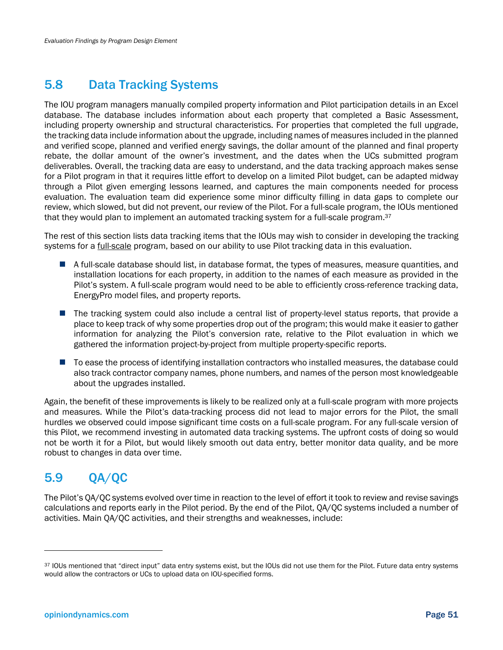# 5.8 Data Tracking Systems

The IOU program managers manually compiled property information and Pilot participation details in an Excel database. The database includes information about each property that completed a Basic Assessment, including property ownership and structural characteristics. For properties that completed the full upgrade, the tracking data include information about the upgrade, including names of measures included in the planned and verified scope, planned and verified energy savings, the dollar amount of the planned and final property rebate, the dollar amount of the owner's investment, and the dates when the UCs submitted program deliverables. Overall, the tracking data are easy to understand, and the data tracking approach makes sense for a Pilot program in that it requires little effort to develop on a limited Pilot budget, can be adapted midway through a Pilot given emerging lessons learned, and captures the main components needed for process evaluation. The evaluation team did experience some minor difficulty filling in data gaps to complete our review, which slowed, but did not prevent, our review of the Pilot. For a full-scale program, the IOUs mentioned that they would plan to implement an automated tracking system for a full-scale program.37

The rest of this section lists data tracking items that the IOUs may wish to consider in developing the tracking systems for a <u>full-scale</u> program, based on our ability to use Pilot tracking data in this evaluation.

- A full-scale database should list, in database format, the types of measures, measure quantities, and installation locations for each property, in addition to the names of each measure as provided in the Pilot's system. A full-scale program would need to be able to efficiently cross-reference tracking data, EnergyPro model files, and property reports.
- The tracking system could also include a central list of property-level status reports, that provide a place to keep track of why some properties drop out of the program; this would make it easier to gather information for analyzing the Pilot's conversion rate, relative to the Pilot evaluation in which we gathered the information project-by-project from multiple property-specific reports.
- To ease the process of identifying installation contractors who installed measures, the database could also track contractor company names, phone numbers, and names of the person most knowledgeable about the upgrades installed.

Again, the benefit of these improvements is likely to be realized only at a full-scale program with more projects and measures. While the Pilot's data-tracking process did not lead to major errors for the Pilot, the small hurdles we observed could impose significant time costs on a full-scale program. For any full-scale version of this Pilot, we recommend investing in automated data tracking systems. The upfront costs of doing so would not be worth it for a Pilot, but would likely smooth out data entry, better monitor data quality, and be more robust to changes in data over time.

# 5.9 QA/QC

The Pilot's QA/QC systems evolved over time in reaction to the level of effort it took to review and revise savings calculations and reports early in the Pilot period. By the end of the Pilot, QA/QC systems included a number of activities. Main QA/QC activities, and their strengths and weaknesses, include:

<sup>37</sup> IOUs mentioned that "direct input" data entry systems exist, but the IOUs did not use them for the Pilot. Future data entry systems would allow the contractors or UCs to upload data on IOU-specified forms.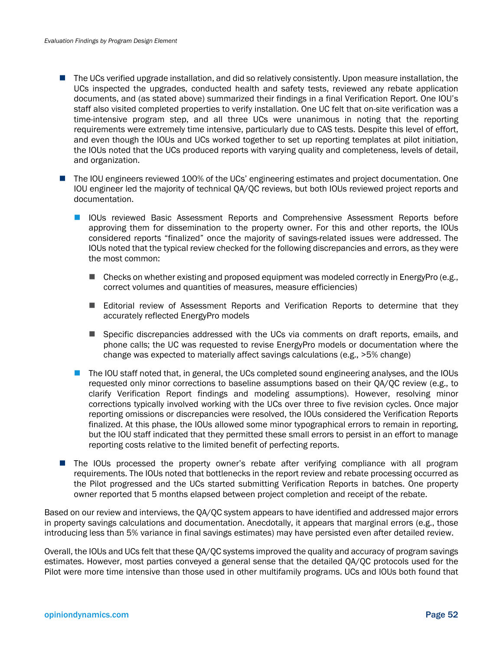- The UCs verified upgrade installation, and did so relatively consistently. Upon measure installation, the UCs inspected the upgrades, conducted health and safety tests, reviewed any rebate application documents, and (as stated above) summarized their findings in a final Verification Report. One IOU's staff also visited completed properties to verify installation. One UC felt that on-site verification was a time-intensive program step, and all three UCs were unanimous in noting that the reporting requirements were extremely time intensive, particularly due to CAS tests. Despite this level of effort, and even though the IOUs and UCs worked together to set up reporting templates at pilot initiation, the IOUs noted that the UCs produced reports with varying quality and completeness, levels of detail, and organization.
- The IOU engineers reviewed 100% of the UCs' engineering estimates and project documentation. One IOU engineer led the majority of technical QA/QC reviews, but both IOUs reviewed project reports and documentation.
	- **IOUs reviewed Basic Assessment Reports and Comprehensive Assessment Reports before** approving them for dissemination to the property owner. For this and other reports, the IOUs considered reports "finalized" once the majority of savings-related issues were addressed. The IOUs noted that the typical review checked for the following discrepancies and errors, as they were the most common:
		- $\blacksquare$  Checks on whether existing and proposed equipment was modeled correctly in EnergyPro (e.g., correct volumes and quantities of measures, measure efficiencies)
		- Editorial review of Assessment Reports and Verification Reports to determine that they accurately reflected EnergyPro models
		- **Specific discrepancies addressed with the UCs via comments on draft reports, emails, and** phone calls; the UC was requested to revise EnergyPro models or documentation where the change was expected to materially affect savings calculations (e.g., >5% change)
	- The IOU staff noted that, in general, the UCs completed sound engineering analyses, and the IOUs requested only minor corrections to baseline assumptions based on their QA/QC review (e.g., to clarify Verification Report findings and modeling assumptions). However, resolving minor corrections typically involved working with the UCs over three to five revision cycles. Once major reporting omissions or discrepancies were resolved, the IOUs considered the Verification Reports finalized. At this phase, the IOUs allowed some minor typographical errors to remain in reporting, but the IOU staff indicated that they permitted these small errors to persist in an effort to manage reporting costs relative to the limited benefit of perfecting reports.
- **The IOUs processed the property owner's rebate after verifying compliance with all program** requirements. The IOUs noted that bottlenecks in the report review and rebate processing occurred as the Pilot progressed and the UCs started submitting Verification Reports in batches. One property owner reported that 5 months elapsed between project completion and receipt of the rebate.

Based on our review and interviews, the QA/QC system appears to have identified and addressed major errors in property savings calculations and documentation. Anecdotally, it appears that marginal errors (e.g., those introducing less than 5% variance in final savings estimates) may have persisted even after detailed review.

Overall, the IOUs and UCs felt that these QA/QC systems improved the quality and accuracy of program savings estimates. However, most parties conveyed a general sense that the detailed QA/QC protocols used for the Pilot were more time intensive than those used in other multifamily programs. UCs and IOUs both found that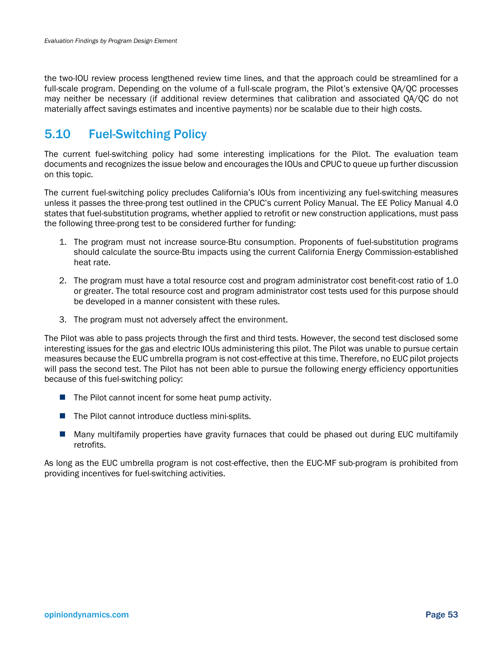the two-IOU review process lengthened review time lines, and that the approach could be streamlined for a full-scale program. Depending on the volume of a full-scale program, the Pilot's extensive QA/QC processes may neither be necessary (if additional review determines that calibration and associated QA/QC do not materially affect savings estimates and incentive payments) nor be scalable due to their high costs.

# 5.10 Fuel-Switching Policy

The current fuel-switching policy had some interesting implications for the Pilot. The evaluation team documents and recognizes the issue below and encourages the IOUs and CPUC to queue up further discussion on this topic.

The current fuel-switching policy precludes California's IOUs from incentivizing any fuel-switching measures unless it passes the three-prong test outlined in the CPUC's current Policy Manual. The EE Policy Manual 4.0 states that fuel-substitution programs, whether applied to retrofit or new construction applications, must pass the following three-prong test to be considered further for funding:

- 1. The program must not increase source-Btu consumption. Proponents of fuel-substitution programs should calculate the source-Btu impacts using the current California Energy Commission-established heat rate.
- 2. The program must have a total resource cost and program administrator cost benefit-cost ratio of 1.0 or greater. The total resource cost and program administrator cost tests used for this purpose should be developed in a manner consistent with these rules.
- 3. The program must not adversely affect the environment.

The Pilot was able to pass projects through the first and third tests. However, the second test disclosed some interesting issues for the gas and electric IOUs administering this pilot. The Pilot was unable to pursue certain measures because the EUC umbrella program is not cost-effective at this time. Therefore, no EUC pilot projects will pass the second test. The Pilot has not been able to pursue the following energy efficiency opportunities because of this fuel-switching policy:

- $\blacksquare$  The Pilot cannot incent for some heat pump activity.
- $\blacksquare$  The Pilot cannot introduce ductless mini-splits.
- Many multifamily properties have gravity furnaces that could be phased out during EUC multifamily retrofits.

As long as the EUC umbrella program is not cost-effective, then the EUC-MF sub-program is prohibited from providing incentives for fuel-switching activities.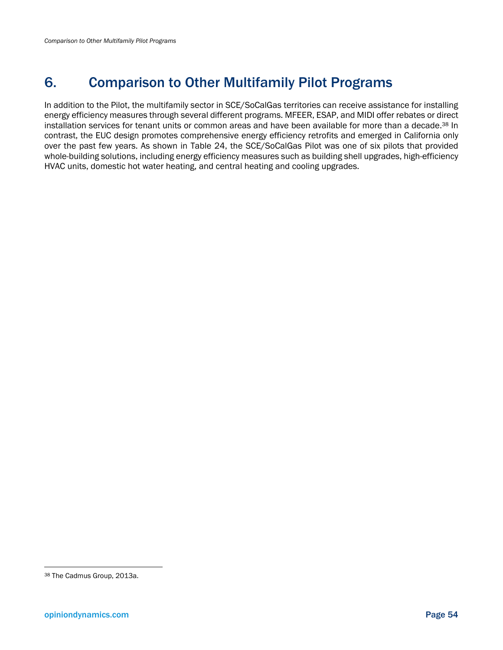# 6. Comparison to Other Multifamily Pilot Programs

In addition to the Pilot, the multifamily sector in SCE/SoCalGas territories can receive assistance for installing energy efficiency measures through several different programs. MFEER, ESAP, and MIDI offer rebates or direct installation services for tenant units or common areas and have been available for more than a decade.<sup>38</sup> In contrast, the EUC design promotes comprehensive energy efficiency retrofits and emerged in California only over the past few years. As shown in Table 24, the SCE/SoCalGas Pilot was one of six pilots that provided whole-building solutions, including energy efficiency measures such as building shell upgrades, high-efficiency HVAC units, domestic hot water heating, and central heating and cooling upgrades.

<sup>38</sup> The Cadmus Group, 2013a.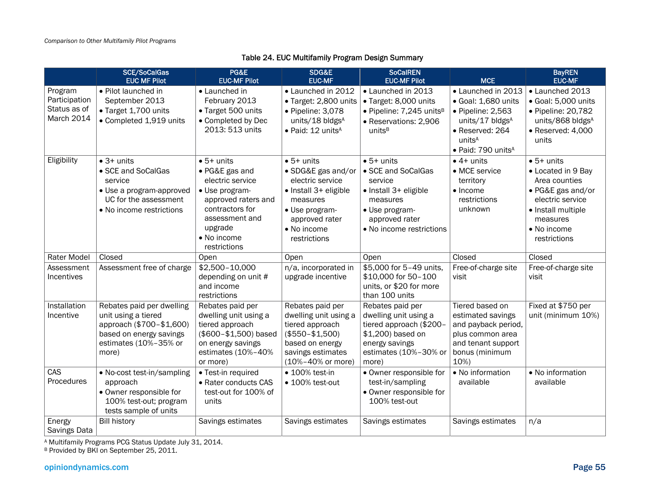### Table 24. EUC Multifamily Program Design Summary

|                                                               | <b>SCE/SoCalGas</b><br><b>EUC MF Pilot</b>                                                                                                | PG&E<br><b>EUC-MF Pilot</b>                                                                                                                                                      | SDG&E<br><b>EUC-MF</b>                                                                                                                                               | <b>SoCalREN</b><br><b>EUC-MF Pilot</b>                                                                                                                   | <b>MCE</b>                                                                                                                                               | <b>BayREN</b><br><b>EUC-MF</b>                                                                                                                                      |
|---------------------------------------------------------------|-------------------------------------------------------------------------------------------------------------------------------------------|----------------------------------------------------------------------------------------------------------------------------------------------------------------------------------|----------------------------------------------------------------------------------------------------------------------------------------------------------------------|----------------------------------------------------------------------------------------------------------------------------------------------------------|----------------------------------------------------------------------------------------------------------------------------------------------------------|---------------------------------------------------------------------------------------------------------------------------------------------------------------------|
| Program<br>Participation<br>Status as of<br><b>March 2014</b> | • Pilot launched in<br>September 2013<br>• Target 1,700 units<br>• Completed 1,919 units                                                  | • Launched in<br>February 2013<br>• Target 500 units<br>• Completed by Dec<br>2013: 513 units                                                                                    | • Launched in 2012<br>· Target: 2,800 units<br>· Pipeline: 3,078<br>units/18 bldgsA<br>· Paid: 12 units <sup>A</sup>                                                 | • Launched in 2013<br>· Target: 8,000 units<br>· Pipeline: 7,245 units <sup>B</sup><br>· Reservations: 2,906<br>units <sup>B</sup>                       | • Launched in 2013<br>· Goal: 1,680 units<br>$\bullet$ Pipeline: 2,563<br>units/17 bldgsA<br>• Reserved: 264<br>unitsA<br>• Paid: 790 units <sup>A</sup> | • Launched 2013<br>· Goal: 5,000 units<br>• Pipeline: 20,782<br>units/868 bldgsA<br>$\bullet$ Reserved: 4,000<br>units                                              |
| Eligibility                                                   | $\bullet$ 3+ units<br>• SCE and SoCalGas<br>service<br>• Use a program-approved<br>UC for the assessment<br>• No income restrictions      | $\bullet$ 5+ units<br>• PG&E gas and<br>electric service<br>• Use program-<br>approved raters and<br>contractors for<br>assessment and<br>upgrade<br>• No income<br>restrictions | $\bullet$ 5+ units<br>• SDG&E gas and/or<br>electric service<br>• Install 3+ eligible<br>measures<br>· Use program-<br>approved rater<br>• No income<br>restrictions | $\bullet$ 5+ units<br>• SCE and SoCalGas<br>service<br>• Install 3+ eligible<br>measures<br>· Use program-<br>approved rater<br>• No income restrictions | $\bullet$ 4+ units<br>• MCE service<br>territory<br>$\bullet$ Income<br>restrictions<br>unknown                                                          | $\bullet$ 5+ units<br>• Located in 9 Bay<br>Area counties<br>• PG&E gas and/or<br>electric service<br>· Install multiple<br>measures<br>• No income<br>restrictions |
| Rater Model                                                   | Closed                                                                                                                                    | Open                                                                                                                                                                             | Open                                                                                                                                                                 | Open                                                                                                                                                     | Closed                                                                                                                                                   | Closed                                                                                                                                                              |
| Assessment<br>Incentives                                      | Assessment free of charge                                                                                                                 | \$2,500-10,000<br>depending on unit #<br>and income<br>restrictions                                                                                                              | n/a, incorporated in<br>upgrade incentive                                                                                                                            | \$5,000 for 5-49 units,<br>\$10,000 for 50-100<br>units, or \$20 for more<br>than 100 units                                                              | Free-of-charge site<br>visit                                                                                                                             | Free-of-charge site<br>visit                                                                                                                                        |
| Installation<br>Incentive                                     | Rebates paid per dwelling<br>unit using a tiered<br>approach (\$700-\$1,600)<br>based on energy savings<br>estimates (10%-35% or<br>more) | Rebates paid per<br>dwelling unit using a<br>tiered approach<br>(\$600-\$1,500) based<br>on energy savings<br>estimates (10%-40%<br>or more)                                     | Rebates paid per<br>dwelling unit using a<br>tiered approach<br>$($550 - $1,500)$<br>based on energy<br>savings estimates<br>(10%-40% or more)                       | Rebates paid per<br>dwelling unit using a<br>tiered approach (\$200-<br>\$1,200) based on<br>energy savings<br>estimates (10%-30% or<br>more)            | Tiered based on<br>estimated savings<br>and payback period,<br>plus common area<br>and tenant support<br>bonus (minimum<br>10%)                          | Fixed at \$750 per<br>unit (minimum 10%)                                                                                                                            |
| CAS<br>Procedures                                             | • No-cost test-in/sampling<br>approach<br>• Owner responsible for<br>100% test-out; program<br>tests sample of units                      | • Test-in required<br>• Rater conducts CAS<br>test-out for 100% of<br>units                                                                                                      | $\bullet$ 100% test-in<br>• 100% test-out                                                                                                                            | · Owner responsible for<br>test-in/sampling<br>· Owner responsible for<br>100% test-out                                                                  | • No information<br>available                                                                                                                            | • No information<br>available                                                                                                                                       |
| Energy<br>Savings Data                                        | <b>Bill history</b>                                                                                                                       | Savings estimates                                                                                                                                                                | Savings estimates                                                                                                                                                    | Savings estimates                                                                                                                                        | Savings estimates                                                                                                                                        | n/a                                                                                                                                                                 |

A Multifamily Programs PCG Status Update July 31, 2014.

<sup>B</sup> Provided by BKI on September 25, 2011.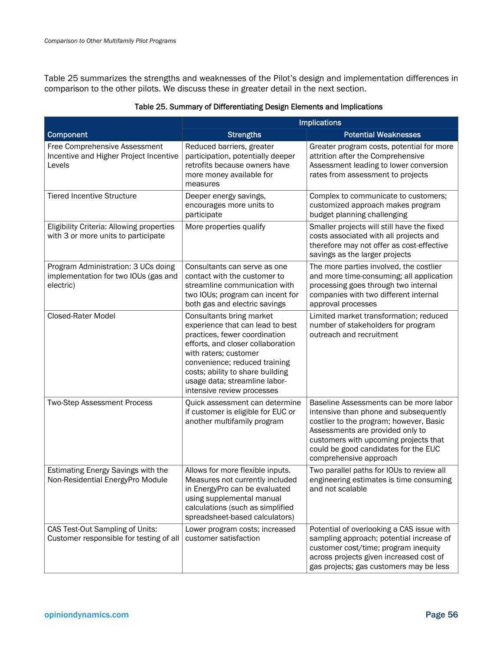Table 25 summarizes the strengths and weaknesses of the Pilot's design and implementation differences in comparison to the other pilots. We discuss these in greater detail in the next section.

|                                                                                          | <b>Implications</b>                                                                                                                                                                                                                                                                             |                                                                                                                                                                                                                                                                           |  |  |  |
|------------------------------------------------------------------------------------------|-------------------------------------------------------------------------------------------------------------------------------------------------------------------------------------------------------------------------------------------------------------------------------------------------|---------------------------------------------------------------------------------------------------------------------------------------------------------------------------------------------------------------------------------------------------------------------------|--|--|--|
| Component                                                                                | <b>Strengths</b>                                                                                                                                                                                                                                                                                | <b>Potential Weaknesses</b>                                                                                                                                                                                                                                               |  |  |  |
| Free Comprehensive Assessment<br>Incentive and Higher Project Incentive<br>Levels        | Reduced barriers, greater<br>participation, potentially deeper<br>retrofits because owners have<br>more money available for<br>measures                                                                                                                                                         | Greater program costs, potential for more<br>attrition after the Comprehensive<br>Assessment leading to lower conversion<br>rates from assessment to projects                                                                                                             |  |  |  |
| <b>Tiered Incentive Structure</b>                                                        | Deeper energy savings,<br>encourages more units to<br>participate                                                                                                                                                                                                                               | Complex to communicate to customers;<br>customized approach makes program<br>budget planning challenging                                                                                                                                                                  |  |  |  |
| Eligibility Criteria: Allowing properties<br>with 3 or more units to participate         | More properties qualify                                                                                                                                                                                                                                                                         | Smaller projects will still have the fixed<br>costs associated with all projects and<br>therefore may not offer as cost-effective<br>savings as the larger projects                                                                                                       |  |  |  |
| Program Administration: 3 UCs doing<br>implementation for two IOUs (gas and<br>electric) | Consultants can serve as one<br>contact with the customer to<br>streamline communication with<br>two IOUs; program can incent for<br>both gas and electric savings                                                                                                                              | The more parties involved, the costlier<br>and more time-consuming; all application<br>processing goes through two internal<br>companies with two different internal<br>approval processes                                                                                |  |  |  |
| <b>Closed-Rater Model</b>                                                                | Consultants bring market<br>experience that can lead to best<br>practices, fewer coordination<br>efforts, and closer collaboration<br>with raters; customer<br>convenience; reduced training<br>costs; ability to share building<br>usage data; streamline labor-<br>intensive review processes | Limited market transformation; reduced<br>number of stakeholders for program<br>outreach and recruitment                                                                                                                                                                  |  |  |  |
| <b>Two-Step Assessment Process</b>                                                       | Quick assessment can determine<br>if customer is eligible for EUC or<br>another multifamily program                                                                                                                                                                                             | Baseline Assessments can be more labor<br>intensive than phone and subsequently<br>costlier to the program; however, Basic<br>Assessments are provided only to<br>customers with upcoming projects that<br>could be good candidates for the EUC<br>comprehensive approach |  |  |  |
| Estimating Energy Savings with the<br>Non-Residential EnergyPro Module                   | Allows for more flexible inputs.<br>Measures not currently included<br>in EnergyPro can be evaluated<br>using supplemental manual<br>calculations (such as simplified<br>spreadsheet-based calculators)                                                                                         | Two parallel paths for IOUs to review all<br>engineering estimates is time consuming<br>and not scalable                                                                                                                                                                  |  |  |  |
| CAS Test-Out Sampling of Units:<br>Customer responsible for testing of all               | Lower program costs; increased<br>customer satisfaction                                                                                                                                                                                                                                         | Potential of overlooking a CAS issue with<br>sampling approach; potential increase of<br>customer cost/time; program inequity<br>across projects given increased cost of<br>gas projects; gas customers may be less                                                       |  |  |  |

### Table 25. Summary of Differentiating Design Elements and Implications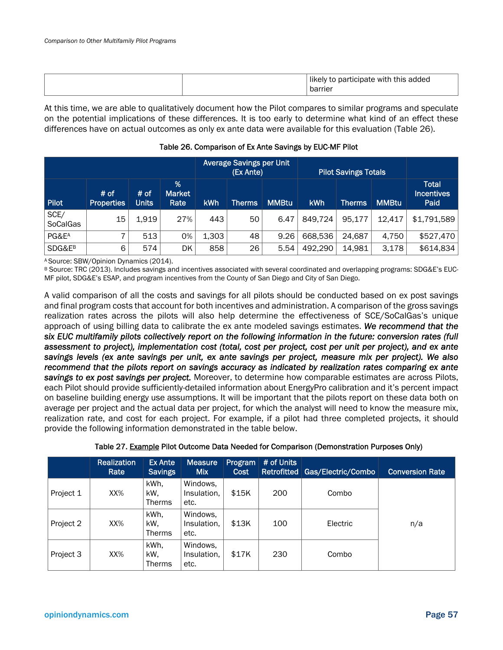|  |  | .<br>this added<br>participate with<br>likely to<br>barrier |
|--|--|-------------------------------------------------------------|
|--|--|-------------------------------------------------------------|

At this time, we are able to qualitatively document how the Pilot compares to similar programs and speculate on the potential implications of these differences. It is too early to determine what kind of an effect these differences have on actual outcomes as only ex ante data were available for this evaluation (Table 26).

|                         |                           |               |                            | <b>Average Savings per Unit</b><br>(Ex Ante) |               |              | <b>Pilot Savings Totals</b> |               |              |                                           |
|-------------------------|---------------------------|---------------|----------------------------|----------------------------------------------|---------------|--------------|-----------------------------|---------------|--------------|-------------------------------------------|
| Pilot                   | # of<br><b>Properties</b> | # of<br>Units | %<br><b>Market</b><br>Rate | <b>kWh</b>                                   | <b>Therms</b> | <b>MMBtu</b> | <b>kWh</b>                  | <b>Therms</b> | <b>MMBtu</b> | <b>Total</b><br><b>Incentives</b><br>Paid |
| SCE/<br><b>SoCalGas</b> | 15                        | 1,919         | 27%                        | 443                                          | 50            | 6.47         | 849,724                     | 95,177        | 12.417       | \$1,791,589                               |
| PG&E <sup>A</sup>       | 7                         | 513           | 0%                         | 1,303                                        | 48            | 9.26         | 668,536                     | 24,687        | 4,750        | \$527,470                                 |
| SDG&E <sup>B</sup>      | 6                         | 574           | DK                         | 858                                          | 26            | 5.54         | 492,290                     | 14,981        | 3,178        | \$614,834                                 |

### Table 26. Comparison of Ex Ante Savings by EUC-MF Pilot

A Source: SBW/Opinion Dynamics (2014).

B Source: TRC (2013). Includes savings and incentives associated with several coordinated and overlapping programs: SDG&E's EUC-MF pilot, SDG&E's ESAP, and program incentives from the County of San Diego and City of San Diego.

A valid comparison of all the costs and savings for all pilots should be conducted based on ex post savings and final program costs that account for both incentives and administration. A comparison of the gross savings realization rates across the pilots will also help determine the effectiveness of SCE/SoCalGas's unique approach of using billing data to calibrate the ex ante modeled savings estimates. *We recommend that the six EUC multifamily pilots collectively report on the following information in the future: conversion rates (full assessment to project), implementation cost (total, cost per project, cost per unit per project), and ex ante savings levels (ex ante savings per unit, ex ante savings per project, measure mix per project). We also recommend that the pilots report on savings accuracy as indicated by realization rates comparing ex ante savings to ex post savings per project.* Moreover, to determine how comparable estimates are across Pilots, each Pilot should provide sufficiently-detailed information about EnergyPro calibration and it's percent impact on baseline building energy use assumptions. It will be important that the pilots report on these data both on average per project and the actual data per project, for which the analyst will need to know the measure mix, realization rate, and cost for each project. For example, if a pilot had three completed projects, it should provide the following information demonstrated in the table below.

|           | Realization<br>Rate | Ex Ante<br>Savings           | <b>Measure</b><br><b>Mix</b>    | <b>Program</b><br>Cost | # of Units | Retrofitted   Gas/Electric/Combo | <b>Conversion Rate</b> |
|-----------|---------------------|------------------------------|---------------------------------|------------------------|------------|----------------------------------|------------------------|
| Project 1 | XX%                 | kWh.<br>kW.<br><b>Therms</b> | Windows,<br>Insulation,<br>etc. | \$15K                  | 200        | Combo                            |                        |
| Project 2 | XX%                 | kWh,<br>kW,<br>Therms        | Windows,<br>Insulation,<br>etc. | \$13K                  | 100        | Electric                         | n/a                    |
| Project 3 | XX%                 | kWh,<br>kW,<br><b>Therms</b> | Windows,<br>Insulation,<br>etc. | \$17K                  | 230        | Combo                            |                        |

### Table 27. Example Pilot Outcome Data Needed for Comparison (Demonstration Purposes Only)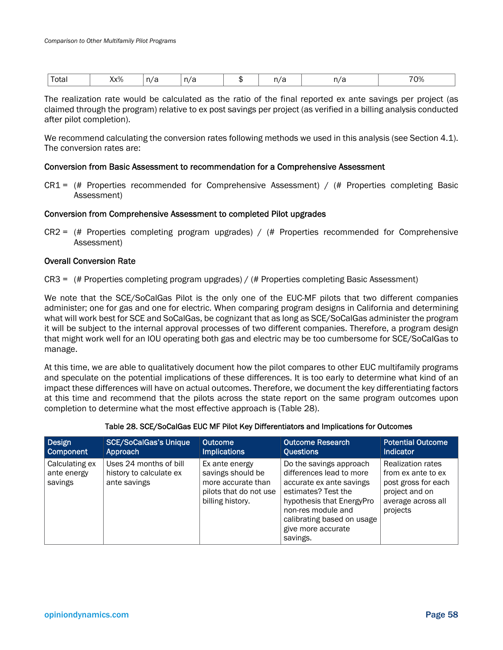| - -<br>$- - - - -$ | Yv%<br>$\mathcal{N}$ | $\sim$<br>- 11<br>∼<br>$\sim$ | n/r |  | 70%<br>$\cdot$ $\cdot$ $\cdot$ $\cdot$ |
|--------------------|----------------------|-------------------------------|-----|--|----------------------------------------|

The realization rate would be calculated as the ratio of the final reported ex ante savings per project (as claimed through the program) relative to ex post savings per project (as verified in a billing analysis conducted after pilot completion).

We recommend calculating the conversion rates following methods we used in this analysis (see Section 4.1). The conversion rates are:

### Conversion from Basic Assessment to recommendation for a Comprehensive Assessment

 $CRI =$  (# Properties recommended for Comprehensive Assessment) / (# Properties completing Basic Assessment)

### Conversion from Comprehensive Assessment to completed Pilot upgrades

 $CR2 =$  (# Properties completing program upgrades) / (# Properties recommended for Comprehensive Assessment)

### Overall Conversion Rate

CR3 = (# Properties completing program upgrades) / (# Properties completing Basic Assessment)

We note that the SCE/SoCalGas Pilot is the only one of the EUC-MF pilots that two different companies administer; one for gas and one for electric. When comparing program designs in California and determining what will work best for SCE and SoCalGas, be cognizant that as long as SCE/SoCalGas administer the program it will be subject to the internal approval processes of two different companies. Therefore, a program design that might work well for an IOU operating both gas and electric may be too cumbersome for SCE/SoCalGas to manage.

At this time, we are able to qualitatively document how the pilot compares to other EUC multifamily programs and speculate on the potential implications of these differences. It is too early to determine what kind of an impact these differences will have on actual outcomes. Therefore, we document the key differentiating factors at this time and recommend that the pilots across the state report on the same program outcomes upon completion to determine what the most effective approach is (Table 28).

| Design                                   | <b>SCE/SoCalGas's Unique</b>                                      | <b>Outcome</b>                                                                                          | <b>Outcome Research</b>                                                                                                                                                                                                   | <b>Potential Outcome</b>                                                                                                  |
|------------------------------------------|-------------------------------------------------------------------|---------------------------------------------------------------------------------------------------------|---------------------------------------------------------------------------------------------------------------------------------------------------------------------------------------------------------------------------|---------------------------------------------------------------------------------------------------------------------------|
| Component                                | Approach                                                          | <b>Implications</b>                                                                                     | <b>Questions</b>                                                                                                                                                                                                          | <b>Indicator</b>                                                                                                          |
| Calculating ex<br>ante energy<br>savings | Uses 24 months of bill<br>history to calculate ex<br>ante savings | Ex ante energy<br>savings should be<br>more accurate than<br>pilots that do not use<br>billing history. | Do the savings approach<br>differences lead to more<br>accurate ex ante savings<br>estimates? Test the<br>hypothesis that EnergyPro<br>non-res module and<br>calibrating based on usage<br>give more accurate<br>savings. | <b>Realization rates</b><br>from ex ante to ex<br>post gross for each<br>project and on<br>average across all<br>projects |

#### Table 28. SCE/SoCalGas EUC MF Pilot Key Differentiators and Implications for Outcomes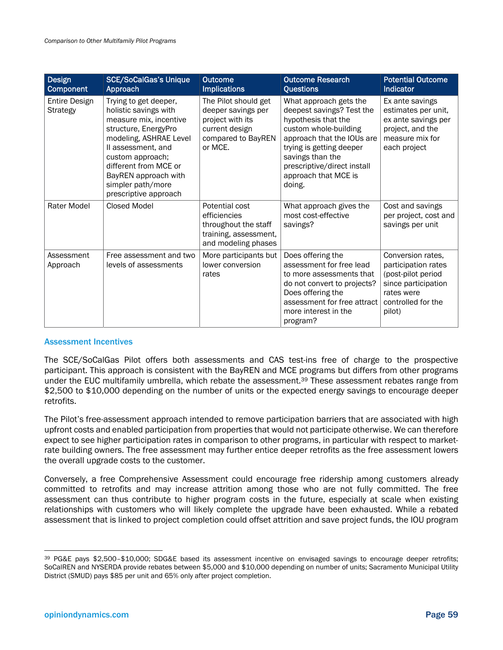| Design<br><b>Component</b>              | <b>SCE/SoCalGas's Unique</b><br>Approach                                                                                                                                                                                                                            | <b>Outcome</b><br><b>Implications</b>                                                                             | <b>Outcome Research</b><br><b>Questions</b>                                                                                                                                                                                                        | <b>Potential Outcome</b><br><b>Indicator</b>                                                                                        |
|-----------------------------------------|---------------------------------------------------------------------------------------------------------------------------------------------------------------------------------------------------------------------------------------------------------------------|-------------------------------------------------------------------------------------------------------------------|----------------------------------------------------------------------------------------------------------------------------------------------------------------------------------------------------------------------------------------------------|-------------------------------------------------------------------------------------------------------------------------------------|
| <b>Entire Design</b><br><b>Strategy</b> | Trying to get deeper,<br>holistic savings with<br>measure mix, incentive<br>structure, EnergyPro<br>modeling, ASHRAE Level<br>Il assessment, and<br>custom approach;<br>different from MCE or<br>BayREN approach with<br>simpler path/more<br>prescriptive approach | The Pilot should get<br>deeper savings per<br>project with its<br>current design<br>compared to BayREN<br>or MCE. | What approach gets the<br>deepest savings? Test the<br>hypothesis that the<br>custom whole-building<br>approach that the IOUs are<br>trying is getting deeper<br>savings than the<br>prescriptive/direct install<br>approach that MCE is<br>doing. | Ex ante savings<br>estimates per unit,<br>ex ante savings per<br>project, and the<br>measure mix for<br>each project                |
| Rater Model                             | Closed Model                                                                                                                                                                                                                                                        | Potential cost<br>efficiencies<br>throughout the staff<br>training, assessment,<br>and modeling phases            | What approach gives the<br>most cost-effective<br>savings?                                                                                                                                                                                         | Cost and savings<br>per project, cost and<br>savings per unit                                                                       |
| Assessment<br>Approach                  | Free assessment and two<br>levels of assessments                                                                                                                                                                                                                    | More participants but<br>lower conversion<br>rates                                                                | Does offering the<br>assessment for free lead<br>to more assessments that<br>do not convert to projects?<br>Does offering the<br>assessment for free attract<br>more interest in the<br>program?                                                   | Conversion rates,<br>participation rates<br>(post-pilot period<br>since participation<br>rates were<br>controlled for the<br>pilot) |

#### Assessment Incentives

The SCE/SoCalGas Pilot offers both assessments and CAS test-ins free of charge to the prospective participant. This approach is consistent with the BayREN and MCE programs but differs from other programs under the EUC multifamily umbrella, which rebate the assessment.39 These assessment rebates range from \$2,500 to \$10,000 depending on the number of units or the expected energy savings to encourage deeper retrofits.

The Pilot's free-assessment approach intended to remove participation barriers that are associated with high upfront costs and enabled participation from properties that would not participate otherwise. We can therefore expect to see higher participation rates in comparison to other programs, in particular with respect to marketrate building owners. The free assessment may further entice deeper retrofits as the free assessment lowers the overall upgrade costs to the customer.

Conversely, a free Comprehensive Assessment could encourage free ridership among customers already committed to retrofits and may increase attrition among those who are not fully committed. The free assessment can thus contribute to higher program costs in the future, especially at scale when existing relationships with customers who will likely complete the upgrade have been exhausted. While a rebated assessment that is linked to project completion could offset attrition and save project funds, the IOU program

1

<sup>39</sup> PG&E pays \$2,500–\$10,000; SDG&E based its assessment incentive on envisaged savings to encourage deeper retrofits; SoCalREN and NYSERDA provide rebates between \$5,000 and \$10,000 depending on number of units; Sacramento Municipal Utility District (SMUD) pays \$85 per unit and 65% only after project completion.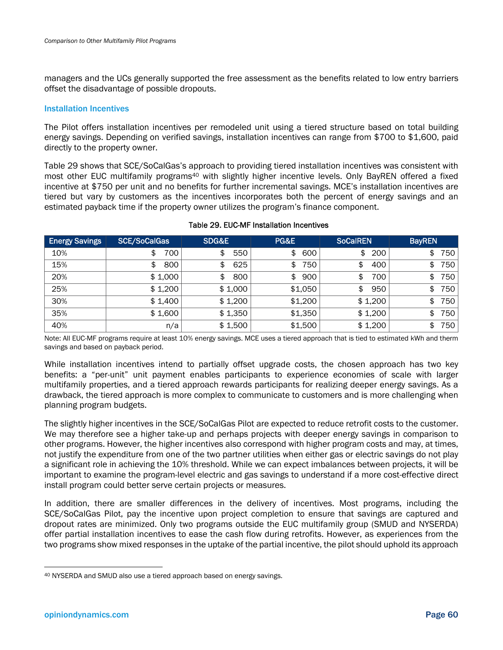managers and the UCs generally supported the free assessment as the benefits related to low entry barriers offset the disadvantage of possible dropouts.

#### Installation Incentives

The Pilot offers installation incentives per remodeled unit using a tiered structure based on total building energy savings. Depending on verified savings, installation incentives can range from \$700 to \$1,600, paid directly to the property owner.

Table 29 shows that SCE/SoCalGas's approach to providing tiered installation incentives was consistent with most other EUC multifamily programs<sup>40</sup> with slightly higher incentive levels. Only BayREN offered a fixed incentive at \$750 per unit and no benefits for further incremental savings. MCE's installation incentives are tiered but vary by customers as the incentives incorporates both the percent of energy savings and an estimated payback time if the property owner utilizes the program's finance component.

| <b>Energy Savings</b> | <b>SCE/SoCalGas</b> | SDG&E     | PG&E      | <b>SoCalREN</b> | <b>BayREN</b> |
|-----------------------|---------------------|-----------|-----------|-----------------|---------------|
| 10%                   | 700                 | 550<br>\$ | 600<br>\$ | 200<br>\$       | 750<br>\$     |
| 15%                   | 800<br>S            | 625<br>\$ | 750<br>\$ | 400<br>\$       | 750<br>\$     |
| 20%                   | \$1,000             | 800<br>\$ | 900<br>\$ | 700<br>\$       | 750<br>\$     |
| 25%                   | \$1,200             | \$1,000   | \$1,050   | 950<br>\$       | 750<br>\$     |
| 30%                   | \$1,400             | \$1,200   | \$1,200   | \$1,200         | 750<br>\$     |
| 35%                   | \$1,600             | \$1,350   | \$1,350   | \$1,200         | 750<br>\$     |
| 40%                   | n/a                 | \$1,500   | \$1,500   | \$1,200         | 750<br>\$     |

### Table 29. EUC-MF Installation Incentives

Note: All EUC-MF programs require at least 10% energy savings. MCE uses a tiered approach that is tied to estimated kWh and therm savings and based on payback period.

While installation incentives intend to partially offset upgrade costs, the chosen approach has two key benefits: a "per-unit" unit payment enables participants to experience economies of scale with larger multifamily properties, and a tiered approach rewards participants for realizing deeper energy savings. As a drawback, the tiered approach is more complex to communicate to customers and is more challenging when planning program budgets.

The slightly higher incentives in the SCE/SoCalGas Pilot are expected to reduce retrofit costs to the customer. We may therefore see a higher take-up and perhaps projects with deeper energy savings in comparison to other programs. However, the higher incentives also correspond with higher program costs and may, at times, not justify the expenditure from one of the two partner utilities when either gas or electric savings do not play a significant role in achieving the 10% threshold. While we can expect imbalances between projects, it will be important to examine the program-level electric and gas savings to understand if a more cost-effective direct install program could better serve certain projects or measures.

In addition, there are smaller differences in the delivery of incentives. Most programs, including the SCE/SoCalGas Pilot, pay the incentive upon project completion to ensure that savings are captured and dropout rates are minimized. Only two programs outside the EUC multifamily group (SMUD and NYSERDA) offer partial installation incentives to ease the cash flow during retrofits. However, as experiences from the two programs show mixed responses in the uptake of the partial incentive, the pilot should uphold its approach

<sup>40</sup> NYSERDA and SMUD also use a tiered approach based on energy savings.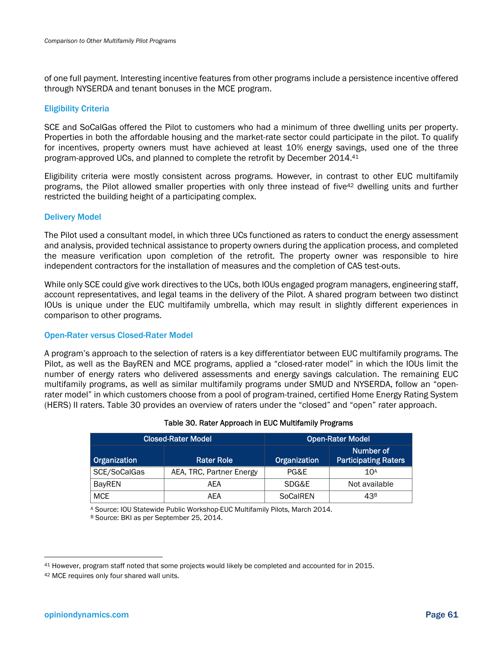of one full payment. Interesting incentive features from other programs include a persistence incentive offered through NYSERDA and tenant bonuses in the MCE program.

### Eligibility Criteria

SCE and SoCalGas offered the Pilot to customers who had a minimum of three dwelling units per property. Properties in both the affordable housing and the market-rate sector could participate in the pilot. To qualify for incentives, property owners must have achieved at least 10% energy savings, used one of the three program-approved UCs, and planned to complete the retrofit by December 2014.41

Eligibility criteria were mostly consistent across programs. However, in contrast to other EUC multifamily programs, the Pilot allowed smaller properties with only three instead of five42 dwelling units and further restricted the building height of a participating complex.

### Delivery Model

The Pilot used a consultant model, in which three UCs functioned as raters to conduct the energy assessment and analysis, provided technical assistance to property owners during the application process, and completed the measure verification upon completion of the retrofit. The property owner was responsible to hire independent contractors for the installation of measures and the completion of CAS test-outs.

While only SCE could give work directives to the UCs, both IOUs engaged program managers, engineering staff, account representatives, and legal teams in the delivery of the Pilot. A shared program between two distinct IOUs is unique under the EUC multifamily umbrella, which may result in slightly different experiences in comparison to other programs.

### Open-Rater versus Closed-Rater Model

A program's approach to the selection of raters is a key differentiator between EUC multifamily programs. The Pilot, as well as the BayREN and MCE programs, applied a "closed-rater model" in which the IOUs limit the number of energy raters who delivered assessments and energy savings calculation. The remaining EUC multifamily programs, as well as similar multifamily programs under SMUD and NYSERDA, follow an "openrater model" in which customers choose from a pool of program-trained, certified Home Energy Rating System (HERS) II raters. Table 30 provides an overview of raters under the "closed" and "open" rater approach.

|               | <b>Closed-Rater Model</b> | <b>Open-Rater Model</b> |                                          |  |  |
|---------------|---------------------------|-------------------------|------------------------------------------|--|--|
| Organization  | <b>Rater Role</b>         | Organization            | Number of<br><b>Participating Raters</b> |  |  |
| SCE/SoCalGas  | AEA, TRC, Partner Energy  | PG&E                    | 10 <sup>A</sup>                          |  |  |
| <b>BayREN</b> | AEA                       | SDG&E                   | Not available                            |  |  |
| <b>MCE</b>    | AFA                       | SoCalREN                | 43 <sup>B</sup>                          |  |  |

### Table 30. Rater Approach in EUC Multifamily Programs

<sup>A</sup> Source: IOU Statewide Public Workshop-EUC Multifamily Pilots, March 2014.<br><sup>B</sup> Source: BKI as per September 25, 2014.

<sup>41</sup> However, program staff noted that some projects would likely be completed and accounted for in 2015.

<sup>42</sup> MCE requires only four shared wall units.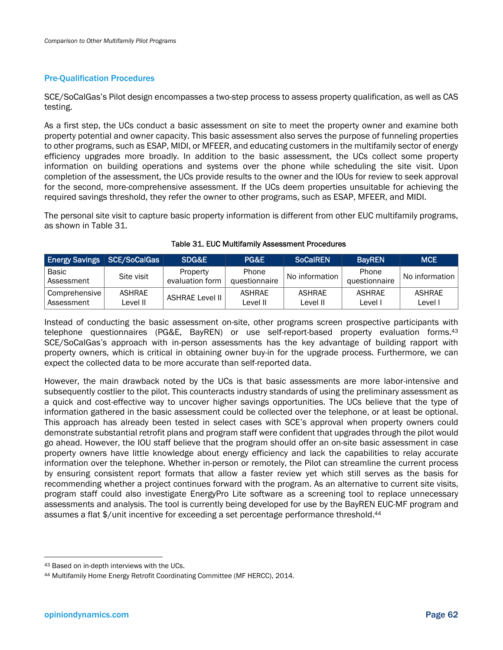### Pre-Qualification Procedures

SCE/SoCalGas's Pilot design encompasses a two-step process to assess property qualification, as well as CAS testing.

As a first step, the UCs conduct a basic assessment on site to meet the property owner and examine both property potential and owner capacity. This basic assessment also serves the purpose of funneling properties to other programs, such as ESAP, MIDI, or MFEER, and educating customers in the multifamily sector of energy efficiency upgrades more broadly. In addition to the basic assessment, the UCs collect some property information on building operations and systems over the phone while scheduling the site visit. Upon completion of the assessment, the UCs provide results to the owner and the IOUs for review to seek approval for the second, more-comprehensive assessment. If the UCs deem properties unsuitable for achieving the required savings threshold, they refer the owner to other programs, such as ESAP, MFEER, and MIDI.

The personal site visit to capture basic property information is different from other EUC multifamily programs, as shown in Table 31.

| <b>Energy Savings SCE/SoCalGas</b> |                           | SDG&E                       | PG&E                          | <b>SoCalREN</b>    | <b>BavREN</b>          | <b>IMCE</b>       |
|------------------------------------|---------------------------|-----------------------------|-------------------------------|--------------------|------------------------|-------------------|
| ' Basic<br>Assessment              | Site visit                | Property<br>evaluation form | <b>Phone</b><br>questionnaire | No information     | Phone<br>questionnaire | No information I  |
| Comprehensive<br>Assessment        | <b>ASHRAE</b><br>Level II | ASHRAE Level II             | <b>ASHRAE</b><br>Level II     | ASHRAE<br>Level II | <b>ASHRAE</b><br>Level | ASHRAE<br>Level I |

#### Table 31. EUC Multifamily Assessment Procedures

Instead of conducting the basic assessment on-site, other programs screen prospective participants with telephone questionnaires (PG&E, BayREN) or use self-report-based property evaluation forms.<sup>43</sup> SCE/SoCalGas's approach with in-person assessments has the key advantage of building rapport with property owners, which is critical in obtaining owner buy-in for the upgrade process. Furthermore, we can expect the collected data to be more accurate than self-reported data.

However, the main drawback noted by the UCs is that basic assessments are more labor-intensive and subsequently costlier to the pilot. This counteracts industry standards of using the preliminary assessment as a quick and cost-effective way to uncover higher savings opportunities. The UCs believe that the type of information gathered in the basic assessment could be collected over the telephone, or at least be optional. This approach has already been tested in select cases with SCE's approval when property owners could demonstrate substantial retrofit plans and program staff were confident that upgrades through the pilot would go ahead. However, the IOU staff believe that the program should offer an on-site basic assessment in case property owners have little knowledge about energy efficiency and lack the capabilities to relay accurate information over the telephone. Whether in-person or remotely, the Pilot can streamline the current process by ensuring consistent report formats that allow a faster review yet which still serves as the basis for recommending whether a project continues forward with the program. As an alternative to current site visits, program staff could also investigate EnergyPro Lite software as a screening tool to replace unnecessary assessments and analysis. The tool is currently being developed for use by the BayREN EUC-MF program and assumes a flat \$/unit incentive for exceeding a set percentage performance threshold.44

<sup>43</sup> Based on in-depth interviews with the UCs.

<sup>44</sup> Multifamily Home Energy Retrofit Coordinating Committee (MF HERCC), 2014.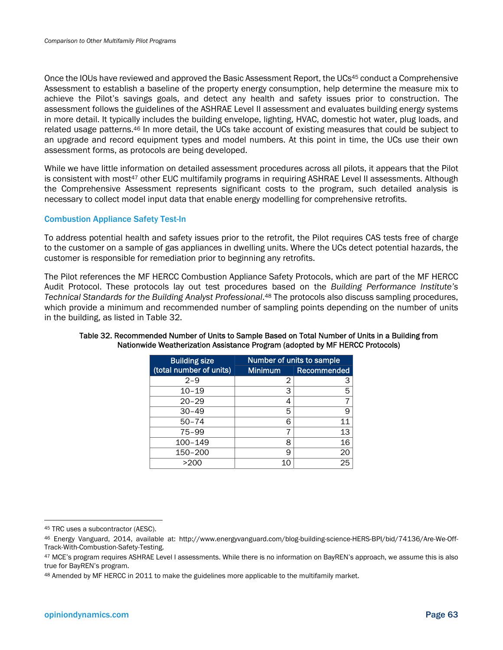Once the IOUs have reviewed and approved the Basic Assessment Report, the UCs<sup>45</sup> conduct a Comprehensive Assessment to establish a baseline of the property energy consumption, help determine the measure mix to achieve the Pilot's savings goals, and detect any health and safety issues prior to construction. The assessment follows the guidelines of the ASHRAE Level II assessment and evaluates building energy systems in more detail. It typically includes the building envelope, lighting, HVAC, domestic hot water, plug loads, and related usage patterns.46 In more detail, the UCs take account of existing measures that could be subject to an upgrade and record equipment types and model numbers. At this point in time, the UCs use their own assessment forms, as protocols are being developed.

While we have little information on detailed assessment procedures across all pilots, it appears that the Pilot is consistent with most<sup>47</sup> other EUC multifamily programs in requiring ASHRAE Level II assessments. Although the Comprehensive Assessment represents significant costs to the program, such detailed analysis is necessary to collect model input data that enable energy modelling for comprehensive retrofits.

### Combustion Appliance Safety Test-In

To address potential health and safety issues prior to the retrofit, the Pilot requires CAS tests free of charge to the customer on a sample of gas appliances in dwelling units. Where the UCs detect potential hazards, the customer is responsible for remediation prior to beginning any retrofits.

The Pilot references the MF HERCC Combustion Appliance Safety Protocols, which are part of the MF HERCC Audit Protocol. These protocols lay out test procedures based on the *Building Performance Institute's Technical Standards for the Building Analyst Professional*.48 The protocols also discuss sampling procedures, which provide a minimum and recommended number of sampling points depending on the number of units in the building, as listed in Table 32.

| <b>Building size</b>    |                | Number of units to sample |
|-------------------------|----------------|---------------------------|
| (total number of units) | <b>Minimum</b> | Recommended               |
| $2 - 9$                 | 2              | З                         |
| $10 - 19$               | 3              | 5                         |
| $20 - 29$               | 4              |                           |
| $30 - 49$               | 5              | 9                         |
| $50 - 74$               | 6              | 11                        |
| $75 - 99$               |                | 13                        |
| 100-149                 | 8              | 16                        |
| 150-200                 | 9              | 20                        |
| >200                    | 10             | 25                        |

### Table 32. Recommended Number of Units to Sample Based on Total Number of Units in a Building from Nationwide Weatherization Assistance Program (adopted by MF HERCC Protocols)

<sup>45</sup> TRC uses a subcontractor (AESC).

<sup>46</sup> Energy Vanguard, 2014, available at: http://www.energyvanguard.com/blog-building-science-HERS-BPI/bid/74136/Are-We-Off-Track-With-Combustion-Safety-Testing.

<sup>47</sup> MCE's program requires ASHRAE Level I assessments. While there is no information on BayREN's approach, we assume this is also true for BayREN's program.

<sup>48</sup> Amended by MF HERCC in 2011 to make the guidelines more applicable to the multifamily market.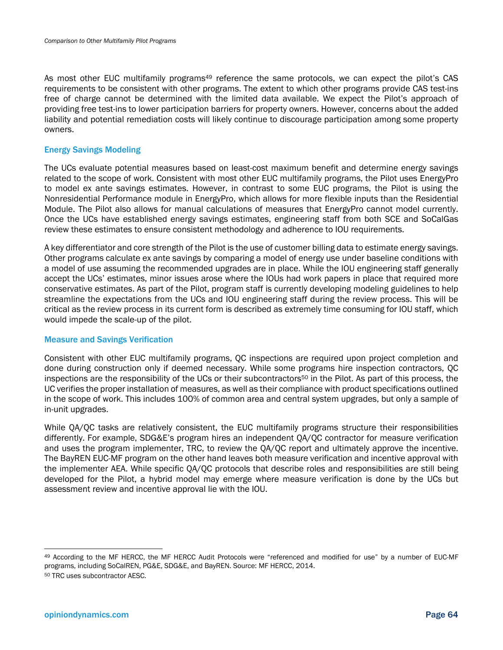As most other EUC multifamily programs<sup>49</sup> reference the same protocols, we can expect the pilot's CAS requirements to be consistent with other programs. The extent to which other programs provide CAS test-ins free of charge cannot be determined with the limited data available. We expect the Pilot's approach of providing free test-ins to lower participation barriers for property owners. However, concerns about the added liability and potential remediation costs will likely continue to discourage participation among some property owners.

### Energy Savings Modeling

The UCs evaluate potential measures based on least-cost maximum benefit and determine energy savings related to the scope of work. Consistent with most other EUC multifamily programs, the Pilot uses EnergyPro to model ex ante savings estimates. However, in contrast to some EUC programs, the Pilot is using the Nonresidential Performance module in EnergyPro, which allows for more flexible inputs than the Residential Module. The Pilot also allows for manual calculations of measures that EnergyPro cannot model currently. Once the UCs have established energy savings estimates, engineering staff from both SCE and SoCalGas review these estimates to ensure consistent methodology and adherence to IOU requirements.

A key differentiator and core strength of the Pilot is the use of customer billing data to estimate energy savings. Other programs calculate ex ante savings by comparing a model of energy use under baseline conditions with a model of use assuming the recommended upgrades are in place. While the IOU engineering staff generally accept the UCs' estimates, minor issues arose where the IOUs had work papers in place that required more conservative estimates. As part of the Pilot, program staff is currently developing modeling guidelines to help streamline the expectations from the UCs and IOU engineering staff during the review process. This will be critical as the review process in its current form is described as extremely time consuming for IOU staff, which would impede the scale-up of the pilot.

### Measure and Savings Verification

Consistent with other EUC multifamily programs, QC inspections are required upon project completion and done during construction only if deemed necessary. While some programs hire inspection contractors, QC inspections are the responsibility of the UCs or their subcontractors<sup>50</sup> in the Pilot. As part of this process, the UC verifies the proper installation of measures, as well as their compliance with product specifications outlined in the scope of work. This includes 100% of common area and central system upgrades, but only a sample of in-unit upgrades.

While QA/QC tasks are relatively consistent, the EUC multifamily programs structure their responsibilities differently. For example, SDG&E's program hires an independent QA/QC contractor for measure verification and uses the program implementer, TRC, to review the QA/QC report and ultimately approve the incentive. The BayREN EUC-MF program on the other hand leaves both measure verification and incentive approval with the implementer AEA. While specific QA/QC protocols that describe roles and responsibilities are still being developed for the Pilot, a hybrid model may emerge where measure verification is done by the UCs but assessment review and incentive approval lie with the IOU.

<sup>49</sup> According to the MF HERCC, the MF HERCC Audit Protocols were "referenced and modified for use" by a number of EUC-MF programs, including SoCalREN, PG&E, SDG&E, and BayREN. Source: MF HERCC, 2014.

<sup>50</sup> TRC uses subcontractor AESC.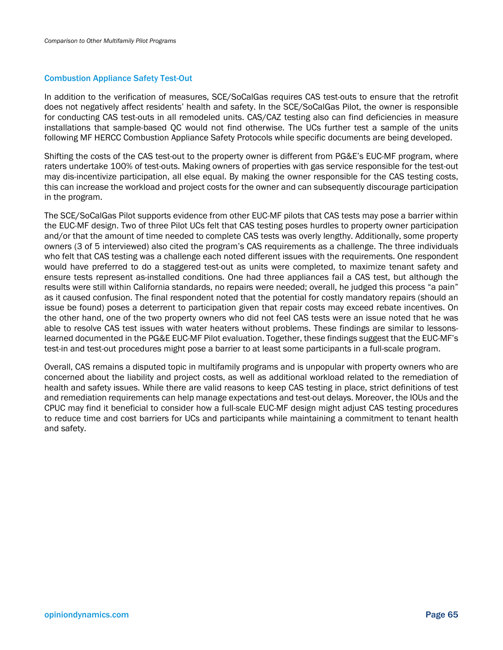### Combustion Appliance Safety Test-Out

In addition to the verification of measures, SCE/SoCalGas requires CAS test-outs to ensure that the retrofit does not negatively affect residents' health and safety. In the SCE/SoCalGas Pilot, the owner is responsible for conducting CAS test-outs in all remodeled units. CAS/CAZ testing also can find deficiencies in measure installations that sample-based QC would not find otherwise. The UCs further test a sample of the units following MF HERCC Combustion Appliance Safety Protocols while specific documents are being developed.

Shifting the costs of the CAS test-out to the property owner is different from PG&E's EUC-MF program, where raters undertake 100% of test-outs. Making owners of properties with gas service responsible for the test-out may dis-incentivize participation, all else equal. By making the owner responsible for the CAS testing costs, this can increase the workload and project costs for the owner and can subsequently discourage participation in the program.

The SCE/SoCalGas Pilot supports evidence from other EUC-MF pilots that CAS tests may pose a barrier within the EUC-MF design. Two of three Pilot UCs felt that CAS testing poses hurdles to property owner participation and/or that the amount of time needed to complete CAS tests was overly lengthy. Additionally, some property owners (3 of 5 interviewed) also cited the program's CAS requirements as a challenge. The three individuals who felt that CAS testing was a challenge each noted different issues with the requirements. One respondent would have preferred to do a staggered test-out as units were completed, to maximize tenant safety and ensure tests represent as-installed conditions. One had three appliances fail a CAS test, but although the results were still within California standards, no repairs were needed; overall, he judged this process "a pain" as it caused confusion. The final respondent noted that the potential for costly mandatory repairs (should an issue be found) poses a deterrent to participation given that repair costs may exceed rebate incentives. On the other hand, one of the two property owners who did not feel CAS tests were an issue noted that he was able to resolve CAS test issues with water heaters without problems. These findings are similar to lessonslearned documented in the PG&E EUC-MF Pilot evaluation. Together, these findings suggest that the EUC-MF's test-in and test-out procedures might pose a barrier to at least some participants in a full-scale program.

Overall, CAS remains a disputed topic in multifamily programs and is unpopular with property owners who are concerned about the liability and project costs, as well as additional workload related to the remediation of health and safety issues. While there are valid reasons to keep CAS testing in place, strict definitions of test and remediation requirements can help manage expectations and test-out delays. Moreover, the IOUs and the CPUC may find it beneficial to consider how a full-scale EUC-MF design might adjust CAS testing procedures to reduce time and cost barriers for UCs and participants while maintaining a commitment to tenant health and safety.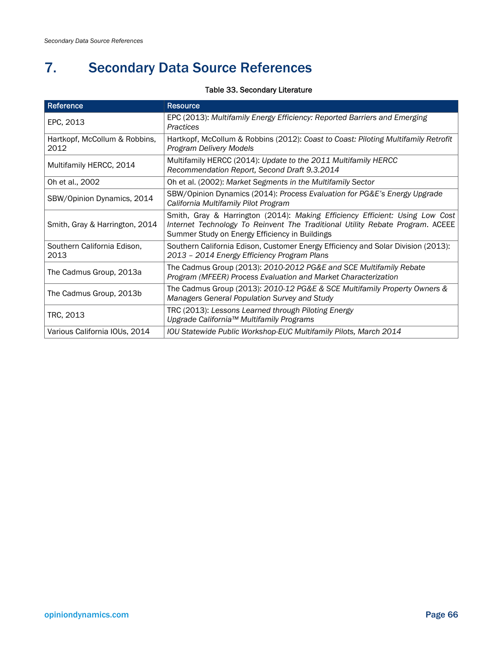# 7. Secondary Data Source References

### Table 33. Secondary Literature

| Reference                             | <b>Resource</b>                                                                                                                                                                                                 |
|---------------------------------------|-----------------------------------------------------------------------------------------------------------------------------------------------------------------------------------------------------------------|
| EPC, 2013                             | EPC (2013): Multifamily Energy Efficiency: Reported Barriers and Emerging<br>Practices                                                                                                                          |
| Hartkopf, McCollum & Robbins,<br>2012 | Hartkopf, McCollum & Robbins (2012): Coast to Coast: Piloting Multifamily Retrofit<br>Program Delivery Models                                                                                                   |
| Multifamily HERCC, 2014               | Multifamily HERCC (2014): Update to the 2011 Multifamily HERCC<br>Recommendation Report, Second Draft 9.3.2014                                                                                                  |
| Oh et al., 2002                       | Oh et al. (2002): Market Segments in the Multifamily Sector                                                                                                                                                     |
| SBW/Opinion Dynamics, 2014            | SBW/Opinion Dynamics (2014): Process Evaluation for PG&E's Energy Upgrade<br>California Multifamily Pilot Program                                                                                               |
| Smith, Gray & Harrington, 2014        | Smith, Gray & Harrington (2014): Making Efficiency Efficient: Using Low Cost<br>Internet Technology To Reinvent The Traditional Utility Rebate Program. ACEEE<br>Summer Study on Energy Efficiency in Buildings |
| Southern California Edison,<br>2013   | Southern California Edison, Customer Energy Efficiency and Solar Division (2013):<br>2013 - 2014 Energy Efficiency Program Plans                                                                                |
| The Cadmus Group, 2013a               | The Cadmus Group (2013): 2010-2012 PG&E and SCE Multifamily Rebate<br>Program (MFEER) Process Evaluation and Market Characterization                                                                            |
| The Cadmus Group, 2013b               | The Cadmus Group (2013): 2010-12 PG&E & SCE Multifamily Property Owners &<br>Managers General Population Survey and Study                                                                                       |
| TRC, 2013                             | TRC (2013): Lessons Learned through Piloting Energy<br>Upgrade California™ Multifamily Programs                                                                                                                 |
| Various California IOUs, 2014         | IOU Statewide Public Workshop-EUC Multifamily Pilots, March 2014                                                                                                                                                |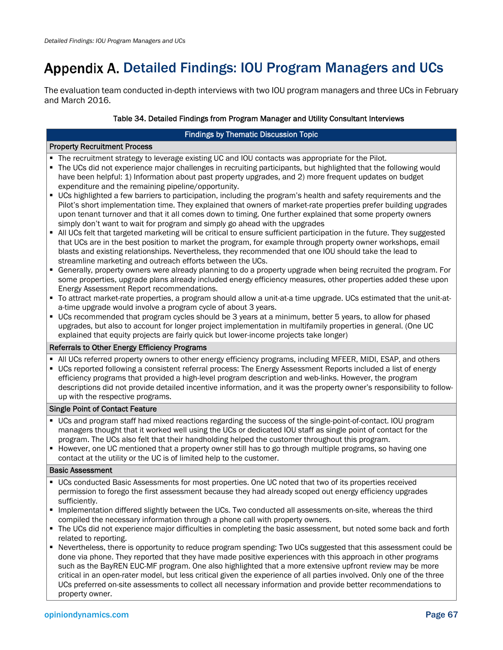# Appendix A. Detailed Findings: IOU Program Managers and UCs

The evaluation team conducted in-depth interviews with two IOU program managers and three UCs in February and March 2016.

### Table 34. Detailed Findings from Program Manager and Utility Consultant Interviews

#### Findings by Thematic Discussion Topic

| <b>Property Recruitment Process</b>           |                                                                                                                                                                                                                                                                                                                                                                                                                                                                                                                       |  |
|-----------------------------------------------|-----------------------------------------------------------------------------------------------------------------------------------------------------------------------------------------------------------------------------------------------------------------------------------------------------------------------------------------------------------------------------------------------------------------------------------------------------------------------------------------------------------------------|--|
|                                               | The recruitment strategy to leverage existing UC and IOU contacts was appropriate for the Pilot.<br>The UCs did not experience major challenges in recruiting participants, but highlighted that the following would<br>have been helpful: 1) Information about past property upgrades, and 2) more frequent updates on budget<br>expenditure and the remaining pipeline/opportunity.                                                                                                                                 |  |
|                                               | • UCs highlighted a few barriers to participation, including the program's health and safety requirements and the<br>Pilot's short implementation time. They explained that owners of market-rate properties prefer building upgrades<br>upon tenant turnover and that it all comes down to timing. One further explained that some property owners<br>simply don't want to wait for program and simply go ahead with the upgrades                                                                                    |  |
| $\blacksquare$                                | All UCs felt that targeted marketing will be critical to ensure sufficient participation in the future. They suggested<br>that UCs are in the best position to market the program, for example through property owner workshops, email<br>blasts and existing relationships. Nevertheless, they recommended that one IOU should take the lead to<br>streamline marketing and outreach efforts between the UCs.                                                                                                        |  |
|                                               | Generally, property owners were already planning to do a property upgrade when being recruited the program. For<br>some properties, upgrade plans already included energy efficiency measures, other properties added these upon<br>Energy Assessment Report recommendations.                                                                                                                                                                                                                                         |  |
|                                               | • To attract market-rate properties, a program should allow a unit-at-a time upgrade. UCs estimated that the unit-at-<br>a-time upgrade would involve a program cycle of about 3 years.                                                                                                                                                                                                                                                                                                                               |  |
|                                               | • UCs recommended that program cycles should be 3 years at a minimum, better 5 years, to allow for phased<br>upgrades, but also to account for longer project implementation in multifamily properties in general. (One UC<br>explained that equity projects are fairly quick but lower-income projects take longer)                                                                                                                                                                                                  |  |
| Referrals to Other Energy Efficiency Programs |                                                                                                                                                                                                                                                                                                                                                                                                                                                                                                                       |  |
|                                               | • All UCs referred property owners to other energy efficiency programs, including MFEER, MIDI, ESAP, and others<br>• UCs reported following a consistent referral process: The Energy Assessment Reports included a list of energy<br>efficiency programs that provided a high-level program description and web-links. However, the program<br>descriptions did not provide detailed incentive information, and it was the property owner's responsibility to follow-<br>up with the respective programs.            |  |
| <b>Single Point of Contact Feature</b>        |                                                                                                                                                                                                                                                                                                                                                                                                                                                                                                                       |  |
|                                               | " UCs and program staff had mixed reactions regarding the success of the single-point-of-contact. IOU program<br>managers thought that it worked well using the UCs or dedicated IOU staff as single point of contact for the<br>program. The UCs also felt that their handholding helped the customer throughout this program.<br>• However, one UC mentioned that a property owner still has to go through multiple programs, so having one<br>contact at the utility or the UC is of limited help to the customer. |  |
| <b>Basic Assessment</b>                       |                                                                                                                                                                                                                                                                                                                                                                                                                                                                                                                       |  |
|                                               | " UCs conducted Basic Assessments for most properties. One UC noted that two of its properties received<br>permission to forego the first assessment because they had already scoped out energy efficiency upgrades<br>sufficiently.                                                                                                                                                                                                                                                                                  |  |
|                                               | Implementation differed slightly between the UCs. Two conducted all assessments on-site, whereas the third<br>compiled the necessary information through a phone call with property owners.                                                                                                                                                                                                                                                                                                                           |  |
|                                               | • The UCs did not experience major difficulties in completing the basic assessment, but noted some back and forth<br>related to reporting.                                                                                                                                                                                                                                                                                                                                                                            |  |
|                                               | • Nevertheless, there is opportunity to reduce program spending: Two UCs suggested that this assessment could be                                                                                                                                                                                                                                                                                                                                                                                                      |  |

 Nevertheless, there is opportunity to reduce program spending: Two UCs suggested that this assessment could be done via phone. They reported that they have made positive experiences with this approach in other programs such as the BayREN EUC-MF program. One also highlighted that a more extensive upfront review may be more critical in an open-rater model, but less critical given the experience of all parties involved. Only one of the three UCs preferred on-site assessments to collect all necessary information and provide better recommendations to property owner.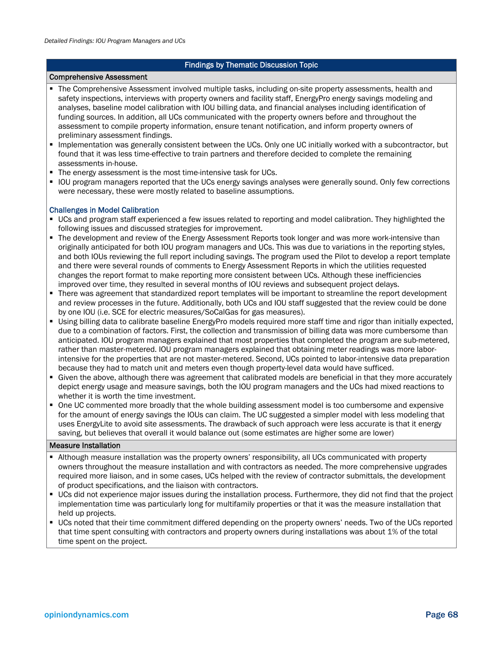### Findings by Thematic Discussion Topic

#### Comprehensive Assessment

- The Comprehensive Assessment involved multiple tasks, including on-site property assessments, health and safety inspections, interviews with property owners and facility staff, EnergyPro energy savings modeling and analyses, baseline model calibration with IOU billing data, and financial analyses including identification of funding sources. In addition, all UCs communicated with the property owners before and throughout the assessment to compile property information, ensure tenant notification, and inform property owners of preliminary assessment findings.
- Implementation was generally consistent between the UCs. Only one UC initially worked with a subcontractor, but found that it was less time-effective to train partners and therefore decided to complete the remaining assessments in-house.
- The energy assessment is the most time-intensive task for UCs.
- IOU program managers reported that the UCs energy savings analyses were generally sound. Only few corrections were necessary, these were mostly related to baseline assumptions.

#### Challenges in Model Calibration

- UCs and program staff experienced a few issues related to reporting and model calibration. They highlighted the following issues and discussed strategies for improvement.
- The development and review of the Energy Assessment Reports took longer and was more work-intensive than originally anticipated for both IOU program managers and UCs. This was due to variations in the reporting styles, and both IOUs reviewing the full report including savings. The program used the Pilot to develop a report template and there were several rounds of comments to Energy Assessment Reports in which the utilities requested changes the report format to make reporting more consistent between UCs. Although these inefficiencies improved over time, they resulted in several months of IOU reviews and subsequent project delays.
- There was agreement that standardized report templates will be important to streamline the report development and review processes in the future. Additionally, both UCs and IOU staff suggested that the review could be done by one IOU (i.e. SCE for electric measures/SoCalGas for gas measures).
- Using billing data to calibrate baseline EnergyPro models required more staff time and rigor than initially expected, due to a combination of factors. First, the collection and transmission of billing data was more cumbersome than anticipated. IOU program managers explained that most properties that completed the program are sub-metered, rather than master-metered. IOU program managers explained that obtaining meter readings was more laborintensive for the properties that are not master-metered. Second, UCs pointed to labor-intensive data preparation because they had to match unit and meters even though property-level data would have sufficed.
- Given the above, although there was agreement that calibrated models are beneficial in that they more accurately depict energy usage and measure savings, both the IOU program managers and the UCs had mixed reactions to whether it is worth the time investment.
- One UC commented more broadly that the whole building assessment model is too cumbersome and expensive for the amount of energy savings the IOUs can claim. The UC suggested a simpler model with less modeling that uses EnergyLite to avoid site assessments. The drawback of such approach were less accurate is that it energy saving, but believes that overall it would balance out (some estimates are higher some are lower)

#### Measure Installation

- Although measure installation was the property owners' responsibility, all UCs communicated with property owners throughout the measure installation and with contractors as needed. The more comprehensive upgrades required more liaison, and in some cases, UCs helped with the review of contractor submittals, the development of product specifications, and the liaison with contractors.
- UCs did not experience major issues during the installation process. Furthermore, they did not find that the project implementation time was particularly long for multifamily properties or that it was the measure installation that held up projects.
- UCs noted that their time commitment differed depending on the property owners' needs. Two of the UCs reported that time spent consulting with contractors and property owners during installations was about 1% of the total time spent on the project.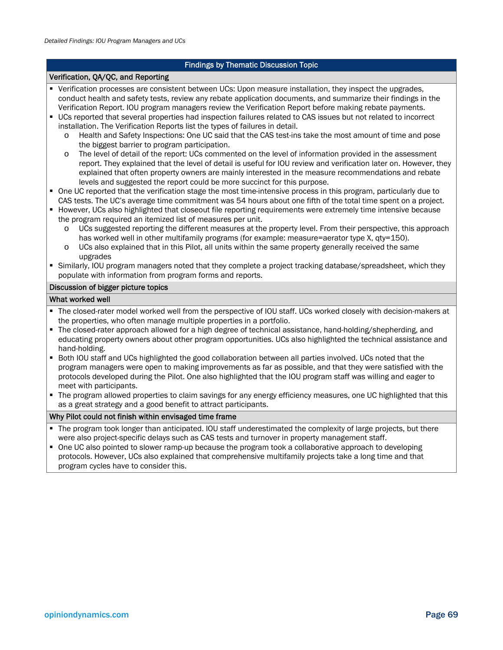### Findings by Thematic Discussion Topic

### Verification, QA/QC, and Reporting

- Verification processes are consistent between UCs: Upon measure installation, they inspect the upgrades, conduct health and safety tests, review any rebate application documents, and summarize their findings in the Verification Report. IOU program managers review the Verification Report before making rebate payments.
- UCs reported that several properties had inspection failures related to CAS issues but not related to incorrect installation. The Verification Reports list the types of failures in detail.
	- o Health and Safety Inspections: One UC said that the CAS test-ins take the most amount of time and pose the biggest barrier to program participation.
	- o The level of detail of the report: UCs commented on the level of information provided in the assessment report. They explained that the level of detail is useful for IOU review and verification later on. However, they explained that often property owners are mainly interested in the measure recommendations and rebate levels and suggested the report could be more succinct for this purpose.
- One UC reported that the verification stage the most time-intensive process in this program, particularly due to CAS tests. The UC's average time commitment was 54 hours about one fifth of the total time spent on a project.
- However, UCs also highlighted that closeout file reporting requirements were extremely time intensive because the program required an itemized list of measures per unit.
	- o UCs suggested reporting the different measures at the property level. From their perspective, this approach has worked well in other multifamily programs (for example: measure=aerator type X, qty=150).
	- o UCs also explained that in this Pilot, all units within the same property generally received the same upgrades
- Similarly, IOU program managers noted that they complete a project tracking database/spreadsheet, which they populate with information from program forms and reports.

#### Discussion of bigger picture topics

### What worked well

- The closed-rater model worked well from the perspective of IOU staff. UCs worked closely with decision-makers at the properties, who often manage multiple properties in a portfolio.
- The closed-rater approach allowed for a high degree of technical assistance, hand-holding/shepherding, and educating property owners about other program opportunities. UCs also highlighted the technical assistance and hand-holding.
- Both IOU staff and UCs highlighted the good collaboration between all parties involved. UCs noted that the program managers were open to making improvements as far as possible, and that they were satisfied with the protocols developed during the Pilot. One also highlighted that the IOU program staff was willing and eager to meet with participants.
- The program allowed properties to claim savings for any energy efficiency measures, one UC highlighted that this as a great strategy and a good benefit to attract participants.

#### Why Pilot could not finish within envisaged time frame

- The program took longer than anticipated. IOU staff underestimated the complexity of large projects, but there were also project-specific delays such as CAS tests and turnover in property management staff.
- One UC also pointed to slower ramp-up because the program took a collaborative approach to developing protocols. However, UCs also explained that comprehensive multifamily projects take a long time and that program cycles have to consider this.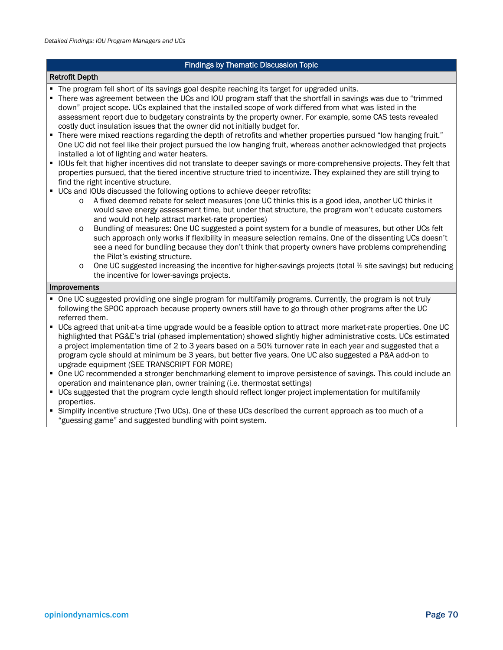### Findings by Thematic Discussion Topic

#### Retrofit Depth

The program fell short of its savings goal despite reaching its target for upgraded units.

 There was agreement between the UCs and IOU program staff that the shortfall in savings was due to "trimmed down" project scope. UCs explained that the installed scope of work differed from what was listed in the assessment report due to budgetary constraints by the property owner. For example, some CAS tests revealed costly duct insulation issues that the owner did not initially budget for.

- There were mixed reactions regarding the depth of retrofits and whether properties pursued "low hanging fruit." One UC did not feel like their project pursued the low hanging fruit, whereas another acknowledged that projects installed a lot of lighting and water heaters.
- IOUs felt that higher incentives did not translate to deeper savings or more-comprehensive projects. They felt that properties pursued, that the tiered incentive structure tried to incentivize. They explained they are still trying to find the right incentive structure.
- UCs and IOUs discussed the following options to achieve deeper retrofits:
	- o A fixed deemed rebate for select measures (one UC thinks this is a good idea, another UC thinks it would save energy assessment time, but under that structure, the program won't educate customers and would not help attract market-rate properties)
	- o Bundling of measures: One UC suggested a point system for a bundle of measures, but other UCs felt such approach only works if flexibility in measure selection remains. One of the dissenting UCs doesn't see a need for bundling because they don't think that property owners have problems comprehending the Pilot's existing structure.
	- One UC suggested increasing the incentive for higher-savings projects (total % site savings) but reducing the incentive for lower-savings projects.

#### Improvements

- One UC suggested providing one single program for multifamily programs. Currently, the program is not truly following the SPOC approach because property owners still have to go through other programs after the UC referred them.
- UCs agreed that unit-at-a time upgrade would be a feasible option to attract more market-rate properties. One UC highlighted that PG&E's trial (phased implementation) showed slightly higher administrative costs. UCs estimated a project implementation time of 2 to 3 years based on a 50% turnover rate in each year and suggested that a program cycle should at minimum be 3 years, but better five years. One UC also suggested a P&A add-on to upgrade equipment (SEE TRANSCRIPT FOR MORE)
- One UC recommended a stronger benchmarking element to improve persistence of savings. This could include an operation and maintenance plan, owner training (i.e. thermostat settings)
- UCs suggested that the program cycle length should reflect longer project implementation for multifamily properties.
- Simplify incentive structure (Two UCs). One of these UCs described the current approach as too much of a "guessing game" and suggested bundling with point system.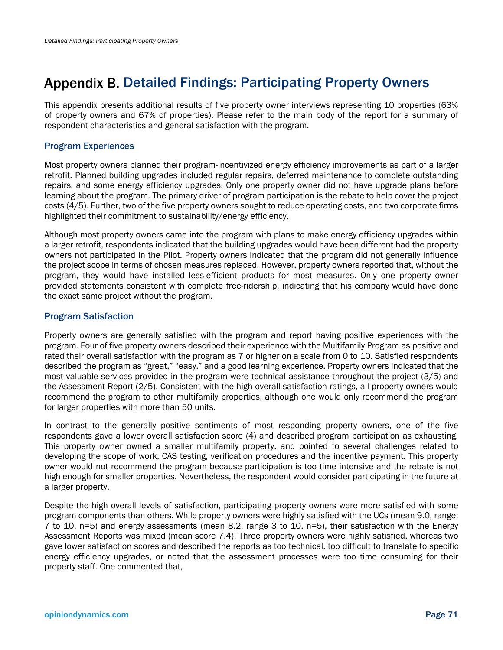### Appendix B. Detailed Findings: Participating Property Owners

This appendix presents additional results of five property owner interviews representing 10 properties (63% of property owners and 67% of properties). Please refer to the main body of the report for a summary of respondent characteristics and general satisfaction with the program.

### Program Experiences

Most property owners planned their program-incentivized energy efficiency improvements as part of a larger retrofit. Planned building upgrades included regular repairs, deferred maintenance to complete outstanding repairs, and some energy efficiency upgrades. Only one property owner did not have upgrade plans before learning about the program. The primary driver of program participation is the rebate to help cover the project costs (4/5). Further, two of the five property owners sought to reduce operating costs, and two corporate firms highlighted their commitment to sustainability/energy efficiency.

Although most property owners came into the program with plans to make energy efficiency upgrades within a larger retrofit, respondents indicated that the building upgrades would have been different had the property owners not participated in the Pilot. Property owners indicated that the program did not generally influence the project scope in terms of chosen measures replaced. However, property owners reported that, without the program, they would have installed less-efficient products for most measures. Only one property owner provided statements consistent with complete free-ridership, indicating that his company would have done the exact same project without the program.

### Program Satisfaction

Property owners are generally satisfied with the program and report having positive experiences with the program. Four of five property owners described their experience with the Multifamily Program as positive and rated their overall satisfaction with the program as 7 or higher on a scale from 0 to 10. Satisfied respondents described the program as "great," "easy," and a good learning experience. Property owners indicated that the most valuable services provided in the program were technical assistance throughout the project (3/5) and the Assessment Report (2/5). Consistent with the high overall satisfaction ratings, all property owners would recommend the program to other multifamily properties, although one would only recommend the program for larger properties with more than 50 units.

In contrast to the generally positive sentiments of most responding property owners, one of the five respondents gave a lower overall satisfaction score (4) and described program participation as exhausting. This property owner owned a smaller multifamily property, and pointed to several challenges related to developing the scope of work, CAS testing, verification procedures and the incentive payment. This property owner would not recommend the program because participation is too time intensive and the rebate is not high enough for smaller properties. Nevertheless, the respondent would consider participating in the future at a larger property.

Despite the high overall levels of satisfaction, participating property owners were more satisfied with some program components than others. While property owners were highly satisfied with the UCs (mean 9.0, range: 7 to 10, n=5) and energy assessments (mean 8.2, range 3 to 10, n=5), their satisfaction with the Energy Assessment Reports was mixed (mean score 7.4). Three property owners were highly satisfied, whereas two gave lower satisfaction scores and described the reports as too technical, too difficult to translate to specific energy efficiency upgrades, or noted that the assessment processes were too time consuming for their property staff. One commented that,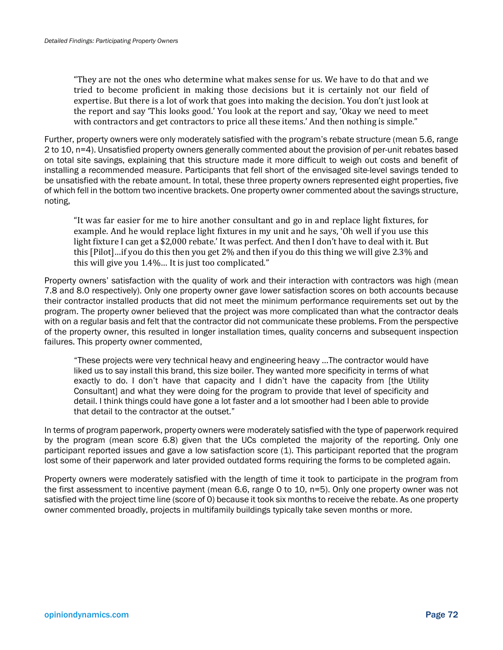"They are not the ones who determine what makes sense for us. We have to do that and we tried to become proficient in making those decisions but it is certainly not our field of expertise. But there is a lot of work that goes into making the decision. You don't just look at the report and say 'This looks good.' You look at the report and say, 'Okay we need to meet with contractors and get contractors to price all these items.' And then nothing is simple."

Further, property owners were only moderately satisfied with the program's rebate structure (mean 5.6, range 2 to 10, n=4). Unsatisfied property owners generally commented about the provision of per-unit rebates based on total site savings, explaining that this structure made it more difficult to weigh out costs and benefit of installing a recommended measure. Participants that fell short of the envisaged site-level savings tended to be unsatisfied with the rebate amount. In total, these three property owners represented eight properties, five of which fell in the bottom two incentive brackets. One property owner commented about the savings structure, noting,

"It was far easier for me to hire another consultant and go in and replace light fixtures, for example. And he would replace light fixtures in my unit and he says, 'Oh well if you use this light fixture I can get a \$2,000 rebate.' It was perfect. And then I don't have to deal with it. But this  $[Pilot]...$  if you do this then you get 2% and then if you do this thing we will give 2.3% and this will give you  $1.4\%$ ... It is just too complicated."

Property owners' satisfaction with the quality of work and their interaction with contractors was high (mean 7.8 and 8.0 respectively). Only one property owner gave lower satisfaction scores on both accounts because their contractor installed products that did not meet the minimum performance requirements set out by the program. The property owner believed that the project was more complicated than what the contractor deals with on a regular basis and felt that the contractor did not communicate these problems. From the perspective of the property owner, this resulted in longer installation times, quality concerns and subsequent inspection failures. This property owner commented,

"These projects were very technical heavy and engineering heavy …The contractor would have liked us to say install this brand, this size boiler. They wanted more specificity in terms of what exactly to do. I don't have that capacity and I didn't have the capacity from [the Utility Consultant] and what they were doing for the program to provide that level of specificity and detail. I think things could have gone a lot faster and a lot smoother had I been able to provide that detail to the contractor at the outset."

In terms of program paperwork, property owners were moderately satisfied with the type of paperwork required by the program (mean score 6.8) given that the UCs completed the majority of the reporting. Only one participant reported issues and gave a low satisfaction score (1). This participant reported that the program lost some of their paperwork and later provided outdated forms requiring the forms to be completed again.

Property owners were moderately satisfied with the length of time it took to participate in the program from the first assessment to incentive payment (mean 6.6, range 0 to 10, n=5). Only one property owner was not satisfied with the project time line (score of 0) because it took six months to receive the rebate. As one property owner commented broadly, projects in multifamily buildings typically take seven months or more.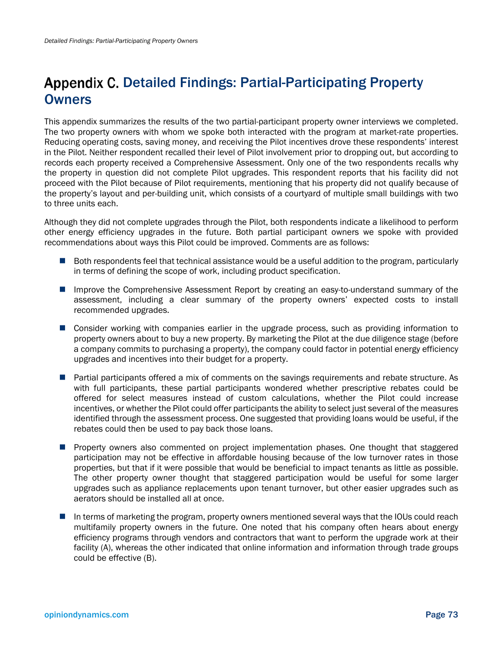### Appendix C. Detailed Findings: Partial-Participating Property **Owners**

This appendix summarizes the results of the two partial-participant property owner interviews we completed. The two property owners with whom we spoke both interacted with the program at market-rate properties. Reducing operating costs, saving money, and receiving the Pilot incentives drove these respondents' interest in the Pilot. Neither respondent recalled their level of Pilot involvement prior to dropping out, but according to records each property received a Comprehensive Assessment. Only one of the two respondents recalls why the property in question did not complete Pilot upgrades. This respondent reports that his facility did not proceed with the Pilot because of Pilot requirements, mentioning that his property did not qualify because of the property's layout and per-building unit, which consists of a courtyard of multiple small buildings with two to three units each.

Although they did not complete upgrades through the Pilot, both respondents indicate a likelihood to perform other energy efficiency upgrades in the future. Both partial participant owners we spoke with provided recommendations about ways this Pilot could be improved. Comments are as follows:

- Both respondents feel that technical assistance would be a useful addition to the program, particularly in terms of defining the scope of work, including product specification.
- Improve the Comprehensive Assessment Report by creating an easy-to-understand summary of the assessment, including a clear summary of the property owners' expected costs to install recommended upgrades.
- **E** Consider working with companies earlier in the upgrade process, such as providing information to property owners about to buy a new property. By marketing the Pilot at the due diligence stage (before a company commits to purchasing a property), the company could factor in potential energy efficiency upgrades and incentives into their budget for a property.
- **Partial participants offered a mix of comments on the savings requirements and rebate structure. As** with full participants, these partial participants wondered whether prescriptive rebates could be offered for select measures instead of custom calculations, whether the Pilot could increase incentives, or whether the Pilot could offer participants the ability to select just several of the measures identified through the assessment process. One suggested that providing loans would be useful, if the rebates could then be used to pay back those loans.
- **Property owners also commented on project implementation phases. One thought that staggered** participation may not be effective in affordable housing because of the low turnover rates in those properties, but that if it were possible that would be beneficial to impact tenants as little as possible. The other property owner thought that staggered participation would be useful for some larger upgrades such as appliance replacements upon tenant turnover, but other easier upgrades such as aerators should be installed all at once.
- In terms of marketing the program, property owners mentioned several ways that the IOUs could reach multifamily property owners in the future. One noted that his company often hears about energy efficiency programs through vendors and contractors that want to perform the upgrade work at their facility (A), whereas the other indicated that online information and information through trade groups could be effective (B).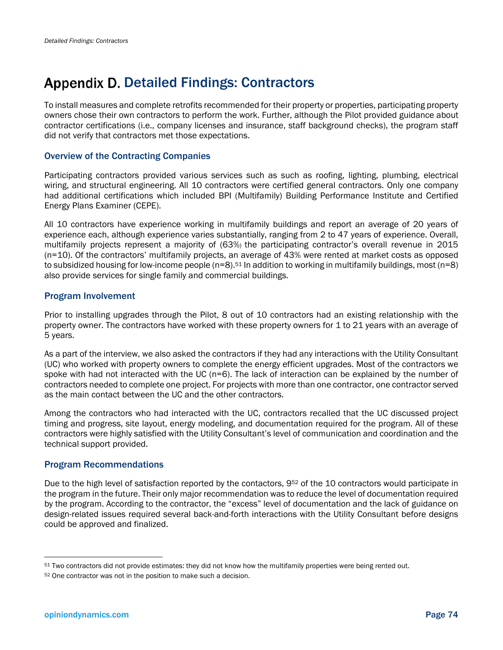### Appendix D. Detailed Findings: Contractors

To install measures and complete retrofits recommended for their property or properties, participating property owners chose their own contractors to perform the work. Further, although the Pilot provided guidance about contractor certifications (i.e., company licenses and insurance, staff background checks), the program staff did not verify that contractors met those expectations.

### Overview of the Contracting Companies

Participating contractors provided various services such as such as roofing, lighting, plumbing, electrical wiring, and structural engineering. All 10 contractors were certified general contractors. Only one company had additional certifications which included BPI (Multifamily) Building Performance Institute and Certified Energy Plans Examiner (CEPE).

All 10 contractors have experience working in multifamily buildings and report an average of 20 years of experience each, although experience varies substantially, ranging from 2 to 47 years of experience. Overall, multifamily projects represent a majority of (63%) the participating contractor's overall revenue in 2015 (n=10). Of the contractors' multifamily projects, an average of 43% were rented at market costs as opposed to subsidized housing for low-income people ( $n=8$ ).<sup>51</sup> In addition to working in multifamily buildings, most ( $n=8$ ) also provide services for single family and commercial buildings.

### Program Involvement

Prior to installing upgrades through the Pilot, 8 out of 10 contractors had an existing relationship with the property owner. The contractors have worked with these property owners for 1 to 21 years with an average of 5 years.

As a part of the interview, we also asked the contractors if they had any interactions with the Utility Consultant (UC) who worked with property owners to complete the energy efficient upgrades. Most of the contractors we spoke with had not interacted with the UC (n=6). The lack of interaction can be explained by the number of contractors needed to complete one project. For projects with more than one contractor, one contractor served as the main contact between the UC and the other contractors.

Among the contractors who had interacted with the UC, contractors recalled that the UC discussed project timing and progress, site layout, energy modeling, and documentation required for the program. All of these contractors were highly satisfied with the Utility Consultant's level of communication and coordination and the technical support provided.

### Program Recommendations

Due to the high level of satisfaction reported by the contactors, 9<sup>52</sup> of the 10 contractors would participate in the program in the future. Their only major recommendation was to reduce the level of documentation required by the program. According to the contractor, the "excess" level of documentation and the lack of guidance on design-related issues required several back-and-forth interactions with the Utility Consultant before designs could be approved and finalized.

l

<sup>51</sup> Two contractors did not provide estimates: they did not know how the multifamily properties were being rented out.

<sup>52</sup> One contractor was not in the position to make such a decision.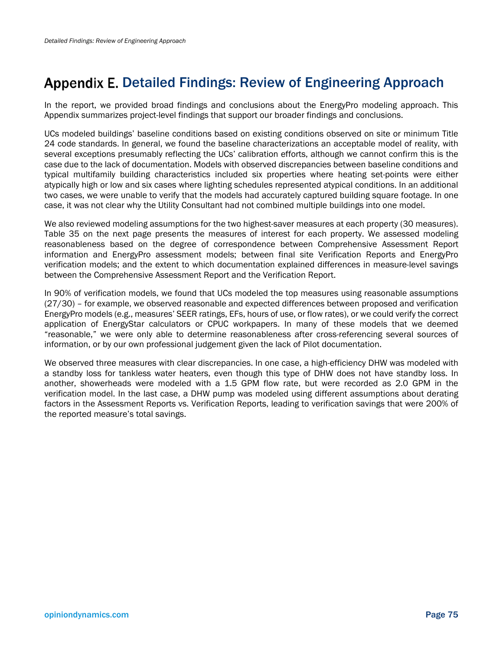## Appendix E. Detailed Findings: Review of Engineering Approach

In the report, we provided broad findings and conclusions about the EnergyPro modeling approach. This Appendix summarizes project-level findings that support our broader findings and conclusions.

UCs modeled buildings' baseline conditions based on existing conditions observed on site or minimum Title 24 code standards. In general, we found the baseline characterizations an acceptable model of reality, with several exceptions presumably reflecting the UCs' calibration efforts, although we cannot confirm this is the case due to the lack of documentation. Models with observed discrepancies between baseline conditions and typical multifamily building characteristics included six properties where heating set-points were either atypically high or low and six cases where lighting schedules represented atypical conditions. In an additional two cases, we were unable to verify that the models had accurately captured building square footage. In one case, it was not clear why the Utility Consultant had not combined multiple buildings into one model.

We also reviewed modeling assumptions for the two highest-saver measures at each property (30 measures). Table 35 on the next page presents the measures of interest for each property. We assessed modeling reasonableness based on the degree of correspondence between Comprehensive Assessment Report information and EnergyPro assessment models; between final site Verification Reports and EnergyPro verification models; and the extent to which documentation explained differences in measure-level savings between the Comprehensive Assessment Report and the Verification Report.

In 90% of verification models, we found that UCs modeled the top measures using reasonable assumptions (27/30) – for example, we observed reasonable and expected differences between proposed and verification EnergyPro models (e.g., measures' SEER ratings, EFs, hours of use, or flow rates), or we could verify the correct application of EnergyStar calculators or CPUC workpapers. In many of these models that we deemed "reasonable," we were only able to determine reasonableness after cross-referencing several sources of information, or by our own professional judgement given the lack of Pilot documentation.

We observed three measures with clear discrepancies. In one case, a high-efficiency DHW was modeled with a standby loss for tankless water heaters, even though this type of DHW does not have standby loss. In another, showerheads were modeled with a 1.5 GPM flow rate, but were recorded as 2.0 GPM in the verification model. In the last case, a DHW pump was modeled using different assumptions about derating factors in the Assessment Reports vs. Verification Reports, leading to verification savings that were 200% of the reported measure's total savings.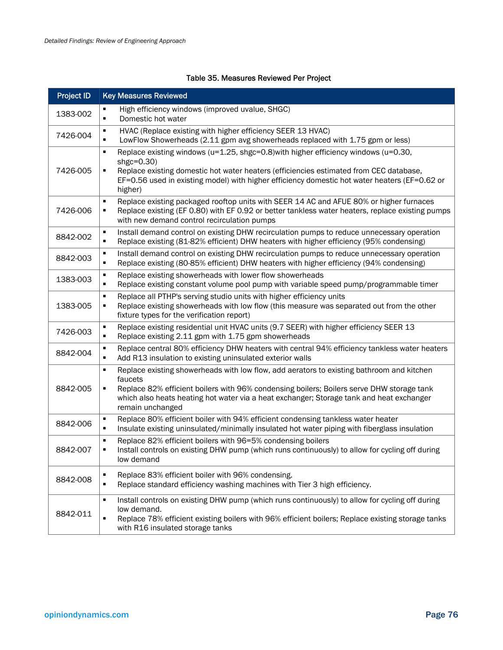### Table 35. Measures Reviewed Per Project

| <b>Project ID</b> | <b>Key Measures Reviewed</b>                                                                                                                                                                                                                                                                                                             |
|-------------------|------------------------------------------------------------------------------------------------------------------------------------------------------------------------------------------------------------------------------------------------------------------------------------------------------------------------------------------|
| 1383-002          | High efficiency windows (improved uvalue, SHGC)<br>٠<br>$\blacksquare$<br>Domestic hot water                                                                                                                                                                                                                                             |
| 7426-004          | HVAC (Replace existing with higher efficiency SEER 13 HVAC)<br>$\blacksquare$<br>$\blacksquare$<br>LowFlow Showerheads (2.11 gpm avg showerheads replaced with 1.75 gpm or less)                                                                                                                                                         |
| 7426-005          | Replace existing windows (u=1.25, shgc=0.8) with higher efficiency windows (u=0.30,<br>٠<br>shgc=0.30)<br>Replace existing domestic hot water heaters (efficiencies estimated from CEC database,<br>٠<br>EF=0.56 used in existing model) with higher efficiency domestic hot water heaters (EF=0.62 or<br>higher)                        |
| 7426-006          | Replace existing packaged rooftop units with SEER 14 AC and AFUE 80% or higher furnaces<br>$\blacksquare$<br>Replace existing (EF 0.80) with EF 0.92 or better tankless water heaters, replace existing pumps<br>п<br>with new demand control recirculation pumps                                                                        |
| 8842-002          | Install demand control on existing DHW recirculation pumps to reduce unnecessary operation<br>$\blacksquare$<br>Replace existing (81-82% efficient) DHW heaters with higher efficiency (95% condensing)<br>$\blacksquare$                                                                                                                |
| 8842-003          | Install demand control on existing DHW recirculation pumps to reduce unnecessary operation<br>٠<br>$\blacksquare$<br>Replace existing (80-85% efficient) DHW heaters with higher efficiency (94% condensing)                                                                                                                             |
| 1383-003          | Replace existing showerheads with lower flow showerheads<br>٠<br>Replace existing constant volume pool pump with variable speed pump/programmable timer<br>$\blacksquare$                                                                                                                                                                |
| 1383-005          | Replace all PTHP's serving studio units with higher efficiency units<br>$\blacksquare$<br>Replace existing showerheads with low flow (this measure was separated out from the other<br>٠<br>fixture types for the verification report)                                                                                                   |
| 7426-003          | Replace existing residential unit HVAC units (9.7 SEER) with higher efficiency SEER 13<br>٠<br>Replace existing 2.11 gpm with 1.75 gpm showerheads<br>$\blacksquare$                                                                                                                                                                     |
| 8842-004          | Replace central 80% efficiency DHW heaters with central 94% efficiency tankless water heaters<br>٠<br>Add R13 insulation to existing uninsulated exterior walls<br>٠                                                                                                                                                                     |
| 8842-005          | Replace existing showerheads with low flow, add aerators to existing bathroom and kitchen<br>$\blacksquare$<br>faucets<br>Replace 82% efficient boilers with 96% condensing boilers; Boilers serve DHW storage tank<br>٠<br>which also heats heating hot water via a heat exchanger; Storage tank and heat exchanger<br>remain unchanged |
| 8842-006          | Replace 80% efficient boiler with 94% efficient condensing tankless water heater<br>٠<br>Insulate existing uninsulated/minimally insulated hot water piping with fiberglass insulation<br>$\blacksquare$                                                                                                                                 |
| 8842-007          | Replace 82% efficient boilers with 96=5% condensing boilers<br>٠<br>$\blacksquare$<br>Install controls on existing DHW pump (which runs continuously) to allow for cycling off during<br>low demand                                                                                                                                      |
| 8842-008          | Replace 83% efficient boiler with 96% condensing.<br>٠<br>$\blacksquare$<br>Replace standard efficiency washing machines with Tier 3 high efficiency.                                                                                                                                                                                    |
| 8842-011          | Install controls on existing DHW pump (which runs continuously) to allow for cycling off during<br>$\blacksquare$<br>low demand.<br>Replace 78% efficient existing boilers with 96% efficient boilers; Replace existing storage tanks<br>$\blacksquare$<br>with R16 insulated storage tanks                                              |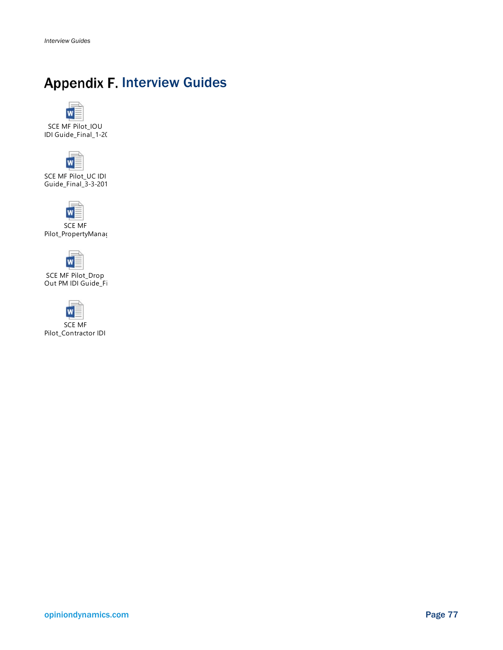## **Appendix F. Interview Guides**

W

SCE MF Pilot\_IOU IDI Guide\_Final\_1-20



SCE MF Pilot\_UC IDI Guide\_Final\_3-3-201



Pilot\_PropertyManag



SCE MF Pilot\_Drop Out PM IDI Guide\_Fi



SCE MF Pilot\_Contractor IDI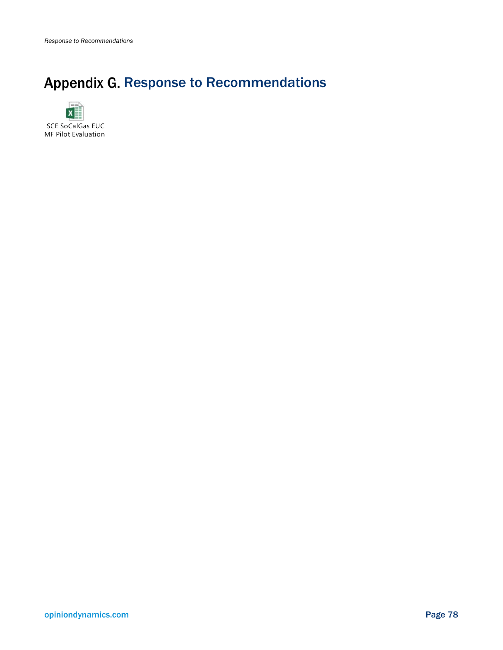# Appendix G. Response to Recommendations